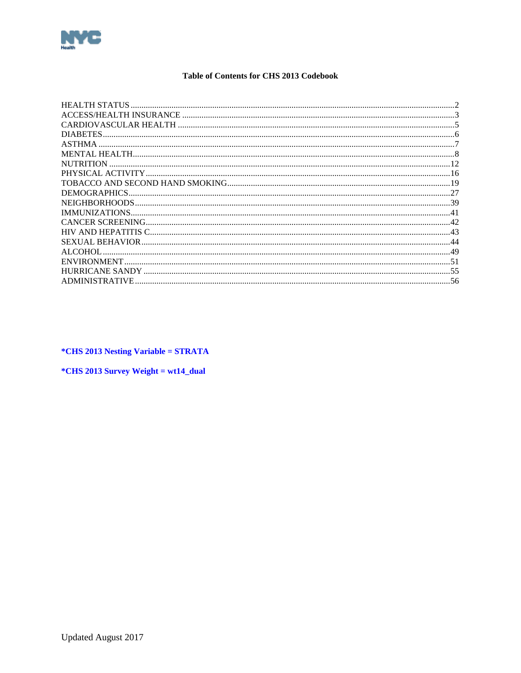<span id="page-0-0"></span>

# **Table of Contents for CHS 2013 Codebook**

| 19<br>$\Delta$<br>43<br>44<br>49<br>51<br>55 |                       |    |
|----------------------------------------------|-----------------------|----|
|                                              |                       |    |
|                                              |                       |    |
|                                              | <b>DIABETES</b>       |    |
|                                              |                       |    |
|                                              |                       |    |
|                                              | <b>NUTRITION</b>      |    |
|                                              |                       |    |
|                                              |                       |    |
|                                              | DEMOGRAPHICS.         |    |
|                                              | NEIGHBORHOODS         |    |
|                                              | <b>IMMUNIZATIONS</b>  |    |
|                                              |                       |    |
|                                              |                       |    |
|                                              |                       |    |
|                                              | ALCOHOL               |    |
|                                              | <b>ENVIRONMENT</b>    |    |
|                                              | HURRICANE SANDY       |    |
|                                              | <b>ADMINISTRATIVE</b> | 56 |

*\*CHS 2013 Nesting Variable = STRATA* 

 $*CHS 2013$  Survey Weight = wt14\_dual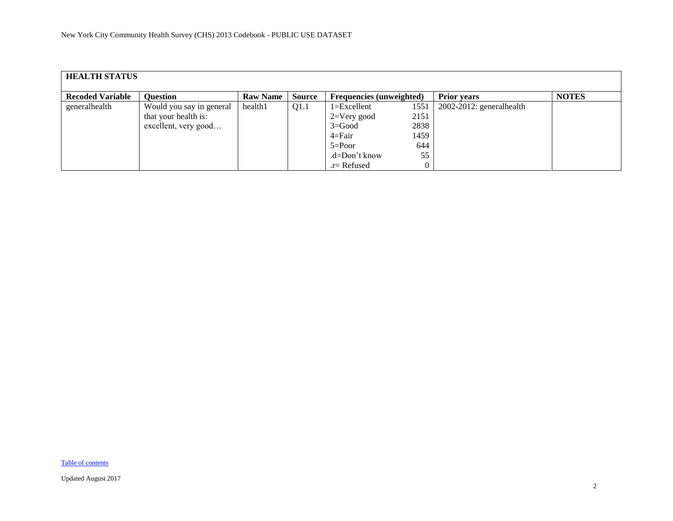<span id="page-1-0"></span>

| <b>HEALTH STATUS</b>    |                                                                          |                 |               |                                                                                              |                                           |                             |              |  |  |  |  |
|-------------------------|--------------------------------------------------------------------------|-----------------|---------------|----------------------------------------------------------------------------------------------|-------------------------------------------|-----------------------------|--------------|--|--|--|--|
| <b>Recoded Variable</b> | <b>Question</b>                                                          | <b>Raw Name</b> | <b>Source</b> | <b>Frequencies (unweighted)</b>                                                              |                                           | <b>Prior years</b>          | <b>NOTES</b> |  |  |  |  |
| generalhealth           | Would you say in general<br>that your health is:<br>excellent, very good | health1         | Q1.1          | $1 = Excellent$<br>$2=V$ ery good<br>$3 = Good$<br>$4 = Fair$<br>$5 = Poor$<br>.d=Don't know | 1551<br>2151<br>2838<br>1459<br>644<br>55 | $2002-2012$ : generalhealth |              |  |  |  |  |
|                         |                                                                          |                 |               | $r =$ Refused                                                                                |                                           |                             |              |  |  |  |  |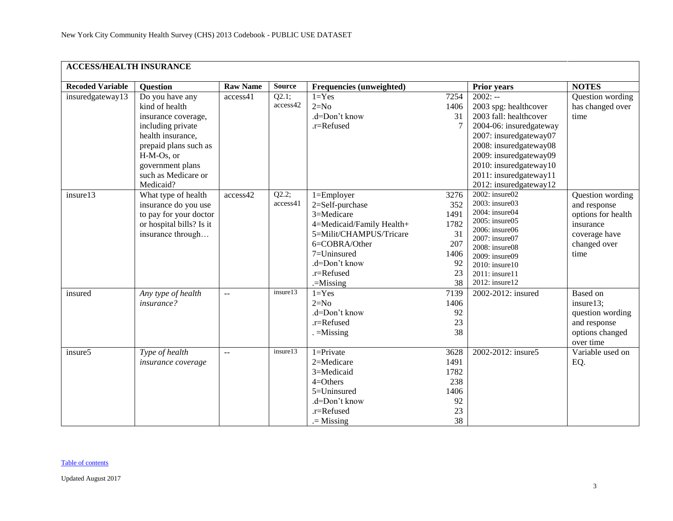<span id="page-2-0"></span>

| <b>ACCESS/HEALTH INSURANCE</b> |                                                                                                                                                                                                   |                 |                   |                                                                                                                                                                                     |                                                                    |                                                                                                                                                                                                                                                     |                                                                                                              |
|--------------------------------|---------------------------------------------------------------------------------------------------------------------------------------------------------------------------------------------------|-----------------|-------------------|-------------------------------------------------------------------------------------------------------------------------------------------------------------------------------------|--------------------------------------------------------------------|-----------------------------------------------------------------------------------------------------------------------------------------------------------------------------------------------------------------------------------------------------|--------------------------------------------------------------------------------------------------------------|
| <b>Recoded Variable</b>        | <b>Question</b>                                                                                                                                                                                   | <b>Raw Name</b> | <b>Source</b>     | <b>Frequencies (unweighted)</b>                                                                                                                                                     |                                                                    | <b>Prior years</b>                                                                                                                                                                                                                                  | <b>NOTES</b>                                                                                                 |
| insuredgateway13               | Do you have any<br>kind of health<br>insurance coverage,<br>including private<br>health insurance,<br>prepaid plans such as<br>H-M-Os, or<br>government plans<br>such as Medicare or<br>Medicaid? | access41        | Q2.1;<br>access42 | $1 = Yes$<br>$2=N0$<br>.d=Don't know<br>.r=Refused                                                                                                                                  | 7254<br>1406<br>31<br>$\overline{7}$                               | $2002: -$<br>2003 spg: healthcover<br>2003 fall: healthcover<br>2004-06: insuredgateway<br>2007: insuredgateway07<br>2008: insuredgateway08<br>2009: insuredgateway09<br>2010: insuredgateway10<br>2011: insuredgateway11<br>2012: insuredgateway12 | Question wording<br>has changed over<br>time                                                                 |
| insure13                       | What type of health<br>insurance do you use<br>to pay for your doctor<br>or hospital bills? Is it<br>insurance through                                                                            | access42        | Q2.2;<br>access41 | $1 =$ Employer<br>2=Self-purchase<br>3=Medicare<br>4=Medicaid/Family Health+<br>5=Milit/CHAMPUS/Tricare<br>6=COBRA/Other<br>7=Uninsured<br>.d=Don't know<br>.r=Refused<br>.=Missing | 3276<br>352<br>1491<br>1782<br>31<br>207<br>1406<br>92<br>23<br>38 | 2002: insure02<br>2003: insure03<br>2004: insure04<br>2005: insure05<br>2006: insure06<br>2007: insure07<br>2008: insure08<br>2009: insure09<br>2010: insure10<br>2011: insure11<br>2012: insure12                                                  | Question wording<br>and response<br>options for health<br>insurance<br>coverage have<br>changed over<br>time |
| insured                        | Any type of health<br>insurance?                                                                                                                                                                  | $\sim$          | insure13          | $1 = Yes$<br>$2=N0$<br>.d=Don't know<br>.r=Refused<br>$=$ Missing                                                                                                                   | 7139<br>1406<br>92<br>23<br>38                                     | 2002-2012: insured                                                                                                                                                                                                                                  | <b>Based</b> on<br>insure13;<br>question wording<br>and response<br>options changed<br>over time             |
| insure5                        | Type of health<br>insurance coverage                                                                                                                                                              | $\equiv$        | insure13          | $1 =$ Private<br>2=Medicare<br>3=Medicaid<br>$4=O$ thers<br>5=Uninsured<br>.d=Don't know<br>.r=Refused<br>$=$ Missing                                                               | 3628<br>1491<br>1782<br>238<br>1406<br>92<br>23<br>38              | 2002-2012: insure5                                                                                                                                                                                                                                  | Variable used on<br>EQ.                                                                                      |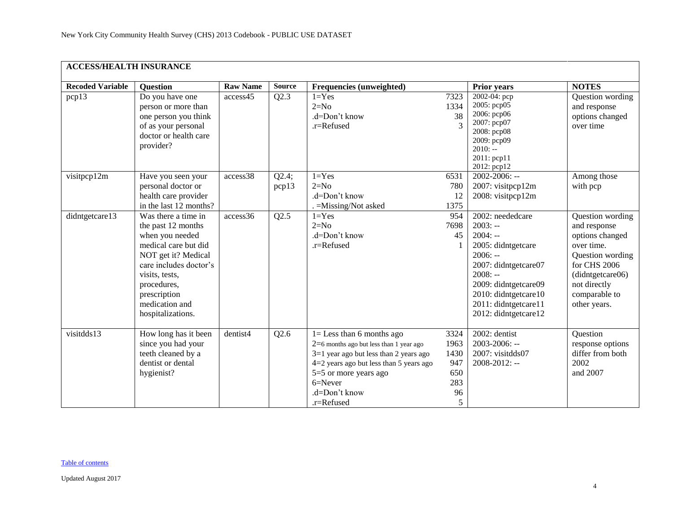| <b>ACCESS/HEALTH INSURANCE</b> |                                                                                                                                                                                                                               |                 |                |                                                                                                                                                                                                                                           |                                                      |                                                                                                                                                                                                                    |                                                                                                                                                                            |
|--------------------------------|-------------------------------------------------------------------------------------------------------------------------------------------------------------------------------------------------------------------------------|-----------------|----------------|-------------------------------------------------------------------------------------------------------------------------------------------------------------------------------------------------------------------------------------------|------------------------------------------------------|--------------------------------------------------------------------------------------------------------------------------------------------------------------------------------------------------------------------|----------------------------------------------------------------------------------------------------------------------------------------------------------------------------|
| <b>Recoded Variable</b>        | <b>Question</b>                                                                                                                                                                                                               | <b>Raw Name</b> | <b>Source</b>  | Frequencies (unweighted)                                                                                                                                                                                                                  |                                                      | <b>Prior years</b>                                                                                                                                                                                                 | <b>NOTES</b>                                                                                                                                                               |
| pcp13                          | Do you have one<br>person or more than<br>one person you think<br>of as your personal<br>doctor or health care<br>provider?                                                                                                   | access45        | Q2.3           | $1 = Yes$<br>$2=N0$<br>.d=Don't know<br>.r=Refused                                                                                                                                                                                        | 7323<br>1334<br>38<br>$\mathcal{R}$                  | 2002-04: pcp<br>2005: pcp05<br>2006: рер06<br>2007: pcp07<br>2008: pcp08<br>2009: pcp09<br>$2010: -$<br>2011: pcp11<br>2012: pcp12                                                                                 | Question wording<br>and response<br>options changed<br>over time                                                                                                           |
| visitpcp12m                    | Have you seen your<br>personal doctor or<br>health care provider<br>in the last 12 months?                                                                                                                                    | access38        | Q2.4;<br>pcp13 | $1 = Yes$<br>$2=N0$<br>.d=Don't know<br>=Missing/Not asked                                                                                                                                                                                | 6531<br>780<br>12<br>1375                            | $2002 - 2006$ : --<br>2007: visitpcp12m<br>2008: visitpcp12m                                                                                                                                                       | Among those<br>with pcp                                                                                                                                                    |
| didntgetcare13                 | Was there a time in<br>the past 12 months<br>when you needed<br>medical care but did<br>NOT get it? Medical<br>care includes doctor's<br>visits, tests,<br>procedures,<br>prescription<br>medication and<br>hospitalizations. | access36        | Q2.5           | $1 = Yes$<br>$2=N0$<br>.d=Don't know<br>.r=Refused                                                                                                                                                                                        | 954<br>7698<br>45                                    | 2002: neededcare<br>$2003: -$<br>$2004: -$<br>2005: didntgetcare<br>$2006: -$<br>2007: didntgetcare07<br>$2008: -$<br>2009: didntgetcare09<br>2010: didntgetcare10<br>2011: didntgetcare11<br>2012: didntgetcare12 | Question wording<br>and response<br>options changed<br>over time.<br>Question wording<br>for CHS 2006<br>(didntgetcare06)<br>not directly<br>comparable to<br>other years. |
| visitdds13                     | How long has it been<br>since you had your<br>teeth cleaned by a<br>dentist or dental<br>hygienist?                                                                                                                           | dentist4        | Q2.6           | $1 =$ Less than 6 months ago<br>$2=6$ months ago but less than 1 year ago<br>$3=1$ year ago but less than 2 years ago<br>$4=2$ years ago but less than 5 years ago<br>5=5 or more years ago<br>$6 =$ Never<br>.d=Don't know<br>.r=Refused | 3324<br>1963<br>1430<br>947<br>650<br>283<br>96<br>5 | 2002: dentist<br>2003-2006: --<br>2007: visitdds07<br>2008-2012: --                                                                                                                                                | Question<br>response options<br>differ from both<br>2002<br>and 2007                                                                                                       |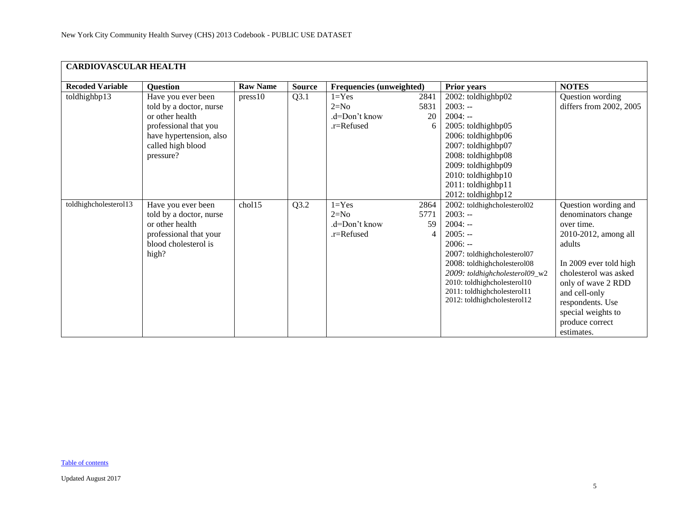<span id="page-4-0"></span>

| <b>CARDIOVASCULAR HEALTH</b> |                                                                                                                                                        |                 |               |                                                    |                         |                                                                                                                                                                                                                                                                              |                                                                                                                                                                                                                                                                  |  |  |  |  |
|------------------------------|--------------------------------------------------------------------------------------------------------------------------------------------------------|-----------------|---------------|----------------------------------------------------|-------------------------|------------------------------------------------------------------------------------------------------------------------------------------------------------------------------------------------------------------------------------------------------------------------------|------------------------------------------------------------------------------------------------------------------------------------------------------------------------------------------------------------------------------------------------------------------|--|--|--|--|
| <b>Recoded Variable</b>      | <b>Question</b>                                                                                                                                        | <b>Raw Name</b> | <b>Source</b> | <b>Frequencies (unweighted)</b>                    |                         | Prior years                                                                                                                                                                                                                                                                  | <b>NOTES</b>                                                                                                                                                                                                                                                     |  |  |  |  |
| toldhighbp13                 | Have you ever been<br>told by a doctor, nurse<br>or other health<br>professional that you<br>have hypertension, also<br>called high blood<br>pressure? | press10         | Q3.1          | $1 = Yes$<br>$2=N0$<br>.d=Don't know<br>.r=Refused | 2841<br>5831<br>20<br>6 | 2002: toldhighbp02<br>$2003: -$<br>$2004: -$<br>2005: toldhighbp05<br>2006: toldhighbp06<br>2007: toldhighbp07<br>2008: toldhighbp08<br>2009: toldhighbp09<br>2010: toldhighbp10<br>2011: toldhighbp11<br>2012: toldhighbp12                                                 | Question wording<br>differs from 2002, 2005                                                                                                                                                                                                                      |  |  |  |  |
| toldhighcholesterol13        | Have you ever been<br>told by a doctor, nurse<br>or other health<br>professional that your<br>blood cholesterol is<br>high?                            | chol15          | Q3.2          | $1 = Yes$<br>$2=N0$<br>.d=Don't know<br>.r=Refused | 2864<br>5771<br>59<br>4 | 2002: toldhighcholesterol02<br>$2003: -$<br>$2004: -$<br>$2005: -$<br>$2006: -$<br>2007: toldhighcholesterol07<br>2008: toldhighcholesterol08<br>2009: toldhighcholesterol09_w2<br>2010: toldhighcholesterol10<br>2011: toldhighcholesterol11<br>2012: toldhighcholesterol12 | Question wording and<br>denominators change<br>over time.<br>2010-2012, among all<br>adults<br>In 2009 ever told high<br>cholesterol was asked<br>only of wave 2 RDD<br>and cell-only<br>respondents. Use<br>special weights to<br>produce correct<br>estimates. |  |  |  |  |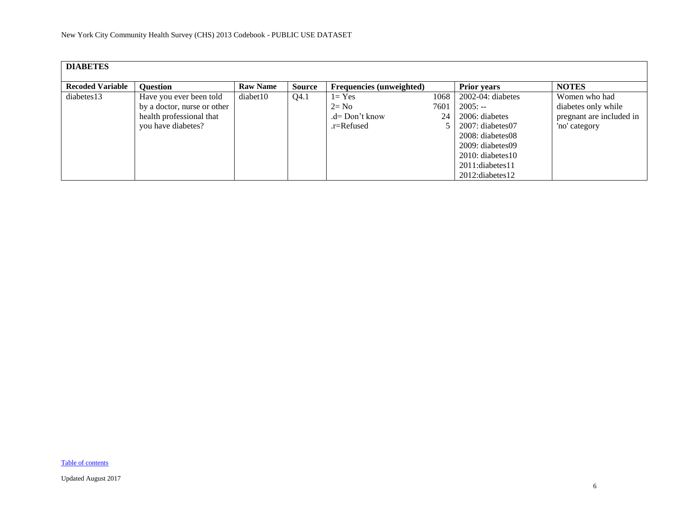<span id="page-5-0"></span>

| <b>DIABETES</b>         |                             |                 |               |                                 |      |                        |                          |
|-------------------------|-----------------------------|-----------------|---------------|---------------------------------|------|------------------------|--------------------------|
| <b>Recoded Variable</b> | <b>Ouestion</b>             | <b>Raw Name</b> | <b>Source</b> | <b>Frequencies (unweighted)</b> |      | <b>Prior years</b>     | <b>NOTES</b>             |
| diabetes13              | Have you ever been told     | diabet10        | Q4.1          | $1 = Yes$                       | 1068 | $2002-04$ : diabetes   | Women who had            |
|                         | by a doctor, nurse or other |                 |               | $2=$ No                         | 7601 | $2005: -$              | diabetes only while      |
|                         | health professional that    |                 |               | $d=$ Don't know                 | 24   | 2006: diabetes         | pregnant are included in |
|                         | you have diabetes?          |                 |               | .r=Refused                      |      | $2007$ : diabetes $07$ | 'no' category            |
|                         |                             |                 |               |                                 |      | 2008: diabetes08       |                          |
|                         |                             |                 |               |                                 |      | $2009:$ diabetes 09    |                          |
|                         |                             |                 |               |                                 |      | $2010$ : diabetes 10   |                          |
|                         |                             |                 |               |                                 |      | 2011:diabetes11        |                          |
|                         |                             |                 |               |                                 |      | 2012: diabetes 12      |                          |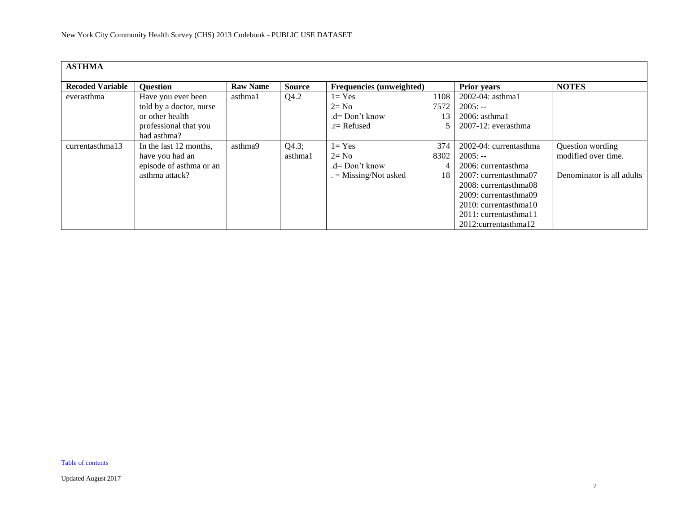<span id="page-6-0"></span>

| <b>ASTHMA</b>           |                         |                 |               |                          |      |                                   |                           |
|-------------------------|-------------------------|-----------------|---------------|--------------------------|------|-----------------------------------|---------------------------|
|                         |                         |                 |               |                          |      |                                   |                           |
| <b>Recoded Variable</b> | <b>Question</b>         | <b>Raw Name</b> | <b>Source</b> | Frequencies (unweighted) |      | <b>Prior years</b>                | <b>NOTES</b>              |
| everasthma              | Have you ever been      | asthma1         | Q4.2          | $1 = Yes$                | 1108 | $2002 - 04$ : asthma1             |                           |
|                         | told by a doctor, nurse |                 |               | $2 = No$                 | 7572 | $2005: -$                         |                           |
|                         | or other health         |                 |               | $d=Don't know$           | 13   | $2006:$ asthma1                   |                           |
|                         | professional that you   |                 |               | $r =$ Refused            |      | $2007-12$ : everasthma            |                           |
|                         | had asthma?             |                 |               |                          |      |                                   |                           |
| currentasthma13         | In the last 12 months,  | asthma9         | Q4.3;         | $1 = Yes$                | 374  | 2002-04: currentasthma            | Question wording          |
|                         | have you had an         |                 | asthma1       | $2 = No$                 | 8302 | $2005: -$                         | modified over time.       |
|                         | episode of asthma or an |                 |               | $d=Don't know$           | 4    | 2006: currentasthma               |                           |
|                         | asthma attack?          |                 |               | $=$ Missing/Not asked    | 18   | 2007: currentasthma07             | Denominator is all adults |
|                         |                         |                 |               |                          |      | 2008: currentasthma08             |                           |
|                         |                         |                 |               |                          |      | 2009: currentasthma09             |                           |
|                         |                         |                 |               |                          |      | 2010: currentasthma10             |                           |
|                         |                         |                 |               |                          |      | 2011: currentasthma11             |                           |
|                         |                         |                 |               |                          |      | 2012: currentasthma <sub>12</sub> |                           |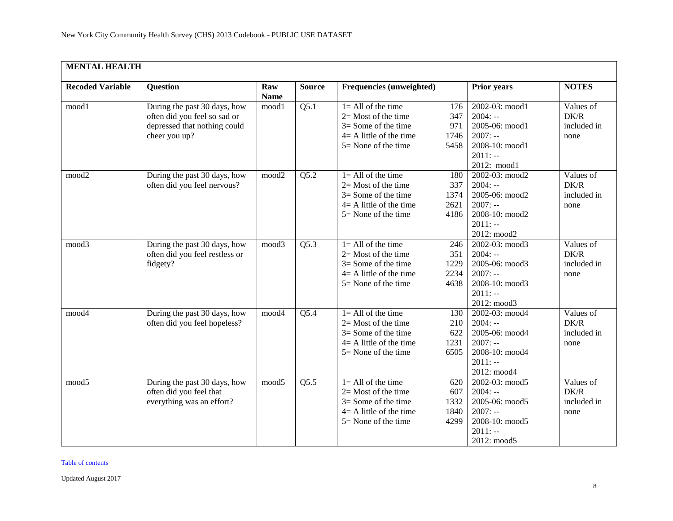<span id="page-7-0"></span>

| <b>MENTAL HEALTH</b>    |                                                                                                               |                    |               |                                                                                                                                  |                                    |                                                                                                          |                                          |
|-------------------------|---------------------------------------------------------------------------------------------------------------|--------------------|---------------|----------------------------------------------------------------------------------------------------------------------------------|------------------------------------|----------------------------------------------------------------------------------------------------------|------------------------------------------|
| <b>Recoded Variable</b> | <b>Question</b>                                                                                               | Raw<br><b>Name</b> | <b>Source</b> | Frequencies (unweighted)                                                                                                         |                                    | <b>Prior years</b>                                                                                       | <b>NOTES</b>                             |
| mood1                   | During the past 30 days, how<br>often did you feel so sad or<br>depressed that nothing could<br>cheer you up? | mood1              | Q5.1          | $1 = All of the time$<br>$2=$ Most of the time<br>$3 =$ Some of the time<br>$4 = A$ little of the time<br>$5 =$ None of the time | 176<br>347<br>971<br>1746<br>5458  | 2002-03: mood1<br>$2004: -$<br>2005-06: mood1<br>$2007: -$<br>2008-10: mood1<br>$2011: -$<br>2012: mood1 | Values of<br>DK/R<br>included in<br>none |
| mood <sub>2</sub>       | During the past 30 days, how<br>often did you feel nervous?                                                   | mood2              | Q5.2          | $1 =$ All of the time<br>$2=$ Most of the time<br>$3 =$ Some of the time<br>$4 = A$ little of the time<br>$5 =$ None of the time | 180<br>337<br>1374<br>2621<br>4186 | 2002-03: mood2<br>$2004: -$<br>2005-06: mood2<br>$2007: -$<br>2008-10: mood2<br>$2011: -$<br>2012: mood2 | Values of<br>DK/R<br>included in<br>none |
| mood3                   | During the past 30 days, how<br>often did you feel restless or<br>fidgety?                                    | mood3              | Q5.3          | $1 = All of the time$<br>$2=$ Most of the time<br>$3 =$ Some of the time<br>$4 = A$ little of the time<br>$5 =$ None of the time | 246<br>351<br>1229<br>2234<br>4638 | 2002-03: mood3<br>$2004: -$<br>2005-06: mood3<br>$2007: -$<br>2008-10: mood3<br>$2011: -$<br>2012: mood3 | Values of<br>DK/R<br>included in<br>none |
| mood4                   | During the past 30 days, how<br>often did you feel hopeless?                                                  | mood4              | Q5.4          | $1 = All of the time$<br>$2=$ Most of the time<br>$3 =$ Some of the time<br>$4 = A$ little of the time<br>$5 =$ None of the time | 130<br>210<br>622<br>1231<br>6505  | 2002-03: mood4<br>$2004: -$<br>2005-06: mood4<br>$2007: -$<br>2008-10: mood4<br>$2011: -$<br>2012: mood4 | Values of<br>DK/R<br>included in<br>none |
| mood5                   | During the past 30 days, how<br>often did you feel that<br>everything was an effort?                          | mood5              | Q5.5          | $1 = All of the time$<br>$2=$ Most of the time<br>$3 =$ Some of the time<br>$4 = A$ little of the time<br>$5 =$ None of the time | 620<br>607<br>1332<br>1840<br>4299 | 2002-03: mood5<br>$2004: -$<br>2005-06: mood5<br>$2007: -$<br>2008-10: mood5<br>$2011: -$<br>2012: mood5 | Values of<br>DK/R<br>included in<br>none |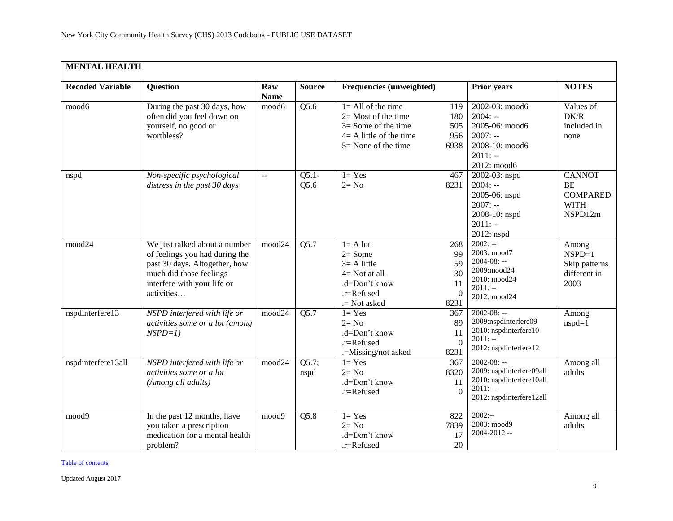| <b>MENTAL HEALTH</b>    |                                                                                                                                                                          |                           |                  |                                                                                                                                  |                                                 |                                                                                                                 |                                                                         |
|-------------------------|--------------------------------------------------------------------------------------------------------------------------------------------------------------------------|---------------------------|------------------|----------------------------------------------------------------------------------------------------------------------------------|-------------------------------------------------|-----------------------------------------------------------------------------------------------------------------|-------------------------------------------------------------------------|
| <b>Recoded Variable</b> | <b>Question</b>                                                                                                                                                          | Raw<br><b>Name</b>        | <b>Source</b>    | Frequencies (unweighted)                                                                                                         |                                                 | Prior years                                                                                                     | <b>NOTES</b>                                                            |
| mood6                   | During the past 30 days, how<br>often did you feel down on<br>yourself, no good or<br>worthless?                                                                         | mood6                     | Q5.6             | $1 = All of the time$<br>$2=$ Most of the time<br>$3 =$ Some of the time<br>$4 = A$ little of the time<br>$5 =$ None of the time | 119<br>180<br>505<br>956<br>6938                | 2002-03: mood6<br>$2004: -$<br>2005-06: mood6<br>$2007: -$<br>2008-10: mood6<br>$2011: -$<br>2012: mood6        | Values of<br>DK/R<br>included in<br>none                                |
| nspd                    | Non-specific psychological<br>distress in the past 30 days                                                                                                               | $\mathbb{L}^{\mathbb{L}}$ | $Q5.1 -$<br>Q5.6 | $l = Yes$<br>$2 = No$                                                                                                            | 467<br>8231                                     | 2002-03: nspd<br>$2004: -$<br>2005-06: nspd<br>$2007: -$<br>2008-10: nspd<br>$2011: -$<br>2012: nspd            | <b>CANNOT</b><br><b>BE</b><br><b>COMPARED</b><br><b>WITH</b><br>NSPD12m |
| mood24                  | We just talked about a number<br>of feelings you had during the<br>past 30 days. Altogether, how<br>much did those feelings<br>interfere with your life or<br>activities | mood24                    | Q5.7             | $l = A lot$<br>$2 = Some$<br>$3 = A$ little<br>$4 = Not$ at all<br>.d=Don't know<br>.r=Refused<br>.= Not asked                   | 268<br>99<br>59<br>30<br>11<br>$\theta$<br>8231 | $2002: -$<br>2003: mood7<br>$2004 - 08: -$<br>2009:mood24<br>2010: mood24<br>$2011: -$<br>2012: mood24          | Among<br>$NSPD=1$<br>Skip patterns<br>different in<br>2003              |
| nspdinterfere13         | NSPD interfered with life or<br>activities some or a lot (among<br>$NSPD=1$ )                                                                                            | mood24                    | Q5.7             | $1 = Yes$<br>$2 = No$<br>.d=Don't know<br>.r=Refused<br>.=Missing/not asked                                                      | 367<br>89<br>11<br>$\Omega$<br>8231             | $2002 - 08: -$<br>2009:nspdinterfere09<br>2010: nspdinterfere10<br>$2011: -$<br>2012: nspdinterfere12           | Among<br>$nspd=1$                                                       |
| nspdinterfere13all      | NSPD interfered with life or<br>activities some or a lot<br>(Among all adults)                                                                                           | mood24                    | Q5.7;<br>nspd    | $1 = Yes$<br>$2 = No$<br>.d=Don't know<br>.r=Refused                                                                             | 367<br>8320<br>11<br>$\Omega$                   | $2002 - 08: -$<br>2009: nspdinterfere09all<br>2010: nspdinterfere10all<br>$2011: -$<br>2012: nspdinterfere12all | Among all<br>adults                                                     |
| mood9                   | In the past 12 months, have<br>you taken a prescription<br>medication for a mental health<br>problem?                                                                    | mood9                     | Q5.8             | $1 = Yes$<br>$2 = No$<br>.d=Don't know<br>.r=Refused                                                                             | 822<br>7839<br>17<br>20                         | $2002: -$<br>2003: mood9<br>2004-2012 --                                                                        | Among all<br>adults                                                     |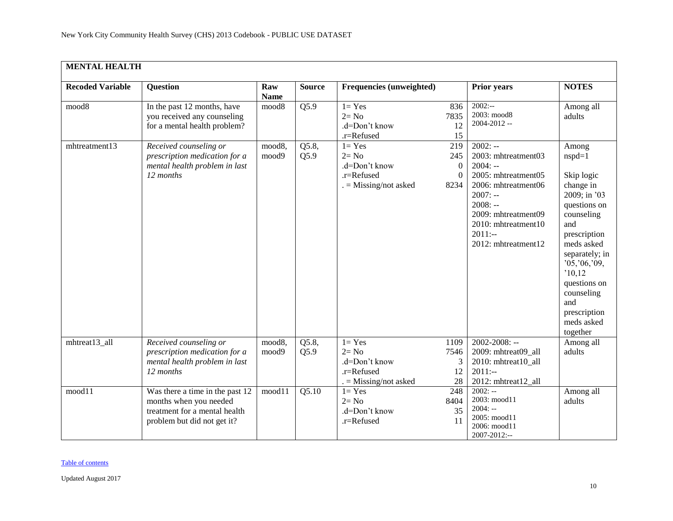| <b>MENTAL HEALTH</b>    |                                                                                                                           |                    |               |                                                                               |                                                        |                                                                                                                                                                                                        |                                                                                                                                                                                                                                                              |
|-------------------------|---------------------------------------------------------------------------------------------------------------------------|--------------------|---------------|-------------------------------------------------------------------------------|--------------------------------------------------------|--------------------------------------------------------------------------------------------------------------------------------------------------------------------------------------------------------|--------------------------------------------------------------------------------------------------------------------------------------------------------------------------------------------------------------------------------------------------------------|
| <b>Recoded Variable</b> | <b>Question</b>                                                                                                           | Raw<br><b>Name</b> | <b>Source</b> | Frequencies (unweighted)                                                      |                                                        | <b>Prior years</b>                                                                                                                                                                                     | <b>NOTES</b>                                                                                                                                                                                                                                                 |
| mood8                   | In the past 12 months, have<br>you received any counseling<br>for a mental health problem?                                | mood8              | Q5.9          | $1 = Yes$<br>$2 = No$<br>.d=Don't know<br>.r=Refused                          | 836<br>7835<br>12<br>15                                | $2002: -$<br>2003: mood8<br>2004-2012 --                                                                                                                                                               | Among all<br>adults                                                                                                                                                                                                                                          |
| mhtreatment13           | Received counseling or<br>prescription medication for a<br>mental health problem in last<br>12 months                     | mood8,<br>mood9    | Q5.8,<br>Q5.9 | $1 = Yes$<br>$2 = No$<br>.d=Don't know<br>.r=Refused<br>$=$ Missing/not asked | 219<br>245<br>$\overline{0}$<br>$\overline{0}$<br>8234 | $2002: -$<br>2003: mhtreatment03<br>$2004: -$<br>2005: mhtreatment05<br>2006: mhtreatment06<br>$2007: -$<br>$2008: -$<br>2009: mhtreatment09<br>2010: mhtreatment10<br>$2011:-$<br>2012: mhtreatment12 | Among<br>$nspd=1$<br>Skip logic<br>change in<br>2009; in '03<br>questions on<br>counseling<br>and<br>prescription<br>meds asked<br>separately; in<br>'05, '06, '09,<br>'10,12<br>questions on<br>counseling<br>and<br>prescription<br>meds asked<br>together |
| mhtreat13_all           | Received counseling or<br>prescription medication for a<br>mental health problem in last<br>12 months                     | mood8,<br>mood9    | Q5.8,<br>Q5.9 | $1 = Yes$<br>$2 = No$<br>.d=Don't know<br>.r=Refused<br>. = Missing/not asked | 1109<br>7546<br>3<br>12<br>28                          | $2002 - 2008$ : --<br>2009: mhtreat09_all<br>2010: mhtreat10_all<br>$2011:-$<br>2012: mhtreat12_all                                                                                                    | Among all<br>adults                                                                                                                                                                                                                                          |
| mood11                  | Was there a time in the past 12<br>months when you needed<br>treatment for a mental health<br>problem but did not get it? | mood11             | Q5.10         | $1 = Yes$<br>$2 = No$<br>.d=Don't know<br>.r=Refused                          | 248<br>8404<br>35<br>11                                | $2002: -$<br>2003: mood11<br>$2004: -$<br>2005: mood11<br>2006: mood11<br>2007-2012:--                                                                                                                 | Among all<br>adults                                                                                                                                                                                                                                          |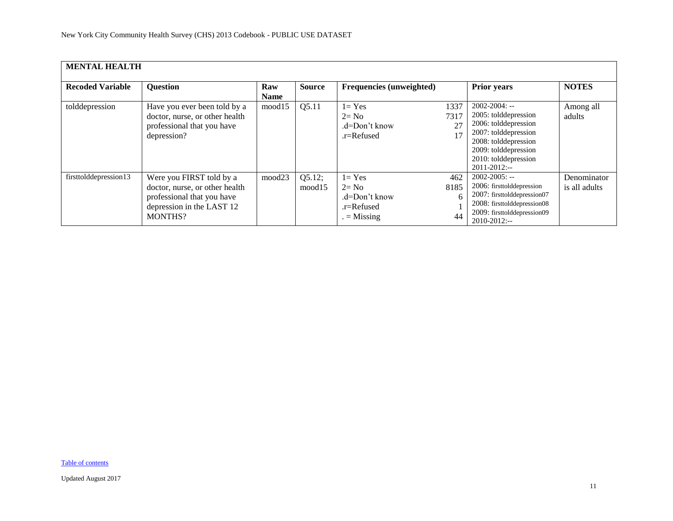| <b>MENTAL HEALTH</b>    |                                                                                                                                         |                    |                  |                                                                        |                          |                                                                                                                                                                                         |                              |
|-------------------------|-----------------------------------------------------------------------------------------------------------------------------------------|--------------------|------------------|------------------------------------------------------------------------|--------------------------|-----------------------------------------------------------------------------------------------------------------------------------------------------------------------------------------|------------------------------|
| <b>Recoded Variable</b> | <b>Question</b>                                                                                                                         | Raw<br><b>Name</b> | <b>Source</b>    | Frequencies (unweighted)                                               |                          | <b>Prior years</b>                                                                                                                                                                      | <b>NOTES</b>                 |
| tolddepression          | Have you ever been told by a<br>doctor, nurse, or other health<br>professional that you have<br>depression?                             | mood15             | Q5.11            | $1 = Yes$<br>$2 = No$<br>.d=Don't know<br>$r =$ Refused                | 1337<br>7317<br>27<br>17 | $2002 - 2004$ : --<br>2005: tolddepression<br>2006: tolddepression<br>2007: tolddepression<br>2008: tolddepression<br>2009: tolddepression<br>2010: tolddepression<br>$2011 - 2012$ :-- | Among all<br>adults          |
| firsttolddepression13   | Were you FIRST told by a<br>doctor, nurse, or other health<br>professional that you have<br>depression in the LAST 12<br><b>MONTHS?</b> | mood23             | Q5.12;<br>mood15 | $1 = Yes$<br>$2 = No$<br>.d=Don't know<br>$r =$ Refused<br>$=$ Missing | 462<br>8185<br>6<br>44   | $2002 - 2005$ : --<br>2006: firsttolddepression<br>2007: firsttolddepression07<br>2008: firsttolddepression08<br>2009: firsttolddepression09<br>$2010 - 2012$ :--                       | Denominator<br>is all adults |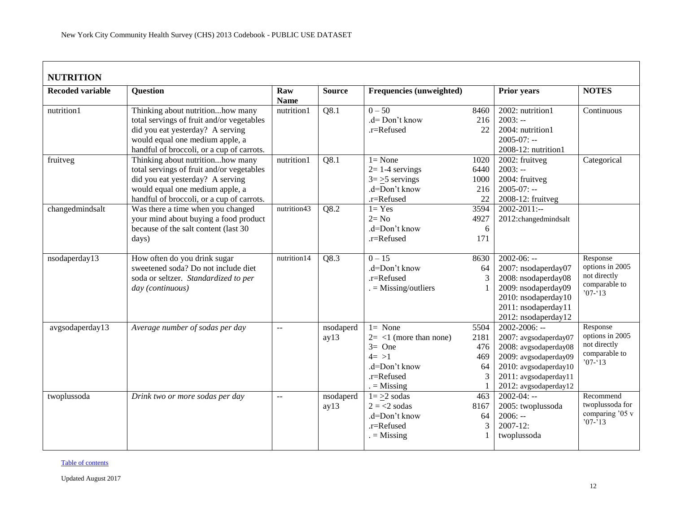<span id="page-11-0"></span>

| <b>Recoded variable</b> | <b>Question</b>                           | Raw            | <b>Source</b> | <b>Frequencies (unweighted)</b> |      | <b>Prior years</b>    | <b>NOTES</b>                       |
|-------------------------|-------------------------------------------|----------------|---------------|---------------------------------|------|-----------------------|------------------------------------|
|                         |                                           | <b>Name</b>    |               |                                 |      |                       |                                    |
| nutrition1              | Thinking about nutritionhow many          | nutrition1     | Q8.1          | $0 - 50$                        | 8460 | 2002: nutrition1      | Continuous                         |
|                         | total servings of fruit and/or vegetables |                |               | .d= Don't know                  | 216  | $2003: -$             |                                    |
|                         | did you eat yesterday? A serving          |                |               | .r=Refused                      | 22   | 2004: nutrition1      |                                    |
|                         | would equal one medium apple, a           |                |               |                                 |      | $2005 - 07$ : --      |                                    |
|                         | handful of broccoli, or a cup of carrots. |                |               |                                 |      | 2008-12: nutrition1   |                                    |
| fruitveg                | Thinking about nutritionhow many          | nutrition1     | Q8.1          | $1 = None$                      | 1020 | 2002: fruitveg        | Categorical                        |
|                         | total servings of fruit and/or vegetables |                |               | $2=1-4$ servings                | 6440 | $2003: -$             |                                    |
|                         | did you eat yesterday? A serving          |                |               | $3 = \ge 5$ servings            | 1000 | 2004: fruitveg        |                                    |
|                         | would equal one medium apple, a           |                |               | .d=Don't know                   | 216  | $2005 - 07$ : --      |                                    |
|                         | handful of broccoli, or a cup of carrots. |                |               | .r=Refused                      | 22   | 2008-12: fruitveg     |                                    |
| changedmindsalt         | Was there a time when you changed         | nutrition43    | Q8.2          | $1 = Yes$                       | 3594 | $2002 - 2011$ :--     |                                    |
|                         | your mind about buying a food product     |                |               | $2 = No$                        | 4927 | 2012:changedmindsalt  |                                    |
|                         | because of the salt content (last 30      |                |               | .d=Don't know                   | 6    |                       |                                    |
|                         | days)                                     |                |               | .r=Refused                      | 171  |                       |                                    |
| nsodaperday13           | How often do you drink sugar              | nutrition14    | Q8.3          | $0 - 15$                        | 8630 | $2002 - 06: -$        | Response                           |
|                         | sweetened soda? Do not include diet       |                |               | .d=Don't know                   | 64   | 2007: nsodaperday07   | options in 2005                    |
|                         | soda or seltzer. Standardized to per      |                |               | .r=Refused                      |      | 2008: nsodaperday08   | not directly                       |
|                         | day (continuous)                          |                |               | $=$ Missing/outliers            |      | 2009: nsodaperday09   | comparable to<br>$707 - 13$        |
|                         |                                           |                |               |                                 |      | 2010: nsodaperday10   |                                    |
|                         |                                           |                |               |                                 |      | 2011: nsodaperday11   |                                    |
|                         |                                           |                |               |                                 |      | 2012: nsodaperday12   |                                    |
| avgsodaperday13         | Average number of sodas per day           | $\overline{a}$ | nsodaperd     | $1 = None$                      | 5504 | $2002 - 2006$ : --    | Response                           |
|                         |                                           |                | ay13          | $2 = 1$ (more than none)        | 2181 | 2007: avgsodaperday07 | options in 2005<br>not directly    |
|                         |                                           |                |               | $3=$ One                        | 476  | 2008: avgsodaperday08 | comparable to                      |
|                         |                                           |                |               | $4 = >1$                        | 469  | 2009: avgsodaperday09 | $'07 - 13$                         |
|                         |                                           |                |               | .d=Don't know                   | 64   | 2010: avgsodaperday10 |                                    |
|                         |                                           |                |               | .r=Refused                      |      | 2011: avgsodaperday11 |                                    |
|                         |                                           |                |               | $=$ Missing                     |      | 2012: avgsodaperday12 |                                    |
| twoplussoda             | Drink two or more sodas per day           | $\mathbb{L}$ . | nsodaperd     | $1 = \geq 2$ sodas              | 463  | $2002 - 04: -$        | Recommend                          |
|                         |                                           |                | ay13          | $2 = 2$ sodas                   | 8167 | 2005: twoplussoda     | twoplussoda for<br>comparing '05 v |
|                         |                                           |                |               | .d=Don't know                   | 64   | $2006: -$             | $'07-'13$                          |
|                         |                                           |                |               | .r=Refused                      | 3    | $2007 - 12$ :         |                                    |
|                         |                                           |                |               | $=$ Missing                     |      | twoplussoda           |                                    |
|                         |                                           |                |               |                                 |      |                       |                                    |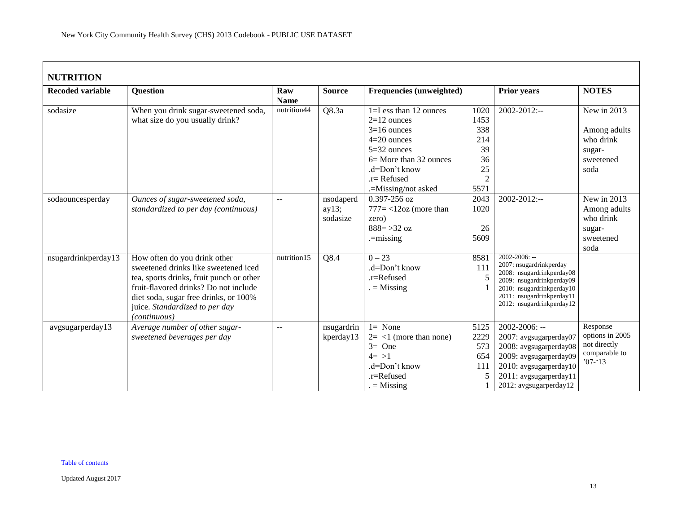| <b>NUTRITION</b>        |                                                                                                                                                                                                                                                      |                    |                                |                                                                                                                                                          |                                                                |                                                                                                                                                                                                |                                                                           |  |  |  |
|-------------------------|------------------------------------------------------------------------------------------------------------------------------------------------------------------------------------------------------------------------------------------------------|--------------------|--------------------------------|----------------------------------------------------------------------------------------------------------------------------------------------------------|----------------------------------------------------------------|------------------------------------------------------------------------------------------------------------------------------------------------------------------------------------------------|---------------------------------------------------------------------------|--|--|--|
| <b>Recoded variable</b> | <b>Question</b>                                                                                                                                                                                                                                      | Raw<br><b>Name</b> | <b>Source</b>                  | <b>Frequencies (unweighted)</b>                                                                                                                          |                                                                | <b>Prior years</b>                                                                                                                                                                             | <b>NOTES</b>                                                              |  |  |  |
| sodasize                | When you drink sugar-sweetened soda,<br>what size do you usually drink?                                                                                                                                                                              | nutrition44        | Q8.3a                          | 1=Less than 12 ounces<br>$2=12$ ounces<br>$3=16$ ounces<br>$4=20$ ounces<br>$5=32$ ounces<br>$6=$ More than 32 ounces<br>.d=Don't know<br>$.r =$ Refused | 1020<br>1453<br>338<br>214<br>39<br>36<br>25<br>$\overline{2}$ | 2002-2012:--                                                                                                                                                                                   | New in 2013<br>Among adults<br>who drink<br>sugar-<br>sweetened<br>soda   |  |  |  |
| sodaouncesperday        | Ounces of sugar-sweetened soda,<br>standardized to per day (continuous)                                                                                                                                                                              | $-$                | nsodaperd<br>ay13;<br>sodasize | .=Missing/not asked<br>0.397-256 oz<br>$777 = < 12oz$ (more than<br>zero)<br>$888 = > 32$ oz<br>$=$ missing                                              | 5571<br>2043<br>1020<br>26<br>5609                             | $2002 - 2012$ :--                                                                                                                                                                              | New in 2013<br>Among adults<br>who drink<br>sugar-<br>sweetened<br>soda   |  |  |  |
| nsugardrinkperday13     | How often do you drink other<br>sweetened drinks like sweetened iced<br>tea, sports drinks, fruit punch or other<br>fruit-flavored drinks? Do not include<br>diet soda, sugar free drinks, or 100%<br>juice. Standardized to per day<br>(continuous) | nutrition15        | Q8.4                           | $0 - 23$<br>.d=Don't know<br>.r=Refused<br>$=$ Missing                                                                                                   | 8581<br>111<br>5                                               | $2002 - 2006$ : --<br>2007: nsugardrinkperday<br>2008: nsugardrinkperday08<br>2009: nsugardrinkperday09<br>2010: nsugardrinkperday10<br>2011: nsugardrinkperday11<br>2012: nsugardrinkperday12 |                                                                           |  |  |  |
| avgsugarperday13        | Average number of other sugar-<br>sweetened beverages per day                                                                                                                                                                                        | $-$                | nsugardrin<br>kperday13        | $1 = None$<br>$2 = \langle 1 \rangle$ (more than none)<br>$3=$ One<br>$4 = >1$<br>.d=Don't know<br>.r=Refused<br>$=$ Missing                             | 5125<br>2229<br>573<br>654<br>111<br>5                         | $2002 - 2006$ : --<br>2007: avgsugarperday07<br>2008: avgsugarperday08<br>2009: avgsugarperday09<br>2010: avgsugarperday10<br>2011: avgsugarperday11<br>2012: avgsugarperday12                 | Response<br>options in 2005<br>not directly<br>comparable to<br>$07 - 13$ |  |  |  |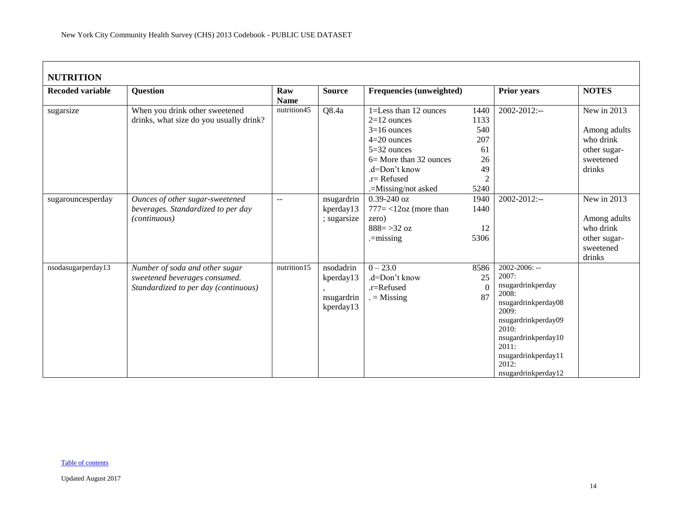| <b>NUTRITION</b>        |                                                                                                         |                    |                                                   |                                                                                                                                                                                 |                                                                        |                                                                                                                                                                                                                  |                                                                                 |  |  |  |
|-------------------------|---------------------------------------------------------------------------------------------------------|--------------------|---------------------------------------------------|---------------------------------------------------------------------------------------------------------------------------------------------------------------------------------|------------------------------------------------------------------------|------------------------------------------------------------------------------------------------------------------------------------------------------------------------------------------------------------------|---------------------------------------------------------------------------------|--|--|--|
| <b>Recoded variable</b> | <b>Question</b>                                                                                         | Raw<br><b>Name</b> | <b>Source</b>                                     | <b>Frequencies (unweighted)</b>                                                                                                                                                 |                                                                        | <b>Prior years</b>                                                                                                                                                                                               | <b>NOTES</b>                                                                    |  |  |  |
| sugarsize               | When you drink other sweetened<br>drinks, what size do you usually drink?                               | nutrition45        | Q8.4a                                             | 1=Less than 12 ounces<br>$2=12$ ounces<br>$3=16$ ounces<br>$4=20$ ounces<br>$5=32$ ounces<br>$6 =$ More than 32 ounces<br>.d=Don't know<br>$.r=$ Refused<br>.=Missing/not asked | 1440<br>1133<br>540<br>207<br>61<br>26<br>49<br>$\overline{2}$<br>5240 | 2002-2012:--                                                                                                                                                                                                     | New in 2013<br>Among adults<br>who drink<br>other sugar-<br>sweetened<br>drinks |  |  |  |
| sugarouncesperday       | Ounces of other sugar-sweetened<br>beverages. Standardized to per day<br><i>(continuous)</i>            | $\overline{a}$     | nsugardrin<br>kperday13<br>; sugarsize            | $0.39 - 240$ oz<br>$777 = < 12oz$ (more than<br>zero)<br>$888 = > 32$ oz<br>$=$ missing                                                                                         | 1940<br>1440<br>12<br>5306                                             | $2002 - 2012$ :--                                                                                                                                                                                                | New in 2013<br>Among adults<br>who drink<br>other sugar-<br>sweetened<br>drinks |  |  |  |
| nsodasugarperday13      | Number of soda and other sugar<br>sweetened beverages consumed.<br>Standardized to per day (continuous) | nutrition15        | nsodadrin<br>kperday13<br>nsugardrin<br>kperday13 | $0 - 23.0$<br>.d=Don't know<br>.r=Refused<br>$=$ Missing                                                                                                                        | 8586<br>25<br>$\Omega$<br>87                                           | $2002 - 2006$ : --<br>2007:<br>nsugardrinkperday<br>2008:<br>nsugardrinkperday08<br>2009:<br>nsugardrinkperday09<br>2010:<br>nsugardrinkperday10<br>2011:<br>nsugardrinkperday11<br>2012:<br>nsugardrinkperday12 |                                                                                 |  |  |  |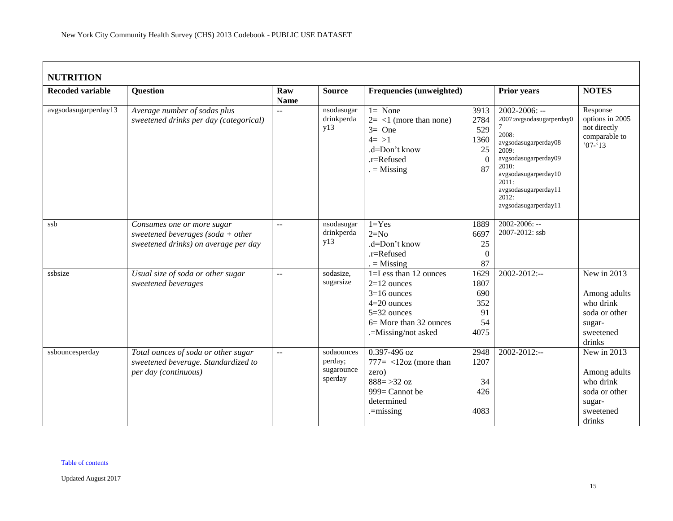# **NUTRITION**

| NUTRITION               |                                                                                                         |                           |                                                |                                                                                                                                           |                                                     |                                                                                                                                                                                                                     |                                                                                            |
|-------------------------|---------------------------------------------------------------------------------------------------------|---------------------------|------------------------------------------------|-------------------------------------------------------------------------------------------------------------------------------------------|-----------------------------------------------------|---------------------------------------------------------------------------------------------------------------------------------------------------------------------------------------------------------------------|--------------------------------------------------------------------------------------------|
| <b>Recoded variable</b> | <b>Question</b>                                                                                         | Raw<br><b>Name</b>        | <b>Source</b>                                  | <b>Frequencies (unweighted)</b>                                                                                                           |                                                     | <b>Prior years</b>                                                                                                                                                                                                  | <b>NOTES</b>                                                                               |
| avgsodasugarperday13    | Average number of sodas plus<br>sweetened drinks per day (categorical)                                  | $-$                       | nsodasugar<br>drinkperda<br>y13                | $1 = None$<br>$2 = 1$ (more than none)<br>$3=$ One<br>$4 = >1$<br>.d=Don't know<br>.r=Refused<br>$=$ Missing                              | 3913<br>2784<br>529<br>1360<br>25<br>$\theta$<br>87 | $2002 - 2006$ : --<br>2007:avgsodasugarperday0<br>2008:<br>avgsodasugarperday08<br>2009:<br>avgsodasugarperday09<br>2010:<br>avgsodasugarperday10<br>2011:<br>avgsodasugarperday11<br>2012:<br>avgsodasugarperday11 | Response<br>options in 2005<br>not directly<br>comparable to<br>$707 - 13$                 |
| ssb                     | Consumes one or more sugar<br>sweetened beverages (soda + other<br>sweetened drinks) on average per day | $\overline{a}$            | nsodasugar<br>drinkperda<br>y13                | $1 = Yes$<br>$2=N0$<br>.d=Don't know<br>.r=Refused<br>$=$ Missing                                                                         | 1889<br>6697<br>25<br>$\Omega$<br>87                | 2002-2006: --<br>2007-2012: ssb                                                                                                                                                                                     |                                                                                            |
| ssbsize                 | Usual size of soda or other sugar<br>sweetened beverages                                                | $\overline{\phantom{a}}$  | sodasize,<br>sugarsize                         | 1=Less than 12 ounces<br>$2=12$ ounces<br>$3=16$ ounces<br>$4=20$ ounces<br>5=32 ounces<br>6 = More than 32 ounces<br>.=Missing/not asked | 1629<br>1807<br>690<br>352<br>91<br>54<br>4075      | 2002-2012:--                                                                                                                                                                                                        | New in 2013<br>Among adults<br>who drink<br>soda or other<br>sugar-<br>sweetened<br>drinks |
| ssbouncesperday         | Total ounces of soda or other sugar<br>sweetened beverage. Standardized to<br>per day (continuous)      | $\mathbb{L}^{\mathbb{L}}$ | sodaounces<br>perday;<br>sugarounce<br>sperday | $0.397 - 496$ oz<br>$777 = <12oz$ (more than<br>zero)<br>$888 = 32 oz$<br>999= Cannot be<br>determined<br>$=$ missing                     | 2948<br>1207<br>34<br>426<br>4083                   | $2002 - 2012$ :--                                                                                                                                                                                                   | New in 2013<br>Among adults<br>who drink<br>soda or other<br>sugar-<br>sweetened<br>drinks |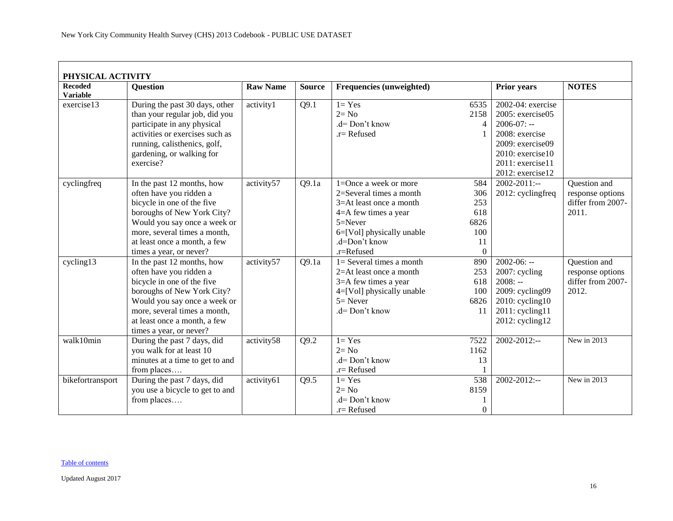<span id="page-15-0"></span>

| <b>Recoded</b><br><b>Variable</b> | <b>Question</b>                                                                                                                                                                                                                              | <b>Raw Name</b> | <b>Source</b> | <b>Frequencies (unweighted)</b>                                                                                                                                                |                                                    | <b>Prior years</b>                                                                                                       | <b>NOTES</b>                                                   |
|-----------------------------------|----------------------------------------------------------------------------------------------------------------------------------------------------------------------------------------------------------------------------------------------|-----------------|---------------|--------------------------------------------------------------------------------------------------------------------------------------------------------------------------------|----------------------------------------------------|--------------------------------------------------------------------------------------------------------------------------|----------------------------------------------------------------|
| exercise13                        | During the past 30 days, other<br>than your regular job, did you                                                                                                                                                                             | activity1       | Q9.1          | $1 = Yes$<br>$2 = No$                                                                                                                                                          | 6535<br>2158                                       | 2002-04: exercise<br>$2005$ : exercise $05$                                                                              |                                                                |
|                                   | participate in any physical<br>activities or exercises such as<br>running, calisthenics, golf,<br>gardening, or walking for<br>exercise?                                                                                                     |                 |               | $d = Don't know$<br>$.r =$ Refused                                                                                                                                             | 4                                                  | $2006-07: -$<br>2008: exercise<br>2009: exercise09<br>$2010$ : exercise 10<br>2011: exercise11<br>2012: exercise12       |                                                                |
| cyclingfreq                       | In the past 12 months, how<br>often have you ridden a<br>bicycle in one of the five<br>boroughs of New York City?<br>Would you say once a week or<br>more, several times a month,<br>at least once a month, a few<br>times a year, or never? | activity57      | Q9.1a         | 1=Once a week or more<br>2=Several times a month<br>3=At least once a month<br>4=A few times a year<br>$5 =$ Never<br>6=[Vol] physically unable<br>.d=Don't know<br>.r=Refused | 584<br>306<br>253<br>618<br>6826<br>100<br>11<br>0 | $2002 - 2011$ :--<br>2012: cyclingfreq                                                                                   | Question and<br>response options<br>differ from 2007-<br>2011. |
| cycling13                         | In the past 12 months, how<br>often have you ridden a<br>bicycle in one of the five<br>boroughs of New York City?<br>Would you say once a week or<br>more, several times a month,<br>at least once a month, a few<br>times a year, or never? | activity57      | Q9.1a         | $1 =$ Several times a month<br>2=At least once a month<br>3=A few times a year<br>4=[Vol] physically unable<br>$5 =$ Never<br>.d= Don't know                                   | 890<br>253<br>618<br>100<br>6826<br>11             | $2002 - 06: -$<br>2007: cycling<br>$2008: -$<br>2009: cycling09<br>2010: cycling10<br>2011: cycling11<br>2012: cycling12 | Question and<br>response options<br>differ from 2007-<br>2012. |
| walk10min                         | During the past 7 days, did<br>you walk for at least 10<br>minutes at a time to get to and<br>from places                                                                                                                                    | activity58      | Q9.2          | $1 = Yes$<br>$2 = No$<br>$d = Don't know$<br>.r= Refused                                                                                                                       | 7522<br>1162<br>13                                 | $2002 - 2012$ :--                                                                                                        | New in 2013                                                    |
| bikefortransport                  | During the past 7 days, did<br>you use a bicycle to get to and<br>from places                                                                                                                                                                | activity61      | Q9.5          | $1 = Yes$<br>$2 = No$<br>.d= Don't know<br>$.r =$ Refused                                                                                                                      | 538<br>8159<br>$\Omega$                            | $2002 - 2012$ :--                                                                                                        | New in 2013                                                    |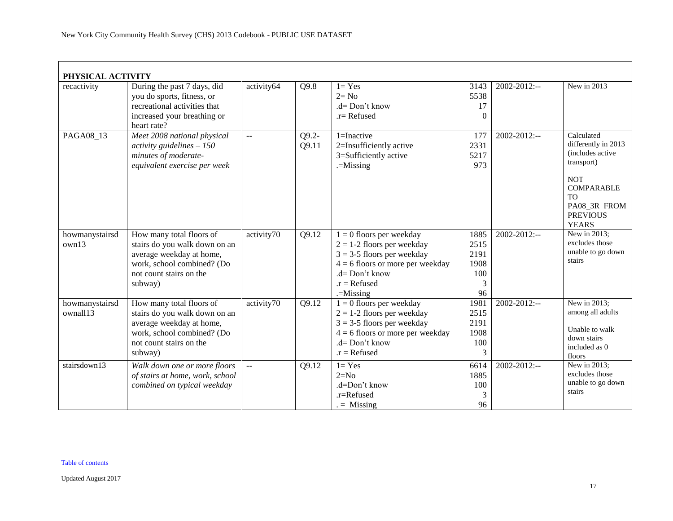| PHYSICAL ACTIVITY |                                 |                |                    |                                    |          |                   |                             |
|-------------------|---------------------------------|----------------|--------------------|------------------------------------|----------|-------------------|-----------------------------|
| recactivity       | During the past 7 days, did     | activity64     | Q9.8               | $1 = Yes$                          | 3143     | 2002-2012:--      | New in 2013                 |
|                   | you do sports, fitness, or      |                |                    | $2 = No$                           | 5538     |                   |                             |
|                   | recreational activities that    |                |                    | .d= Don't know                     | 17       |                   |                             |
|                   | increased your breathing or     |                |                    | $r =$ Refused                      | $\Omega$ |                   |                             |
|                   | heart rate?                     |                |                    |                                    |          |                   |                             |
| PAGA08 13         | Meet 2008 national physical     |                | $Q9.2 -$           | $1 = Inactive$                     | 177      | 2002-2012:--      | Calculated                  |
|                   | activity guidelines $-150$      |                | Q9.11              | 2=Insufficiently active            | 2331     |                   | differently in 2013         |
|                   | minutes of moderate-            |                |                    | 3=Sufficiently active              | 5217     |                   | (includes active            |
|                   | equivalent exercise per week    |                |                    | $=$ Missing                        | 973      |                   | transport)                  |
|                   |                                 |                |                    |                                    |          |                   | <b>NOT</b>                  |
|                   |                                 |                |                    |                                    |          |                   | <b>COMPARABLE</b>           |
|                   |                                 |                |                    |                                    |          |                   | <b>TO</b>                   |
|                   |                                 |                |                    |                                    |          |                   | PA08_3R FROM                |
|                   |                                 |                |                    |                                    |          |                   | <b>PREVIOUS</b>             |
|                   |                                 |                |                    |                                    |          |                   | <b>YEARS</b>                |
| howmanystairsd    | How many total floors of        | activity70     | Q9.12              | $1 = 0$ floors per weekday         | 1885     | 2002-2012:--      | New in 2013;                |
| own13             | stairs do you walk down on an   |                |                    | $2 = 1-2$ floors per weekday       | 2515     |                   | excludes those              |
|                   | average weekday at home,        |                |                    | $3 = 3-5$ floors per weekday       | 2191     |                   | unable to go down<br>stairs |
|                   | work, school combined? (Do      |                |                    | $4 = 6$ floors or more per weekday | 1908     |                   |                             |
|                   | not count stairs on the         |                |                    | $d = Don't know$                   | 100      |                   |                             |
|                   | subway)                         |                |                    | $.r = Refused$                     | 3        |                   |                             |
|                   |                                 |                |                    | $=$ Missing                        | 96       |                   |                             |
| howmanystairsd    | How many total floors of        | activity70     | $\overline{Q9.12}$ | $1 = 0$ floors per weekday         | 1981     | $2002 - 2012$ :-- | New in 2013;                |
| ownall13          | stairs do you walk down on an   |                |                    | $2 = 1-2$ floors per weekday       | 2515     |                   | among all adults            |
|                   | average weekday at home,        |                |                    | $3 = 3-5$ floors per weekday       | 2191     |                   | Unable to walk              |
|                   | work, school combined? (Do      |                |                    | $4 = 6$ floors or more per weekday | 1908     |                   | down stairs                 |
|                   | not count stairs on the         |                |                    | $d = Don't know$                   | 100      |                   | included as 0               |
|                   | subway)                         |                |                    | $.r = Refused$                     | 3        |                   | floors                      |
| stairsdown13      | Walk down one or more floors    | $\overline{a}$ | Q9.12              | $1 = Yes$                          | 6614     | $2002 - 2012$ :-- | New in 2013;                |
|                   | of stairs at home, work, school |                |                    | $2=N0$                             | 1885     |                   | excludes those              |
|                   | combined on typical weekday     |                |                    | .d=Don't know                      | 100      |                   | unable to go down           |
|                   |                                 |                |                    | .r=Refused                         | 3        |                   | stairs                      |
|                   |                                 |                |                    | $=$ Missing                        | 96       |                   |                             |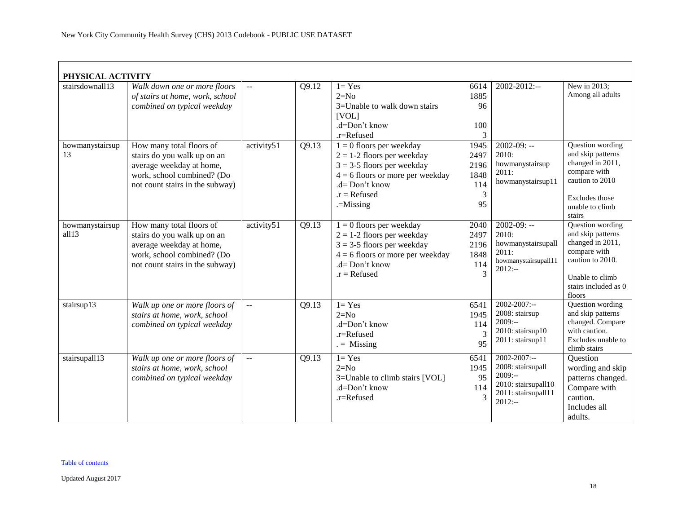| PHYSICAL ACTIVITY        |                                                                                                                                                      |                |       |                                                                                                                                                                                       |                                                |                                                                                                                |                                                                                                                                                    |
|--------------------------|------------------------------------------------------------------------------------------------------------------------------------------------------|----------------|-------|---------------------------------------------------------------------------------------------------------------------------------------------------------------------------------------|------------------------------------------------|----------------------------------------------------------------------------------------------------------------|----------------------------------------------------------------------------------------------------------------------------------------------------|
| stairsdownall13          | Walk down one or more floors<br>of stairs at home, work, school<br>combined on typical weekday                                                       |                | Q9.12 | $1 = Yes$<br>$2=N0$<br>3=Unable to walk down stairs<br>[VOL]<br>.d=Don't know<br>.r=Refused                                                                                           | 6614<br>1885<br>96<br>100<br>3                 | 2002-2012:--                                                                                                   | New in 2013;<br>Among all adults                                                                                                                   |
| howmanystairsup<br>13    | How many total floors of<br>stairs do you walk up on an<br>average weekday at home,<br>work, school combined? (Do<br>not count stairs in the subway) | activity51     | Q9.13 | $1 = 0$ floors per weekday<br>$2 = 1-2$ floors per weekday<br>$3 = 3-5$ floors per weekday<br>$4 = 6$ floors or more per weekday<br>$d = Don't know$<br>$.r = Refused$<br>$=$ Missing | 1945<br>2497<br>2196<br>1848<br>114<br>3<br>95 | $2002-09: -$<br>2010:<br>howmanystairsup<br>2011:<br>howmanystairsup11                                         | Question wording<br>and skip patterns<br>changed in 2011,<br>compare with<br>caution to 2010<br>Excludes those<br>unable to climb<br>stairs        |
| howmanystairsup<br>all13 | How many total floors of<br>stairs do you walk up on an<br>average weekday at home,<br>work, school combined? (Do<br>not count stairs in the subway) | activity51     | Q9.13 | $1 = 0$ floors per weekday<br>$2 = 1-2$ floors per weekday<br>$3 = 3-5$ floors per weekday<br>$4 = 6$ floors or more per weekday<br>$d = Don't know$<br>$.r = Refused$                | 2040<br>2497<br>2196<br>1848<br>114<br>3       | $2002 - 09: -$<br>2010:<br>howmanystairsupall<br>2011:<br>howmanystairsupall11<br>$2012: -$                    | Question wording<br>and skip patterns<br>changed in 2011,<br>compare with<br>caution to 2010.<br>Unable to climb<br>stairs included as 0<br>floors |
| stairsup13               | Walk up one or more floors of<br>stairs at home, work, school<br>combined on typical weekday                                                         | $\sim$ $\sim$  | Q9.13 | $1 = Yes$<br>$2=N0$<br>.d=Don't know<br>.r=Refused<br>$=$ Missing                                                                                                                     | 6541<br>1945<br>114<br>3<br>95                 | 2002-2007:--<br>2008: stairsup<br>$2009:-$<br>2010: stairsup10<br>2011: stairsup11                             | Question wording<br>and skip patterns<br>changed. Compare<br>with caution.<br>Excludes unable to<br>climb stairs                                   |
| stairsupall13            | Walk up one or more floors of<br>stairs at home, work, school<br>combined on typical weekday                                                         | $\overline{a}$ | Q9.13 | $1 = Yes$<br>$2=N0$<br>3=Unable to climb stairs [VOL]<br>.d=Don't know<br>.r=Refused                                                                                                  | 6541<br>1945<br>95<br>114<br>3                 | $2002 - 2007$ :--<br>2008: stairsupall<br>$2009: -$<br>2010: stairsupall10<br>2011: stairsupall11<br>$2012: -$ | Question<br>wording and skip<br>patterns changed.<br>Compare with<br>caution.<br>Includes all<br>adults.                                           |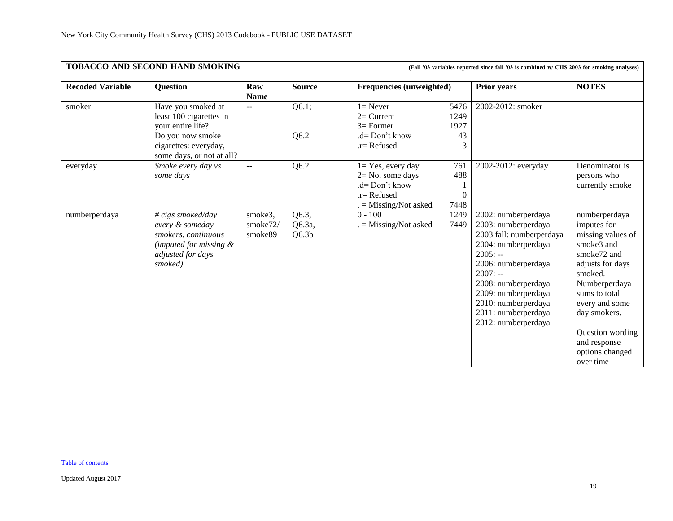<span id="page-18-0"></span>

|                         | <b>TOBACCO AND SECOND HAND SMOKING</b>                                                                                                       |                                |                                      | (Fall '03 variables reported since fall '03 is combined w/ CHS 2003 for smoking analyses)               |                                 |                                                                                                                                                                                                                                                                   |                                                                                                                                                                                                                                                                   |  |  |
|-------------------------|----------------------------------------------------------------------------------------------------------------------------------------------|--------------------------------|--------------------------------------|---------------------------------------------------------------------------------------------------------|---------------------------------|-------------------------------------------------------------------------------------------------------------------------------------------------------------------------------------------------------------------------------------------------------------------|-------------------------------------------------------------------------------------------------------------------------------------------------------------------------------------------------------------------------------------------------------------------|--|--|
| <b>Recoded Variable</b> | <b>Question</b>                                                                                                                              | Raw<br><b>Name</b>             | <b>Source</b>                        | Frequencies (unweighted)                                                                                |                                 | <b>Prior years</b>                                                                                                                                                                                                                                                | <b>NOTES</b>                                                                                                                                                                                                                                                      |  |  |
| smoker                  | Have you smoked at<br>least 100 cigarettes in<br>vour entire life?<br>Do you now smoke<br>cigarettes: everyday,<br>some days, or not at all? | $\sim$ $\sim$                  | Q6.1;<br>Q6.2                        | $1 =$ Never<br>$2=$ Current<br>$3=$ Former<br>$d = Don't know$<br>.r= Refused                           | 5476<br>1249<br>1927<br>43<br>3 | 2002-2012: smoker                                                                                                                                                                                                                                                 |                                                                                                                                                                                                                                                                   |  |  |
| everyday                | Smoke every day vs<br>some days                                                                                                              | $\mathcal{L} = \mathcal{L}$    | Q6.2                                 | $1 = Yes$ , every day<br>$2 = No$ , some days<br>.d= Don't know<br>.r= Refused<br>$=$ Missing/Not asked | 761<br>488<br>$\theta$<br>7448  | 2002-2012: everyday                                                                                                                                                                                                                                               | Denominator is<br>persons who<br>currently smoke                                                                                                                                                                                                                  |  |  |
| numberperdaya           | # cigs smoked/day<br>every & someday<br>smokers, continuous<br>(imputed for missing $\&$<br>adjusted for days<br>smoked)                     | smoke3,<br>smoke72/<br>smoke89 | Q6.3,<br>Q6.3a,<br>Q6.3 <sub>b</sub> | $0 - 100$<br>$=$ Missing/Not asked                                                                      | 1249<br>7449                    | 2002: numberperdaya<br>2003: numberperdaya<br>2003 fall: numberperdaya<br>2004: numberperdaya<br>$2005: -$<br>2006: numberperdaya<br>$2007: -$<br>2008: numberperdaya<br>2009: numberperdaya<br>2010: numberperdaya<br>2011: numberperdaya<br>2012: numberperdaya | numberperdaya<br>imputes for<br>missing values of<br>smoke3 and<br>smoke <sub>72</sub> and<br>adjusts for days<br>smoked.<br>Numberperdaya<br>sums to total<br>every and some<br>day smokers.<br>Question wording<br>and response<br>options changed<br>over time |  |  |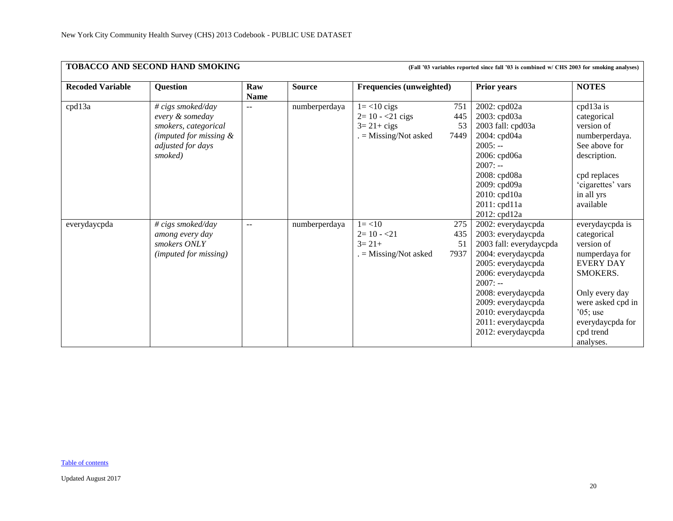|                         | <b>TOBACCO AND SECOND HAND SMOKING</b>                                                                                           |                    |               | (Fall '03 variables reported since fall '03 is combined w/ CHS 2003 for smoking analyses) |                          |                                                                                                                                                                                                                                                                  |                                                                                                                                                                                                   |  |  |
|-------------------------|----------------------------------------------------------------------------------------------------------------------------------|--------------------|---------------|-------------------------------------------------------------------------------------------|--------------------------|------------------------------------------------------------------------------------------------------------------------------------------------------------------------------------------------------------------------------------------------------------------|---------------------------------------------------------------------------------------------------------------------------------------------------------------------------------------------------|--|--|
| <b>Recoded Variable</b> | Question                                                                                                                         | Raw<br><b>Name</b> | <b>Source</b> | Frequencies (unweighted)                                                                  |                          | <b>Prior years</b>                                                                                                                                                                                                                                               | <b>NOTES</b>                                                                                                                                                                                      |  |  |
| cpd13a                  | $\# \text{cigs}$ smoked/day<br>every & someday<br>smokers, categorical<br>(imputed for missing &<br>adjusted for days<br>smoked) | $-$                | numberperdaya | $1 = < 10$ cigs<br>$2=10 - 21$ cigs<br>$3 = 21 + \text{cigs}$<br>$=$ Missing/Not asked    | 751<br>445<br>53<br>7449 | 2002: cpd02a<br>2003: cpd03a<br>2003 fall: cpd03a<br>2004: cpd04a<br>$2005: -$<br>2006: cpd06a<br>$2007: -$<br>2008: cpd08a<br>2009: cpd09a<br>2010: cpd10a<br>$2011:$ cpd $11a$<br>2012: cpd12a                                                                 | cpd13a is<br>categorical<br>version of<br>numberperdaya.<br>See above for<br>description.<br>cpd replaces<br>'cigarettes' vars<br>in all yrs<br>available                                         |  |  |
| everydaycpda            | # cigs smoked/day<br>among every day<br>smokers ONLY<br>(imputed for missing)                                                    | $-$                | numberperdaya | $1 = < 10$<br>$2=10 - 21$<br>$3=21+$<br>$=$ Missing/Not asked                             | 275<br>435<br>51<br>7937 | 2002: everydaycpda<br>2003: everydaycpda<br>2003 fall: everydaycpda<br>2004: everydaycpda<br>2005: everydaycpda<br>2006: everydaycpda<br>$2007: -$<br>2008: everydaycpda<br>2009: everydaycpda<br>2010: everydaycpda<br>2011: everydaycpda<br>2012: everydaycpda | everydaycpda is<br>categorical<br>version of<br>numperdaya for<br><b>EVERY DAY</b><br>SMOKERS.<br>Only every day<br>were asked cpd in<br>$05$ ; use<br>everydaycpda for<br>cpd trend<br>analyses. |  |  |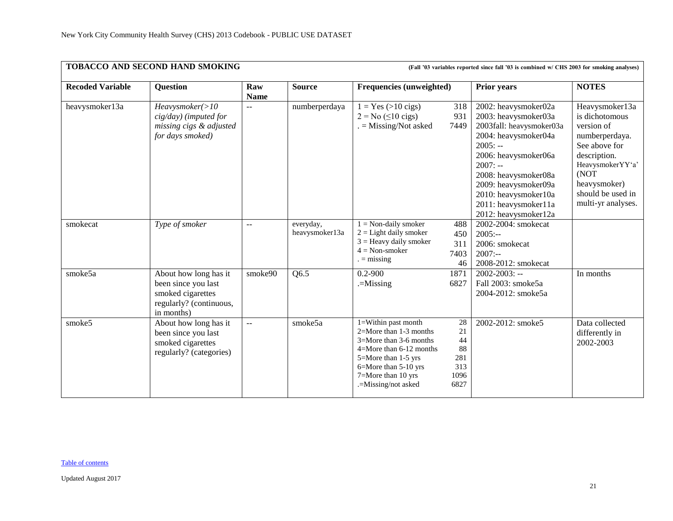|                         | TOBACCO AND SECOND HAND SMOKING<br>(Fall '03 variables reported since fall '03 is combined w/ CHS 2003 for smoking analyses) |                                               |                             |                                                                                                                                                                                                            |                                                    |                                                                                                                                                                                                                                                                            |                                                                                                                                                                                          |  |  |  |
|-------------------------|------------------------------------------------------------------------------------------------------------------------------|-----------------------------------------------|-----------------------------|------------------------------------------------------------------------------------------------------------------------------------------------------------------------------------------------------------|----------------------------------------------------|----------------------------------------------------------------------------------------------------------------------------------------------------------------------------------------------------------------------------------------------------------------------------|------------------------------------------------------------------------------------------------------------------------------------------------------------------------------------------|--|--|--|
| <b>Recoded Variable</b> | <b>Question</b>                                                                                                              | Raw<br><b>Name</b>                            | <b>Source</b>               | <b>Frequencies (unweighted)</b>                                                                                                                                                                            |                                                    | <b>Prior years</b>                                                                                                                                                                                                                                                         | <b>NOTES</b>                                                                                                                                                                             |  |  |  |
| heavysmoker13a          | Heavysmoker(>10<br>$cig/day)$ (imputed for<br>missing cigs & adjusted<br>for days smoked)                                    | $\mathbf{u}$                                  | numberperdaya               | $1 = Yes (>10 cigs)$<br>$2 = No \ (\leq 10 \text{ cigs})$<br>$=$ Missing/Not asked                                                                                                                         | 318<br>931<br>7449                                 | 2002: heavysmoker02a<br>2003: heavysmoker03a<br>2003fall: heavysmoker03a<br>2004: heavysmoker04a<br>$2005: -$<br>2006: heavysmoker06a<br>$2007: -$<br>2008: heavysmoker08a<br>2009: heavysmoker09a<br>2010: heavysmoker10a<br>2011: heavysmoker11a<br>2012: heavysmoker12a | Heavysmoker13a<br>is dichotomous<br>version of<br>numberperdaya.<br>See above for<br>description.<br>HeavysmokerYY'a'<br>(NOT<br>heavysmoker)<br>should be used in<br>multi-yr analyses. |  |  |  |
| smokecat                | Type of smoker                                                                                                               | $-$                                           | everyday,<br>heavysmoker13a | $1 =$ Non-daily smoker<br>$2 =$ Light daily smoker<br>$3 =$ Heavy daily smoker<br>$4 = Non-smoker$<br>$=$ missing                                                                                          | 488<br>450<br>311<br>7403<br>46                    | 2002-2004: smokecat<br>$2005: -$<br>2006: smokecat<br>$2007: -$<br>2008-2012: smokecat                                                                                                                                                                                     |                                                                                                                                                                                          |  |  |  |
| smoke5a                 | About how long has it<br>been since you last<br>smoked cigarettes<br>regularly? (continuous,<br>in months)                   | smoke90                                       | Q6.5                        | $0.2 - 900$<br>$=$ Missing                                                                                                                                                                                 | 1871<br>6827                                       | $2002 - 2003$ : --<br>Fall 2003: smoke5a<br>2004-2012: smoke5a                                                                                                                                                                                                             | In months                                                                                                                                                                                |  |  |  |
| smoke5                  | About how long has it<br>been since you last<br>smoked cigarettes<br>regularly? (categories)                                 | $\mathord{\hspace{1pt}\text{--}\hspace{1pt}}$ | smoke5a                     | $1 =$ Within past month<br>2=More than 1-3 months<br>$3 =$ More than 3-6 months<br>$4 =$ More than 6-12 months<br>5=More than 1-5 yrs<br>6=More than 5-10 yrs<br>7=More than 10 yrs<br>.=Missing/not asked | 28<br>21<br>44<br>88<br>281<br>313<br>1096<br>6827 | 2002-2012: smoke5                                                                                                                                                                                                                                                          | Data collected<br>differently in<br>2002-2003                                                                                                                                            |  |  |  |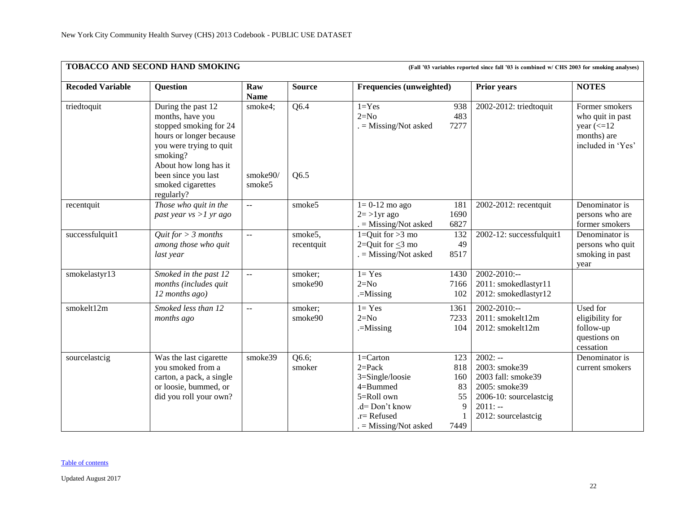|                         | TOBACCO AND SECOND HAND SMOKING                                                                                                                                                                                       |                                  |                       |                                                                                                                                        |                                            | (Fall '03 variables reported since fall '03 is combined w/ CHS 2003 for smoking analyses)                                       |                                                                                                      |
|-------------------------|-----------------------------------------------------------------------------------------------------------------------------------------------------------------------------------------------------------------------|----------------------------------|-----------------------|----------------------------------------------------------------------------------------------------------------------------------------|--------------------------------------------|---------------------------------------------------------------------------------------------------------------------------------|------------------------------------------------------------------------------------------------------|
| <b>Recoded Variable</b> | <b>Question</b>                                                                                                                                                                                                       | Raw<br><b>Name</b>               | <b>Source</b>         | <b>Frequencies (unweighted)</b>                                                                                                        |                                            | <b>Prior years</b>                                                                                                              | <b>NOTES</b>                                                                                         |
| triedtoquit             | During the past 12<br>months, have you<br>stopped smoking for 24<br>hours or longer because<br>you were trying to quit<br>smoking?<br>About how long has it<br>been since you last<br>smoked cigarettes<br>regularly? | smoke4;<br>smoke $90/$<br>smoke5 | Q6.4<br>Q6.5          | $1 = Yes$<br>$2=N0$<br>$=$ Missing/Not asked                                                                                           | 938<br>483<br>7277                         | 2002-2012: triedtoquit                                                                                                          | Former smokers<br>who quit in past<br>year $\left(\leq12\right)$<br>months) are<br>included in 'Yes' |
| recentquit              | Those who quit in the<br>past year $vs > 1$ yr ago                                                                                                                                                                    | $\mathbb{L}^2$                   | smoke5                | $1=0-12$ mo ago<br>$2 = >1$ yr ago<br>$=$ Missing/Not asked                                                                            | 181<br>1690<br>6827                        | 2002-2012: recentquit                                                                                                           | Denominator is<br>persons who are<br>former smokers                                                  |
| successfulquit1         | Quit for $> 3$ months<br>among those who quit<br>last year                                                                                                                                                            | $\mathbb{L}^{\mathbb{L}}$        | smoke5,<br>recentquit | 1=Quit for $>3$ mo<br>2= $Q$ uit for < $3$ mo<br>$=$ Missing/Not asked                                                                 | 132<br>49<br>8517                          | 2002-12: successfulquit1                                                                                                        | Denominator is<br>persons who quit<br>smoking in past<br>year                                        |
| smokelastyr13           | Smoked in the past 12<br>months (includes quit<br>12 months ago)                                                                                                                                                      | $\mathbb{L}^{\mathbb{L}}$        | smoker;<br>smoke90    | $1 = Yes$<br>$2=N0$<br>$=$ Missing                                                                                                     | 1430<br>7166<br>102                        | $2002 - 2010$ :--<br>2011: smokedlastyr11<br>2012: smokedlastyr12                                                               |                                                                                                      |
| smokelt12m              | Smoked less than 12<br>months ago                                                                                                                                                                                     | $\mathbf{u}$                     | smoker;<br>smoke90    | $1 = Yes$<br>$2=N0$<br>$=$ Missing                                                                                                     | 1361<br>7233<br>104                        | $2002 - 2010$ :--<br>2011: smokelt12m<br>2012: smokelt12m                                                                       | Used for<br>eligibility for<br>follow-up<br>questions on<br>cessation                                |
| sourcelastcig           | Was the last cigarette<br>you smoked from a<br>carton, a pack, a single<br>or loosie, bummed, or<br>did you roll your own?                                                                                            | smoke39                          | Q6.6;<br>smoker       | $1 =$ Carton<br>$2 = Pack$<br>3=Single/loosie<br>$4 = B$ ummed<br>5=Roll own<br>.d= Don't know<br>.r= Refused<br>$=$ Missing/Not asked | 123<br>818<br>160<br>83<br>55<br>9<br>7449 | $2002: -$<br>2003: smoke39<br>2003 fall: smoke39<br>2005: smoke39<br>2006-10: sourcelastcig<br>$2011: -$<br>2012: sourcelastcig | Denominator is<br>current smokers                                                                    |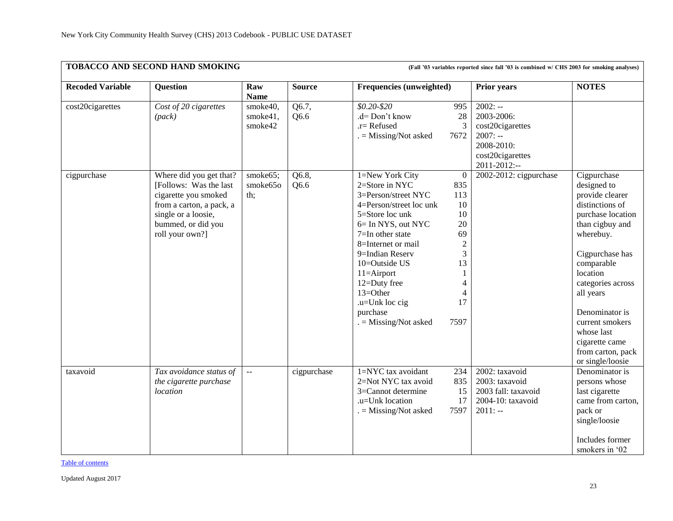|                         | TOBACCO AND SECOND HAND SMOKING<br>(Fall '03 variables reported since fall '03 is combined w/ CHS 2003 for smoking analyses) |                    |               |                          |                  |                        |                   |  |  |
|-------------------------|------------------------------------------------------------------------------------------------------------------------------|--------------------|---------------|--------------------------|------------------|------------------------|-------------------|--|--|
| <b>Recoded Variable</b> | <b>Question</b>                                                                                                              | Raw<br><b>Name</b> | <b>Source</b> | Frequencies (unweighted) |                  | <b>Prior years</b>     | <b>NOTES</b>      |  |  |
| cost20cigarettes        | Cost of 20 cigarettes                                                                                                        | smoke40,           | Q6.7,         | $$0.20 - $20$            | 995              | $2002: -$              |                   |  |  |
|                         | (pack)                                                                                                                       | smoke41,           | Q6.6          | .d= Don't know           | 28               | 2003-2006:             |                   |  |  |
|                         |                                                                                                                              | smoke42            |               | $.r =$ Refused           | 3                | cost20cigarettes       |                   |  |  |
|                         |                                                                                                                              |                    |               | $=$ Missing/Not asked    | 7672             | $2007: -$              |                   |  |  |
|                         |                                                                                                                              |                    |               |                          |                  | 2008-2010:             |                   |  |  |
|                         |                                                                                                                              |                    |               |                          |                  | cost20cigarettes       |                   |  |  |
|                         |                                                                                                                              |                    |               |                          |                  | 2011-2012:--           |                   |  |  |
| cigpurchase             | Where did you get that?                                                                                                      | smoke65;           | Q6.8,         | 1=New York City          | $\bf{0}$         | 2002-2012: cigpurchase | Cigpurchase       |  |  |
|                         | [Follows: Was the last]                                                                                                      | smoke65o           | Q6.6          | 2=Store in NYC           | 835              |                        | designed to       |  |  |
|                         | cigarette you smoked                                                                                                         | th;                |               | 3=Person/street NYC      | 113              |                        | provide clearer   |  |  |
|                         | from a carton, a pack, a                                                                                                     |                    |               | 4=Person/street loc unk  | 10               |                        | distinctions of   |  |  |
|                         | single or a loosie,                                                                                                          |                    |               | 5=Store loc unk          | 10               |                        | purchase location |  |  |
|                         | bummed, or did you                                                                                                           |                    |               | 6= In NYS, out NYC       | 20               |                        | than cigbuy and   |  |  |
|                         | roll your own?]                                                                                                              |                    |               | 7=In other state         | 69               |                        | wherebuy.         |  |  |
|                         |                                                                                                                              |                    |               | 8=Internet or mail       | $\boldsymbol{2}$ |                        |                   |  |  |
|                         |                                                                                                                              |                    |               | 9=Indian Reserv          | 3                |                        | Cigpurchase has   |  |  |
|                         |                                                                                                                              |                    |               | 10=Outside US            | 13               |                        | comparable        |  |  |
|                         |                                                                                                                              |                    |               | $11 =$ Airport           |                  |                        | location          |  |  |
|                         |                                                                                                                              |                    |               | 12=Duty free             | 4                |                        | categories across |  |  |
|                         |                                                                                                                              |                    |               | 13=Other                 |                  |                        | all years         |  |  |
|                         |                                                                                                                              |                    |               | .u=Unk loc cig           | 17               |                        |                   |  |  |
|                         |                                                                                                                              |                    |               | purchase                 |                  |                        | Denominator is    |  |  |
|                         |                                                                                                                              |                    |               | $=$ Missing/Not asked    | 7597             |                        | current smokers   |  |  |
|                         |                                                                                                                              |                    |               |                          |                  |                        | whose last        |  |  |
|                         |                                                                                                                              |                    |               |                          |                  |                        | cigarette came    |  |  |
|                         |                                                                                                                              |                    |               |                          |                  |                        | from carton, pack |  |  |
|                         |                                                                                                                              |                    |               |                          |                  |                        | or single/loosie  |  |  |
| taxavoid                | Tax avoidance status of                                                                                                      | $\sim$ $\sim$      | cigpurchase   | 1=NYC tax avoidant       | 234              | 2002: taxavoid         | Denominator is    |  |  |
|                         | the cigarette purchase                                                                                                       |                    |               | 2=Not NYC tax avoid      | 835              | 2003: taxavoid         | persons whose     |  |  |
|                         | location                                                                                                                     |                    |               | 3=Cannot determine       | 15               | 2003 fall: taxavoid    | last cigarette    |  |  |
|                         |                                                                                                                              |                    |               | .u=Unk location          | 17               | 2004-10: taxavoid      | came from carton, |  |  |
|                         |                                                                                                                              |                    |               | $=$ Missing/Not asked    | 7597             | $2011: -$              | pack or           |  |  |
|                         |                                                                                                                              |                    |               |                          |                  |                        | single/loosie     |  |  |
|                         |                                                                                                                              |                    |               |                          |                  |                        | Includes former   |  |  |
|                         |                                                                                                                              |                    |               |                          |                  |                        | smokers in '02    |  |  |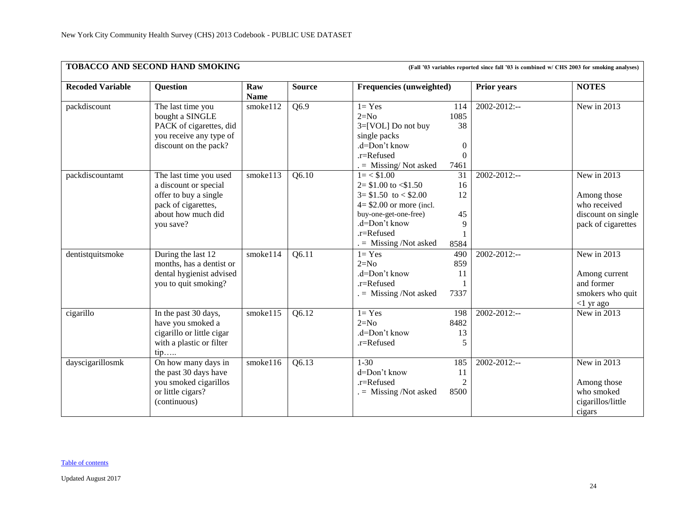|                         | TOBACCO AND SECOND HAND SMOKING<br>(Fall '03 variables reported since fall '03 is combined w/ CHS 2003 for smoking analyses)       |                    |               |                                                                                                                                                                                           |                                                           |                    |                                                                                        |  |  |  |  |
|-------------------------|------------------------------------------------------------------------------------------------------------------------------------|--------------------|---------------|-------------------------------------------------------------------------------------------------------------------------------------------------------------------------------------------|-----------------------------------------------------------|--------------------|----------------------------------------------------------------------------------------|--|--|--|--|
| <b>Recoded Variable</b> | Question                                                                                                                           | Raw<br><b>Name</b> | <b>Source</b> | <b>Frequencies (unweighted)</b>                                                                                                                                                           |                                                           | <b>Prior years</b> | <b>NOTES</b>                                                                           |  |  |  |  |
| packdiscount            | The last time you<br>bought a SINGLE<br>PACK of cigarettes, did<br>you receive any type of<br>discount on the pack?                | smoke112           | Q6.9          | $1 = Yes$<br>$2=N0$<br>3=[VOL] Do not buy<br>single packs<br>.d=Don't know<br>.r=Refused<br>$=$ Missing/Not asked                                                                         | 114<br>1085<br>38<br>$\boldsymbol{0}$<br>$\theta$<br>7461 | 2002-2012:--       | New in 2013                                                                            |  |  |  |  |
| packdiscountamt         | The last time you used<br>a discount or special<br>offer to buy a single<br>pack of cigarettes,<br>about how much did<br>you save? | smoke113           | Q6.10         | $1 = < $1.00$<br>$2 = $1.00$ to $\leq 1.50$<br>$3 = $1.50$ to $< $2.00$<br>$4 = $2.00$ or more (incl.<br>buy-one-get-one-free)<br>.d=Don't know<br>.r=Refused<br>$. =$ Missing /Not asked | 31<br>16<br>12<br>45<br>9<br>8584                         | 2002-2012:--       | New in 2013<br>Among those<br>who received<br>discount on single<br>pack of cigarettes |  |  |  |  |
| dentistquitsmoke        | During the last 12<br>months, has a dentist or<br>dental hygienist advised<br>you to quit smoking?                                 | smoke114           | Q6.11         | $1 = Yes$<br>$2=N0$<br>.d=Don't know<br>.r=Refused<br>$=$ Missing /Not asked                                                                                                              | 490<br>859<br>11<br>7337                                  | $2002 - 2012$ :--  | New in 2013<br>Among current<br>and former<br>smokers who quit<br>$<$ 1 yr ago         |  |  |  |  |
| cigarillo               | In the past 30 days,<br>have you smoked a<br>cigarillo or little cigar<br>with a plastic or filter<br>$tip$                        | smoke115           | Q6.12         | $1 = Yes$<br>$2=N0$<br>.d=Don't know<br>.r=Refused                                                                                                                                        | 198<br>8482<br>13<br>5                                    | $2002 - 2012$ :--  | New in 2013                                                                            |  |  |  |  |
| dayscigarillosmk        | On how many days in<br>the past 30 days have<br>you smoked cigarillos<br>or little cigars?<br>(continuous)                         | smoke116           | Q6.13         | $1 - 30$<br>d=Don't know<br>.r=Refused<br>$=$ Missing /Not asked                                                                                                                          | 185<br>11<br>$\overline{2}$<br>8500                       | 2002-2012:--       | New in 2013<br>Among those<br>who smoked<br>cigarillos/little<br>cigars                |  |  |  |  |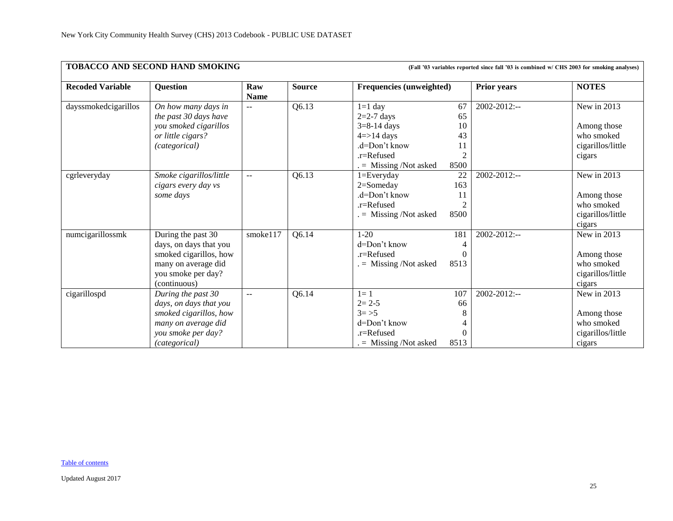|                         | TOBACCO AND SECOND HAND SMOKING                                                                                                      |                           |               | (Fall '03 variables reported since fall '03 is combined w/ CHS 2003 for smoking analyses)                                   |                                                      |                    |                                                                         |  |
|-------------------------|--------------------------------------------------------------------------------------------------------------------------------------|---------------------------|---------------|-----------------------------------------------------------------------------------------------------------------------------|------------------------------------------------------|--------------------|-------------------------------------------------------------------------|--|
| <b>Recoded Variable</b> | Question                                                                                                                             | Raw<br><b>Name</b>        | <b>Source</b> | <b>Frequencies (unweighted)</b>                                                                                             |                                                      | <b>Prior years</b> | <b>NOTES</b>                                                            |  |
| dayssmokedcigarillos    | On how many days in<br>the past 30 days have<br>you smoked cigarillos<br>or little cigars?<br><i>(categorical)</i>                   | $\mathbf{u}$              | Q6.13         | $1=1$ day<br>$2=2-7$ days<br>$3=8-14$ days<br>$4 = > 14$ days<br>$d=Don't know$<br>$.r =$ Refused<br>$=$ Missing /Not asked | 67<br>65<br>10<br>43<br>11<br>$\overline{2}$<br>8500 | 2002-2012:--       | New in 2013<br>Among those<br>who smoked<br>cigarillos/little<br>cigars |  |
| cgrleveryday            | Smoke cigarillos/little<br>cigars every day vs<br>some days                                                                          | $\sim$ $\sim$             | Q6.13         | $1 = Every day$<br>2=Someday<br>.d=Don't know<br>$r =$ Refused<br>$=$ Missing /Not asked                                    | 22<br>163<br>11<br>8500                              | 2002-2012:--       | New in 2013<br>Among those<br>who smoked<br>cigarillos/little<br>cigars |  |
| numcigarillossmk        | During the past 30<br>days, on days that you<br>smoked cigarillos, how<br>many on average did<br>you smoke per day?<br>(continuous)  | smoke117                  | Q6.14         | $1-20$<br>d=Don't know<br>$r =$ Refused<br>$=$ Missing /Not asked                                                           | 181<br>8513                                          | 2002-2012:--       | New in 2013<br>Among those<br>who smoked<br>cigarillos/little<br>cigars |  |
| cigarillospd            | During the past 30<br>days, on days that you<br>smoked cigarillos, how<br>many on average did<br>you smoke per day?<br>(categorical) | $\mathbf{u} = \mathbf{v}$ | Q6.14         | $l=1$<br>$2 = 2 - 5$<br>$3 = > 5$<br>d=Don't know<br>$.r =$ Refused<br>$=$ Missing /Not asked                               | 107<br>66<br>8<br>$\Omega$<br>8513                   | 2002-2012:--       | New in 2013<br>Among those<br>who smoked<br>cigarillos/little<br>cigars |  |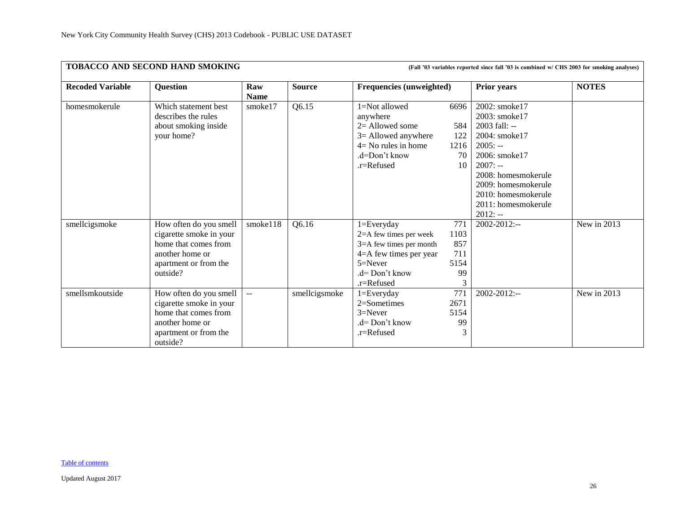|                         | TOBACCO AND SECOND HAND SMOKING                                                                                                   |                           |               | (Fall '03 variables reported since fall '03 is combined w/ CHS 2003 for smoking analyses)                                                          |                                         |                                                                                                                                                                                                                        |                                 |  |
|-------------------------|-----------------------------------------------------------------------------------------------------------------------------------|---------------------------|---------------|----------------------------------------------------------------------------------------------------------------------------------------------------|-----------------------------------------|------------------------------------------------------------------------------------------------------------------------------------------------------------------------------------------------------------------------|---------------------------------|--|
| <b>Recoded Variable</b> | <b>Question</b>                                                                                                                   | Raw<br><b>Name</b>        | <b>Source</b> | <b>Frequencies (unweighted)</b>                                                                                                                    |                                         | <b>Prior years</b>                                                                                                                                                                                                     | <b>NOTES</b>                    |  |
| homesmokerule           | Which statement best<br>describes the rules<br>about smoking inside<br>your home?                                                 | smoke17                   | Q6.15         | 1=Not allowed<br>anywhere<br>$2=$ Allowed some<br>3= Allowed anywhere<br>$4=$ No rules in home<br>.d=Don't know<br>.r=Refused                      | 6696<br>584<br>122<br>1216<br>70<br>10  | 2002: smoke17<br>2003: smoke17<br>$2003$ fall: --<br>2004: smoke17<br>$2005: -$<br>2006: smoke17<br>$2007: -$<br>2008: homesmokerule<br>2009: homesmokerule<br>2010: homesmokerule<br>2011: homesmokerule<br>$2012: -$ |                                 |  |
| smellcigsmoke           | How often do you smell<br>cigarette smoke in your<br>home that comes from<br>another home or<br>apartment or from the<br>outside? | smoke118                  | Q6.16         | $1 = Every day$<br>2=A few times per week<br>$3=$ A few times per month<br>4=A few times per year<br>$5 =$ Never<br>$d = Don't know$<br>.r=Refused | 771<br>1103<br>857<br>711<br>5154<br>99 | $2002 - 2012$ :--                                                                                                                                                                                                      | New in 2013                     |  |
| smellsmkoutside         | How often do you smell<br>cigarette smoke in your<br>home that comes from<br>another home or<br>apartment or from the<br>outside? | $\mathbb{L}^{\mathbb{L}}$ | smellcigsmoke | $1 = Every day$<br>$2=$ Sometimes<br>$3=$ Never<br>$d = Don't know$<br>.r=Refused                                                                  | 771<br>2671<br>5154<br>99<br>3          | $2002 - 2012$ :--                                                                                                                                                                                                      | $\overline{\text{New}}$ in 2013 |  |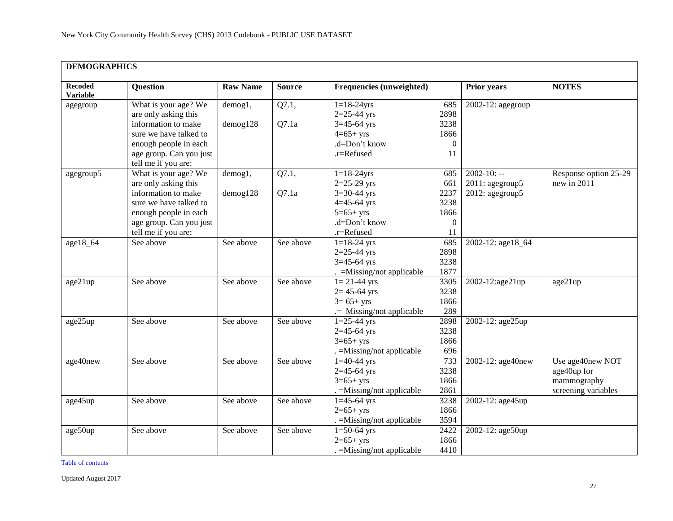<span id="page-26-0"></span>

|                                   | <b>DEMOGRAPHICS</b>                            |                 |               |                                    |                  |                    |                       |  |  |  |  |
|-----------------------------------|------------------------------------------------|-----------------|---------------|------------------------------------|------------------|--------------------|-----------------------|--|--|--|--|
| <b>Recoded</b><br><b>Variable</b> | Question                                       | <b>Raw Name</b> | <b>Source</b> | <b>Frequencies (unweighted)</b>    |                  | <b>Prior years</b> | <b>NOTES</b>          |  |  |  |  |
| agegroup                          | What is your age? We<br>are only asking this   | demog1,         | Q7.1,         | $1 = 18 - 24$ yrs<br>$2=25-44$ yrs | 685<br>2898      | 2002-12: agegroup  |                       |  |  |  |  |
|                                   | information to make                            | $d$ emog $128$  | Q7.1a         | $3=45-64$ yrs                      | 3238             |                    |                       |  |  |  |  |
|                                   | sure we have talked to                         |                 |               | $4=65+yrs$                         | 1866             |                    |                       |  |  |  |  |
|                                   | enough people in each                          |                 |               | .d=Don't know                      | $\boldsymbol{0}$ |                    |                       |  |  |  |  |
|                                   | age group. Can you just<br>tell me if you are: |                 |               | .r=Refused                         | 11               |                    |                       |  |  |  |  |
| agegroup5                         | What is your age? We                           | demog1,         | Q7.1,         | $1 = 18 - 24$ yrs                  | 685              | $2002 - 10: -$     | Response option 25-29 |  |  |  |  |
|                                   | are only asking this                           |                 |               | $2=25-29$ yrs                      | 661              | 2011: agegroup5    | new in 2011           |  |  |  |  |
|                                   | information to make                            | $d$ emog $128$  | Q7.1a         | $3=30-44$ yrs                      | 2237             | 2012: agegroup5    |                       |  |  |  |  |
|                                   | sure we have talked to                         |                 |               | $4 = 45 - 64$ yrs                  | 3238             |                    |                       |  |  |  |  |
|                                   | enough people in each                          |                 |               | $5=65+yrs$                         | 1866             |                    |                       |  |  |  |  |
|                                   | age group. Can you just                        |                 |               | .d=Don't know                      | $\mathbf{0}$     |                    |                       |  |  |  |  |
|                                   | tell me if you are:                            |                 |               | .r=Refused                         | 11               |                    |                       |  |  |  |  |
| age18_64                          | See above                                      | See above       | See above     | $1 = 18 - 24$ yrs                  | 685              | 2002-12: age18_64  |                       |  |  |  |  |
|                                   |                                                |                 |               | $2=25-44$ yrs                      | 2898             |                    |                       |  |  |  |  |
|                                   |                                                |                 |               | $3=45-64$ yrs                      | 3238             |                    |                       |  |  |  |  |
|                                   |                                                |                 |               | . = Missing/not applicable         | 1877             |                    |                       |  |  |  |  |
| age21up                           | See above                                      | See above       | See above     | $1 = 21 - 44$ yrs                  | 3305             | 2002-12:age21up    | age21up               |  |  |  |  |
|                                   |                                                |                 |               | $2 = 45 - 64$ yrs                  | 3238             |                    |                       |  |  |  |  |
|                                   |                                                |                 |               | $3 = 65 + yrs$                     | 1866             |                    |                       |  |  |  |  |
|                                   |                                                |                 |               | .= Missing/not applicable          | 289              |                    |                       |  |  |  |  |
| age25up                           | See above                                      | See above       | See above     | $1=25-44$ yrs                      | 2898             | 2002-12: age25up   |                       |  |  |  |  |
|                                   |                                                |                 |               | $2=45-64$ yrs                      | 3238             |                    |                       |  |  |  |  |
|                                   |                                                |                 |               | $3=65+yrs$                         | 1866             |                    |                       |  |  |  |  |
|                                   |                                                |                 |               | . = Missing/not applicable         | 696              |                    |                       |  |  |  |  |
| age40new                          | See above                                      | See above       | See above     | $1=40-44$ yrs                      | 733              | 2002-12: age40new  | Use age40new NOT      |  |  |  |  |
|                                   |                                                |                 |               | $2=45-64$ yrs                      | 3238             |                    | age40up for           |  |  |  |  |
|                                   |                                                |                 |               | $3=65+yrs$                         | 1866             |                    | mammography           |  |  |  |  |
|                                   |                                                |                 |               | . = Missing/not applicable         | 2861             |                    | screening variables   |  |  |  |  |
| age45up                           | See above                                      | See above       | See above     | $1=45-64$ yrs                      | 3238             | 2002-12: age45up   |                       |  |  |  |  |
|                                   |                                                |                 |               | $2=65+yrs$                         | 1866             |                    |                       |  |  |  |  |
|                                   |                                                |                 |               | . = Missing/not applicable         | 3594             |                    |                       |  |  |  |  |
| age50up                           | See above                                      | See above       | See above     | $1=50-64$ yrs                      | 2422             | 2002-12: age50up   |                       |  |  |  |  |
|                                   |                                                |                 |               | $2=65+yrs$                         | 1866             |                    |                       |  |  |  |  |
|                                   |                                                |                 |               | $=$ Missing/not applicable         | 4410             |                    |                       |  |  |  |  |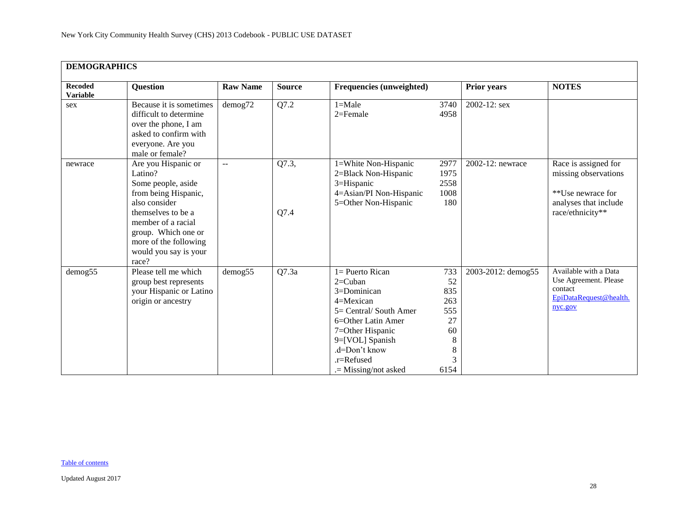| <b>DEMOGRAPHICS</b>               |                                                                                                                                                                                                                             |                 |               |                                                                                                                                                                                                              |                                                                   |                    |                                                                                                                |  |  |  |
|-----------------------------------|-----------------------------------------------------------------------------------------------------------------------------------------------------------------------------------------------------------------------------|-----------------|---------------|--------------------------------------------------------------------------------------------------------------------------------------------------------------------------------------------------------------|-------------------------------------------------------------------|--------------------|----------------------------------------------------------------------------------------------------------------|--|--|--|
| <b>Recoded</b><br><b>Variable</b> | <b>Question</b>                                                                                                                                                                                                             | <b>Raw Name</b> | <b>Source</b> | Frequencies (unweighted)                                                                                                                                                                                     |                                                                   | <b>Prior years</b> | <b>NOTES</b>                                                                                                   |  |  |  |
| sex                               | Because it is sometimes<br>difficult to determine<br>over the phone, I am<br>asked to confirm with<br>everyone. Are you<br>male or female?                                                                                  | $d$ emog $72$   | Q7.2          | $1 = Male$<br>$2 =$ Female                                                                                                                                                                                   | 3740<br>4958                                                      | 2002-12: sex       |                                                                                                                |  |  |  |
| newrace                           | Are you Hispanic or<br>Latino?<br>Some people, aside<br>from being Hispanic,<br>also consider<br>themselves to be a<br>member of a racial<br>group. Which one or<br>more of the following<br>would you say is your<br>race? | $-$             | Q7.3,<br>Q7.4 | 1=White Non-Hispanic<br>2=Black Non-Hispanic<br>3=Hispanic<br>4=Asian/PI Non-Hispanic<br>5=Other Non-Hispanic                                                                                                | 2977<br>1975<br>2558<br>1008<br>180                               | 2002-12: newrace   | Race is assigned for<br>missing observations<br>**Use newrace for<br>analyses that include<br>race/ethnicity** |  |  |  |
| demog55                           | Please tell me which<br>group best represents<br>your Hispanic or Latino<br>origin or ancestry                                                                                                                              | demog55         | Q7.3a         | 1= Puerto Rican<br>$2=$ Cuban<br>3=Dominican<br>$4 =$ Mexican<br>5= Central/ South Amer<br>6=Other Latin Amer<br>7=Other Hispanic<br>9=[VOL] Spanish<br>.d=Don't know<br>.r=Refused<br>$=$ Missing/not asked | 733<br>52<br>835<br>263<br>555<br>27<br>60<br>8<br>8<br>3<br>6154 | 2003-2012: demog55 | Available with a Data<br>Use Agreement. Please<br>contact<br>EpiDataRequest@health.<br>nyc.gov                 |  |  |  |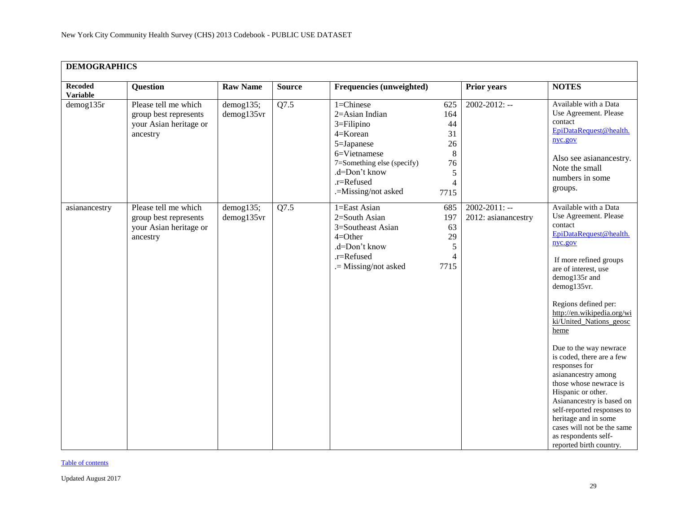| <b>DEMOGRAPHICS</b>               |                                                                                     |                            |               |                                                                                                                                                                                                                                         |                                                             |                                                                                                                                                                                                                                                                                                                                                                                                                                                                                                                                                                                              |
|-----------------------------------|-------------------------------------------------------------------------------------|----------------------------|---------------|-----------------------------------------------------------------------------------------------------------------------------------------------------------------------------------------------------------------------------------------|-------------------------------------------------------------|----------------------------------------------------------------------------------------------------------------------------------------------------------------------------------------------------------------------------------------------------------------------------------------------------------------------------------------------------------------------------------------------------------------------------------------------------------------------------------------------------------------------------------------------------------------------------------------------|
| <b>Recoded</b><br><b>Variable</b> | <b>Question</b>                                                                     | <b>Raw Name</b>            | <b>Source</b> | Frequencies (unweighted)                                                                                                                                                                                                                | <b>Prior years</b>                                          | <b>NOTES</b>                                                                                                                                                                                                                                                                                                                                                                                                                                                                                                                                                                                 |
| $d$ emog135r                      | Please tell me which<br>group best represents<br>your Asian heritage or<br>ancestry | demog135;<br>demog135vr    | Q7.5          | $1 =$ Chinese<br>625<br>2=Asian Indian<br>164<br>44<br>$3 =$ Filipino<br>4=Korean<br>31<br>5=Japanese<br>26<br>8<br>6=Vietnamese<br>7=Something else (specify)<br>76<br>.d=Don't know<br>5<br>.r=Refused<br>.=Missing/not asked<br>7715 | $2002 - 2012$ : --<br>$\overline{4}$                        | Available with a Data<br>Use Agreement. Please<br>contact<br>EpiDataRequest@health.<br>nyc.gov<br>Also see asianancestry.<br>Note the small<br>numbers in some<br>groups.                                                                                                                                                                                                                                                                                                                                                                                                                    |
| asianancestry                     | Please tell me which<br>group best represents<br>your Asian heritage or<br>ancestry | $d$ emog135;<br>demog135vr | Q7.5          | 1=East Asian<br>685<br>2=South Asian<br>197<br>3=Southeast Asian<br>63<br>29<br>$4=Other$<br>.d=Don't know<br>5<br>.r=Refused<br>.= Missing/not asked<br>7715                                                                           | $2002 - 2011$ : --<br>2012: asianancestry<br>$\overline{4}$ | Available with a Data<br>Use Agreement. Please<br>contact<br>EpiDataRequest@health.<br>nyc.gov<br>If more refined groups<br>are of interest, use<br>demog135r and<br>demog135vr.<br>Regions defined per:<br>http://en.wikipedia.org/wi<br>ki/United Nations geosc<br>heme<br>Due to the way newrace<br>is coded, there are a few<br>responses for<br>asianancestry among<br>those whose newrace is<br>Hispanic or other.<br>Asianancestry is based on<br>self-reported responses to<br>heritage and in some<br>cases will not be the same<br>as respondents self-<br>reported birth country. |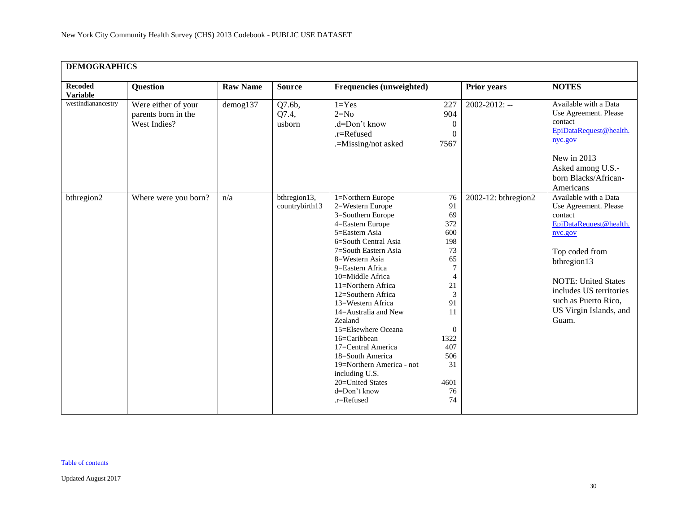|                                   | <b>DEMOGRAPHICS</b>                                        |                 |                                |                                                                                                                                                                                                                                                                                                                                                                                                                                                                                                  |                                                                                                                                                                        |                     |                                                                                                                                                                                                                                                                  |  |  |  |  |
|-----------------------------------|------------------------------------------------------------|-----------------|--------------------------------|--------------------------------------------------------------------------------------------------------------------------------------------------------------------------------------------------------------------------------------------------------------------------------------------------------------------------------------------------------------------------------------------------------------------------------------------------------------------------------------------------|------------------------------------------------------------------------------------------------------------------------------------------------------------------------|---------------------|------------------------------------------------------------------------------------------------------------------------------------------------------------------------------------------------------------------------------------------------------------------|--|--|--|--|
| <b>Recoded</b><br><b>Variable</b> | <b>Question</b>                                            | <b>Raw Name</b> | <b>Source</b>                  | Frequencies (unweighted)                                                                                                                                                                                                                                                                                                                                                                                                                                                                         |                                                                                                                                                                        | <b>Prior years</b>  | <b>NOTES</b>                                                                                                                                                                                                                                                     |  |  |  |  |
| westindianancestry                | Were either of your<br>parents born in the<br>West Indies? | demog137        | Q7.6b,<br>Q7.4,<br>usborn      | $1 = Yes$<br>$2=N0$<br>.d=Don't know<br>.r=Refused<br>.=Missing/not asked                                                                                                                                                                                                                                                                                                                                                                                                                        | 227<br>904<br>$\boldsymbol{0}$<br>$\boldsymbol{0}$<br>7567                                                                                                             | $2002 - 2012$ : --  | Available with a Data<br>Use Agreement. Please<br>contact<br>EpiDataRequest@health.<br>nyc.gov<br>New in 2013<br>Asked among U.S.-<br>born Blacks/African-                                                                                                       |  |  |  |  |
| bthregion2                        | Where were you born?                                       | n/a             | bthregion13,<br>countrybirth13 | 1=Northern Europe<br>2=Western Europe<br>3=Southern Europe<br>4=Eastern Europe<br>5=Eastern Asia<br>6=South Central Asia<br>7=South Eastern Asia<br>8=Western Asia<br>9=Eastern Africa<br>10=Middle Africa<br>11=Northern Africa<br>12=Southern Africa<br>13=Western Africa<br>14=Australia and New<br>Zealand<br>15=Elsewhere Oceana<br>16=Caribbean<br>17=Central America<br>18=South America<br>19=Northern America - not<br>including U.S.<br>20=United States<br>d=Don't know<br>.r=Refused | 76<br>91<br>69<br>372<br>600<br>198<br>73<br>65<br>$\tau$<br>$\overline{4}$<br>21<br>3<br>91<br>11<br>$\boldsymbol{0}$<br>1322<br>407<br>506<br>31<br>4601<br>76<br>74 | 2002-12: bthregion2 | Americans<br>Available with a Data<br>Use Agreement. Please<br>contact<br>EpiDataRequest@health.<br>nyc.gov<br>Top coded from<br>bthregion13<br><b>NOTE: United States</b><br>includes US territories<br>such as Puerto Rico,<br>US Virgin Islands, and<br>Guam. |  |  |  |  |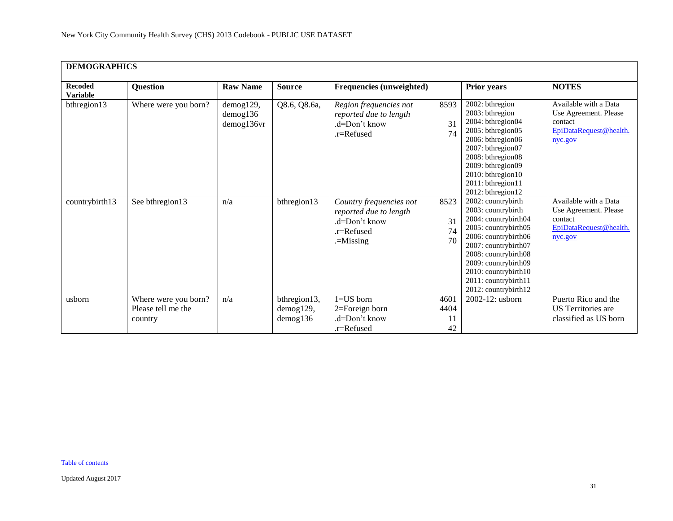| <b>DEMOGRAPHICS</b>               |                                                       |                                           |                                       |                                                                                                    |                          |                                                                                                                                                                                                                                                                  |                                                                                                |  |  |  |
|-----------------------------------|-------------------------------------------------------|-------------------------------------------|---------------------------------------|----------------------------------------------------------------------------------------------------|--------------------------|------------------------------------------------------------------------------------------------------------------------------------------------------------------------------------------------------------------------------------------------------------------|------------------------------------------------------------------------------------------------|--|--|--|
| <b>Recoded</b><br><b>Variable</b> | Question                                              | <b>Raw Name</b>                           | <b>Source</b>                         | Frequencies (unweighted)                                                                           |                          | <b>Prior years</b>                                                                                                                                                                                                                                               | <b>NOTES</b>                                                                                   |  |  |  |
| bthregion13                       | Where were you born?                                  | demog129,<br>$d$ emog $136$<br>demog136vr | Q8.6, Q8.6a,                          | Region frequencies not<br>reported due to length<br>$d=Don't know$<br>$.r =$ Refused               | 8593<br>31<br>74         | 2002: bthregion<br>2003: bthregion<br>2004: bthregion04<br>2005: bthregion05<br>2006: bthregion06<br>2007: bthregion07<br>2008: bthregion08<br>2009: bthregion09<br>2010: bthregion10<br>2011: bthregion11<br>2012: bthregion12                                  | Available with a Data<br>Use Agreement. Please<br>contact<br>EpiDataRequest@health.<br>nyc.gov |  |  |  |
| countrybirth13                    | See bthregion13                                       | n/a                                       | bthregion13                           | Country frequencies not<br>reported due to length<br>.d=Don't know<br>$r =$ Refused<br>$=$ Missing | 8523<br>31<br>74<br>70   | 2002: countrybirth<br>2003: countrybirth<br>2004: countrybirth04<br>2005: countrybirth05<br>2006: countrybirth06<br>2007: countrybirth07<br>2008: countrybirth08<br>2009: countrybirth09<br>2010: countrybirth10<br>2011: countrybirth11<br>2012: countrybirth12 | Available with a Data<br>Use Agreement. Please<br>contact<br>EpiDataRequest@health.<br>nyc.gov |  |  |  |
| usborn                            | Where were you born?<br>Please tell me the<br>country | n/a                                       | bthregion13,<br>demog129,<br>demog136 | $1 = US$ born<br>$2 =$ Foreign born<br>.d=Don't know<br>.r=Refused                                 | 4601<br>4404<br>11<br>42 | 2002-12: usborn                                                                                                                                                                                                                                                  | Puerto Rico and the<br>US Territories are<br>classified as US born                             |  |  |  |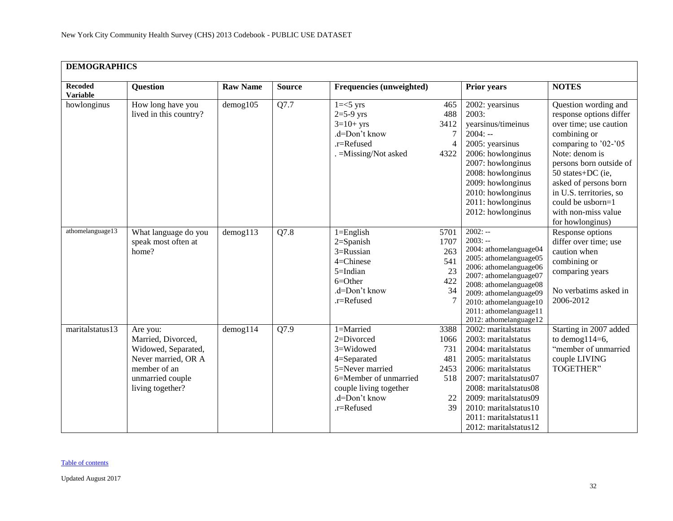|                                   | <b>DEMOGRAPHICS</b>                                                                                                                  |                 |               |                                                                                                                                                          |                                                       |                                                                                                                                                                                                                                                                       |                                                                                                                                                                                                                                                                                                         |  |  |  |
|-----------------------------------|--------------------------------------------------------------------------------------------------------------------------------------|-----------------|---------------|----------------------------------------------------------------------------------------------------------------------------------------------------------|-------------------------------------------------------|-----------------------------------------------------------------------------------------------------------------------------------------------------------------------------------------------------------------------------------------------------------------------|---------------------------------------------------------------------------------------------------------------------------------------------------------------------------------------------------------------------------------------------------------------------------------------------------------|--|--|--|
| <b>Recoded</b><br><b>Variable</b> | <b>Question</b>                                                                                                                      | <b>Raw Name</b> | <b>Source</b> | Frequencies (unweighted)                                                                                                                                 |                                                       | <b>Prior years</b>                                                                                                                                                                                                                                                    | <b>NOTES</b>                                                                                                                                                                                                                                                                                            |  |  |  |
| howlonginus                       | How long have you<br>lived in this country?                                                                                          | $d$ emog $105$  | Q7.7          | $1 = < 5$ yrs<br>$2=5-9$ yrs<br>$3=10+$ yrs<br>.d=Don't know<br>.r=Refused<br>. = Missing/Not asked                                                      | 465<br>488<br>3412<br>$\tau$<br>4<br>4322             | 2002: yearsinus<br>2003:<br>yearsinus/timeinus<br>$2004: -$<br>2005: yearsinus<br>2006: howlonginus<br>2007: howlonginus<br>2008: howlonginus<br>2009: howlonginus<br>2010: howlonginus<br>2011: howlonginus<br>2012: howlonginus                                     | Question wording and<br>response options differ<br>over time; use caution<br>combining or<br>comparing to '02-'05<br>Note: denom is<br>persons born outside of<br>50 states+DC (ie,<br>asked of persons born<br>in U.S. territories, so<br>could be usborn=1<br>with non-miss value<br>for howlonginus) |  |  |  |
| athomelanguage13                  | What language do you<br>speak most often at<br>home?                                                                                 | $d$ emog113     | Q7.8          | $1 =$ English<br>2=Spanish<br>3=Russian<br>4=Chinese<br>5=Indian<br>$6=Other$<br>.d=Don't know<br>.r=Refused                                             | 5701<br>1707<br>263<br>541<br>23<br>422<br>34         | $2002: -$<br>$2003: -$<br>2004: athomelanguage04<br>2005: athomelanguage05<br>2006: athomelanguage06<br>2007: athomelanguage07<br>2008: athomelanguage08<br>2009: athomelanguage09<br>2010: athomelanguage10<br>2011: athomelanguage11<br>2012: athomelanguage12      | Response options<br>differ over time; use<br>caution when<br>combining or<br>comparing years<br>No verbatims asked in<br>2006-2012                                                                                                                                                                      |  |  |  |
| maritalstatus13                   | Are you:<br>Married, Divorced,<br>Widowed, Separated,<br>Never married, OR A<br>member of an<br>unmarried couple<br>living together? | $d$ emog $114$  | Q7.9          | 1=Married<br>2=Divorced<br>3=Widowed<br>4=Separated<br>5=Never married<br>6=Member of unmarried<br>couple living together<br>.d=Don't know<br>.r=Refused | 3388<br>1066<br>731<br>481<br>2453<br>518<br>22<br>39 | 2002: maritalstatus<br>2003: maritalstatus<br>2004: maritalstatus<br>2005: maritalstatus<br>2006: maritalstatus<br>2007: maritalstatus07<br>2008: maritalstatus08<br>2009: maritalstatus09<br>2010: maritalstatus10<br>2011: maritalstatus11<br>2012: maritalstatus12 | Starting in 2007 added<br>to demog $114=6$ ,<br>"member of unmarried<br>couple LIVING<br>TOGETHER"                                                                                                                                                                                                      |  |  |  |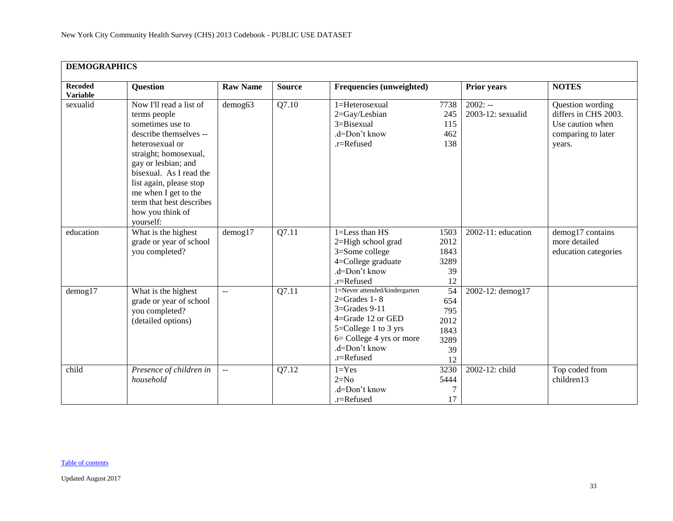| <b>DEMOGRAPHICS</b>               |                                                                                                                                                                                                                                                                                                     |                           |               |                                                                                                                                                                                              |                                                      |                                |                                                                                              |  |  |
|-----------------------------------|-----------------------------------------------------------------------------------------------------------------------------------------------------------------------------------------------------------------------------------------------------------------------------------------------------|---------------------------|---------------|----------------------------------------------------------------------------------------------------------------------------------------------------------------------------------------------|------------------------------------------------------|--------------------------------|----------------------------------------------------------------------------------------------|--|--|
| <b>Recoded</b><br><b>Variable</b> | <b>Question</b>                                                                                                                                                                                                                                                                                     | <b>Raw Name</b>           | <b>Source</b> | Frequencies (unweighted)                                                                                                                                                                     |                                                      | Prior years                    | <b>NOTES</b>                                                                                 |  |  |
| sexualid                          | Now I'll read a list of<br>terms people<br>sometimes use to<br>describe themselves --<br>heterosexual or<br>straight; homosexual,<br>gay or lesbian; and<br>bisexual. As I read the<br>list again, please stop<br>me when I get to the<br>term that best describes<br>how you think of<br>yourself: | demog63                   | Q7.10         | 1=Heterosexual<br>2=Gay/Lesbian<br>3=Bisexual<br>.d=Don't know<br>.r=Refused                                                                                                                 | 7738<br>245<br>115<br>462<br>138                     | $2002: -$<br>2003-12: sexualid | Question wording<br>differs in CHS 2003.<br>Use caution when<br>comparing to later<br>years. |  |  |
| education                         | What is the highest<br>grade or year of school<br>you completed?                                                                                                                                                                                                                                    | $d$ emog $17$             | Q7.11         | 1=Less than HS<br>2=High school grad<br>3=Some college<br>4=College graduate<br>.d=Don't know<br>.r=Refused                                                                                  | 1503<br>2012<br>1843<br>3289<br>39<br>12             | $2002-11$ : education          | demog17 contains<br>more detailed<br>education categories                                    |  |  |
| $d$ emog $17$                     | What is the highest<br>grade or year of school<br>you completed?<br>(detailed options)                                                                                                                                                                                                              | $\mathbb{L}^{\mathbb{L}}$ | Q7.11         | 1=Never attended/kindergarten<br>$2 =$ Grades 1 - 8<br>$3 =$ Grades $9-11$<br>4=Grade 12 or GED<br>$5 =$ College 1 to 3 yrs<br>$6=$ College 4 yrs or more<br>.d=Don't know<br>$.r =$ Refused | 54<br>654<br>795<br>2012<br>1843<br>3289<br>39<br>12 | 2002-12: demog17               |                                                                                              |  |  |
| child                             | Presence of children in<br>household                                                                                                                                                                                                                                                                | $\sim$ $\sim$             | Q7.12         | $1 = Yes$<br>$2=N0$<br>.d=Don't know<br>.r=Refused                                                                                                                                           | 3230<br>5444<br>7<br>17                              | 2002-12: child                 | Top coded from<br>children13                                                                 |  |  |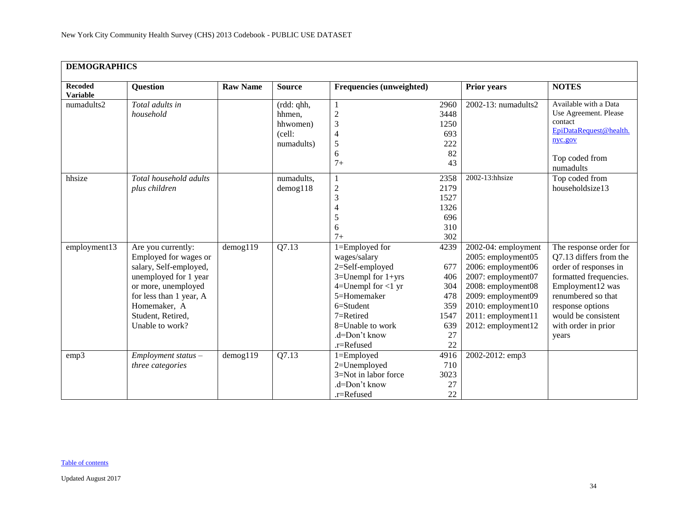| <b>DEMOGRAPHICS</b>               |                                                                                                                                                                                                          |                 |                                                          |                                                                                                                                                                                                              |                                                                    |                                                                                                                                                                                                     |                                                                                                                                                                                                                          |  |  |
|-----------------------------------|----------------------------------------------------------------------------------------------------------------------------------------------------------------------------------------------------------|-----------------|----------------------------------------------------------|--------------------------------------------------------------------------------------------------------------------------------------------------------------------------------------------------------------|--------------------------------------------------------------------|-----------------------------------------------------------------------------------------------------------------------------------------------------------------------------------------------------|--------------------------------------------------------------------------------------------------------------------------------------------------------------------------------------------------------------------------|--|--|
| <b>Recoded</b><br><b>Variable</b> | Question                                                                                                                                                                                                 | <b>Raw Name</b> | <b>Source</b>                                            | Frequencies (unweighted)                                                                                                                                                                                     |                                                                    | <b>Prior years</b>                                                                                                                                                                                  | <b>NOTES</b>                                                                                                                                                                                                             |  |  |
| numadults2                        | Total adults in<br>household                                                                                                                                                                             |                 | (rdd: qhh,<br>hhmen,<br>hhwomen)<br>(cell:<br>numadults) | 1<br>$\overline{c}$<br>$\overline{3}$<br>$\overline{\mathcal{L}}$<br>5<br>6<br>$7+$                                                                                                                          | 2960<br>3448<br>1250<br>693<br>222<br>82<br>43                     | 2002-13: numadults2                                                                                                                                                                                 | Available with a Data<br>Use Agreement. Please<br>contact<br>EpiDataRequest@health.<br>nyc.gov<br>Top coded from<br>numadults                                                                                            |  |  |
| hhsize                            | Total household adults<br>plus children                                                                                                                                                                  |                 | numadults,<br>$d$ emog $118$                             | 1<br>$\overline{c}$<br>3<br>4<br>5<br>6<br>$7+$                                                                                                                                                              | 2358<br>2179<br>1527<br>1326<br>696<br>310<br>302                  | 2002-13:hhsize                                                                                                                                                                                      | Top coded from<br>householdsize13                                                                                                                                                                                        |  |  |
| employment13                      | Are you currently:<br>Employed for wages or<br>salary, Self-employed,<br>unemployed for 1 year<br>or more, unemployed<br>for less than 1 year, A<br>Homemaker, A<br>Student, Retired,<br>Unable to work? | $d$ emog $119$  | Q7.13                                                    | $1 =$ Employed for<br>wages/salary<br>2=Self-employed<br>$3=$ Unempl for $1+$ yrs<br>$4=$ Unempl for $<$ 1 yr<br>5=Homemaker<br>6=Student<br>$7=$ Retired<br>8=Unable to work<br>.d=Don't know<br>.r=Refused | 4239<br>677<br>406<br>304<br>478<br>359<br>1547<br>639<br>27<br>22 | 2002-04: employment<br>2005: employment05<br>2006: employment06<br>2007: employment07<br>2008: employment08<br>2009: employment09<br>2010: employment10<br>2011: employment11<br>2012: employment12 | The response order for<br>Q7.13 differs from the<br>order of responses in<br>formatted frequencies.<br>Employment12 was<br>renumbered so that<br>response options<br>would be consistent<br>with order in prior<br>years |  |  |
| emp3                              | $Employment$ status $-$<br>three categories                                                                                                                                                              | $d$ emog $119$  | O7.13                                                    | $1 =$ Employed<br>2=Unemployed<br>3=Not in labor force<br>.d=Don't know<br>.r=Refused                                                                                                                        | 4916<br>710<br>3023<br>27<br>22                                    | 2002-2012: emp3                                                                                                                                                                                     |                                                                                                                                                                                                                          |  |  |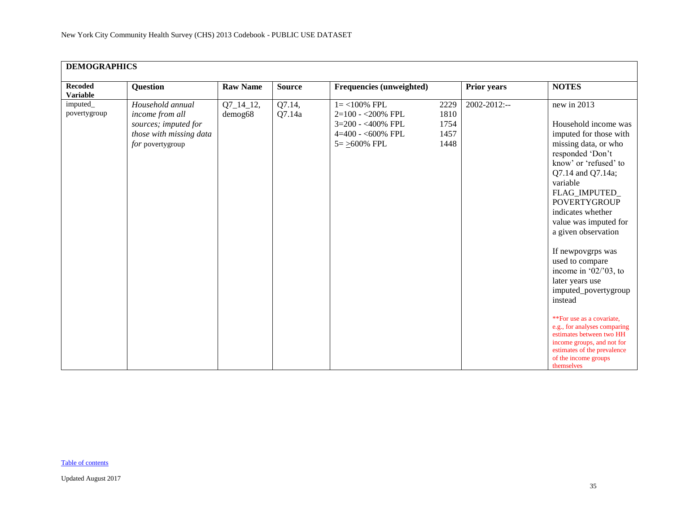| <b>Recoded</b><br><b>Variable</b> | <b>Question</b>                                                                                            | <b>Raw Name</b>        | <b>Source</b>    | Frequencies (unweighted)                                                                                    |                                      | <b>Prior years</b> | <b>NOTES</b>                                                                                                                                                                                                                                                                                                                                                                                                                                                                                                                                                                                  |
|-----------------------------------|------------------------------------------------------------------------------------------------------------|------------------------|------------------|-------------------------------------------------------------------------------------------------------------|--------------------------------------|--------------------|-----------------------------------------------------------------------------------------------------------------------------------------------------------------------------------------------------------------------------------------------------------------------------------------------------------------------------------------------------------------------------------------------------------------------------------------------------------------------------------------------------------------------------------------------------------------------------------------------|
| imputed_<br>povertygroup          | Household annual<br>income from all<br>sources; imputed for<br>those with missing data<br>for povertygroup | $Q7_14_12,$<br>demog68 | Q7.14,<br>Q7.14a | $1 = < 100\%$ FPL<br>2=100 - < 200% FPL<br>3=200 - <400% FPL<br>$4=400 - 600\%$ FPL<br>$5 = \geq 600\%$ FPL | 2229<br>1810<br>1754<br>1457<br>1448 | 2002-2012:--       | new in 2013<br>Household income was<br>imputed for those with<br>missing data, or who<br>responded 'Don't<br>know' or 'refused' to<br>Q7.14 and Q7.14a;<br>variable<br>FLAG_IMPUTED_<br><b>POVERTYGROUP</b><br>indicates whether<br>value was imputed for<br>a given observation<br>If newpovgrps was<br>used to compare<br>income in ' $02$ /' $03$ , to<br>later years use<br>imputed_povertygroup<br>instead<br>**For use as a covariate.<br>e.g., for analyses comparing<br>estimates between two HH<br>income groups, and not for<br>estimates of the prevalence<br>of the income groups |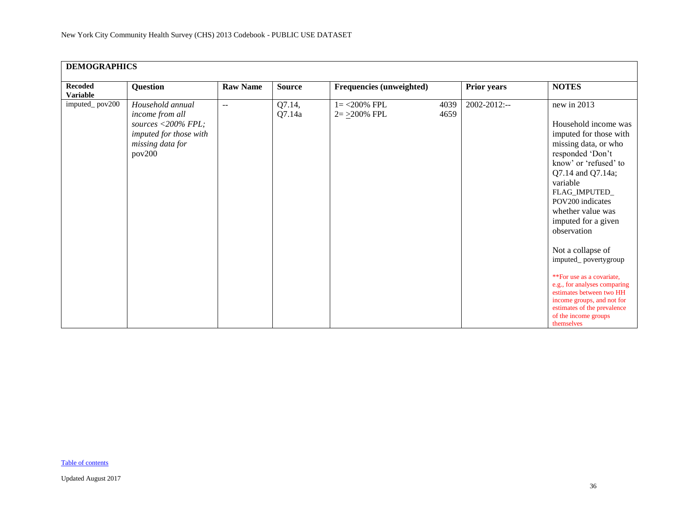| <b>DEMOGRAPHICS</b>        |                                                                                                                   |                 |                  |                                    |              |              |                                                                                                                                                                                                                                                                                                                                                                                                                                                                                                              |  |  |  |
|----------------------------|-------------------------------------------------------------------------------------------------------------------|-----------------|------------------|------------------------------------|--------------|--------------|--------------------------------------------------------------------------------------------------------------------------------------------------------------------------------------------------------------------------------------------------------------------------------------------------------------------------------------------------------------------------------------------------------------------------------------------------------------------------------------------------------------|--|--|--|
| <b>Recoded</b><br>Variable | <b>Question</b>                                                                                                   | <b>Raw Name</b> | <b>Source</b>    | Frequencies (unweighted)           |              | Prior years  | <b>NOTES</b>                                                                                                                                                                                                                                                                                                                                                                                                                                                                                                 |  |  |  |
| imputed_pov200             | Household annual<br>income from all<br>sources <200% FPL;<br>imputed for those with<br>missing data for<br>pov200 | $\mathbf{u}$    | Q7.14,<br>Q7.14a | $1 = 200\%$ FPL<br>$2 = 200\%$ FPL | 4039<br>4659 | 2002-2012:-- | new in 2013<br>Household income was<br>imputed for those with<br>missing data, or who<br>responded 'Don't<br>know' or 'refused' to<br>Q7.14 and Q7.14a;<br>variable<br>FLAG_IMPUTED_<br>POV200 indicates<br>whether value was<br>imputed for a given<br>observation<br>Not a collapse of<br>imputed_povertygroup<br>**For use as a covariate,<br>e.g., for analyses comparing<br>estimates between two HH<br>income groups, and not for<br>estimates of the prevalence<br>of the income groups<br>themselves |  |  |  |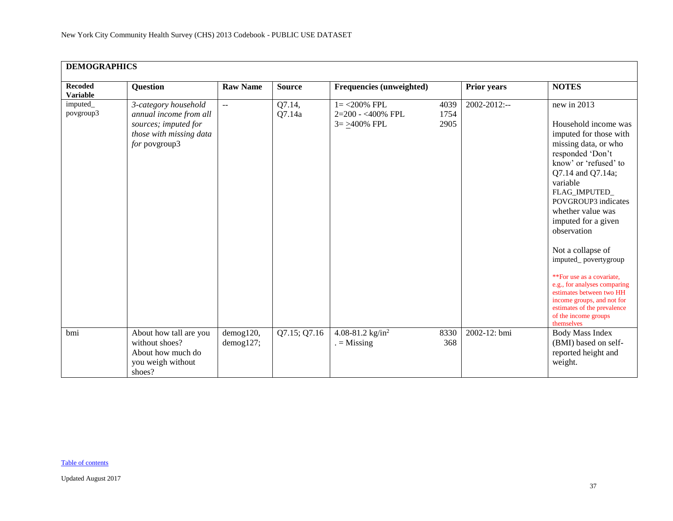| <b>DEMOGRAPHICS</b>               |                                                                                                                    |                        |                  |                                                          |                      |                    |                                                                                                                                                                                                                                                                                                                                                                                                                                                                                                                 |
|-----------------------------------|--------------------------------------------------------------------------------------------------------------------|------------------------|------------------|----------------------------------------------------------|----------------------|--------------------|-----------------------------------------------------------------------------------------------------------------------------------------------------------------------------------------------------------------------------------------------------------------------------------------------------------------------------------------------------------------------------------------------------------------------------------------------------------------------------------------------------------------|
| <b>Recoded</b><br><b>Variable</b> | <b>Question</b>                                                                                                    | <b>Raw Name</b>        | <b>Source</b>    | Frequencies (unweighted)                                 |                      | <b>Prior</b> years | <b>NOTES</b>                                                                                                                                                                                                                                                                                                                                                                                                                                                                                                    |
| <i>imputed</i><br>povgroup3       | 3-category household<br>annual income from all<br>sources; imputed for<br>those with missing data<br>for povgroup3 | $\mathbf{u}$           | Q7.14,<br>Q7.14a | $1 = 200\%$ FPL<br>2=200 - <400% FPL<br>$3 = >400\%$ FPL | 4039<br>1754<br>2905 | $2002 - 2012$ :--  | new in 2013<br>Household income was<br>imputed for those with<br>missing data, or who<br>responded 'Don't<br>know' or 'refused' to<br>Q7.14 and Q7.14a;<br>variable<br>FLAG_IMPUTED_<br>POVGROUP3 indicates<br>whether value was<br>imputed for a given<br>observation<br>Not a collapse of<br>imputed_povertygroup<br>**For use as a covariate,<br>e.g., for analyses comparing<br>estimates between two HH<br>income groups, and not for<br>estimates of the prevalence<br>of the income groups<br>themselves |
| bmi                               | About how tall are you<br>without shoes?<br>About how much do<br>you weigh without<br>shoes?                       | demog120,<br>demog127; | Q7.15; Q7.16     | 4.08-81.2 $\text{kg/in}^2$<br>$=$ Missing                | 8330<br>368          | 2002-12: bmi       | <b>Body Mass Index</b><br>(BMI) based on self-<br>reported height and<br>weight.                                                                                                                                                                                                                                                                                                                                                                                                                                |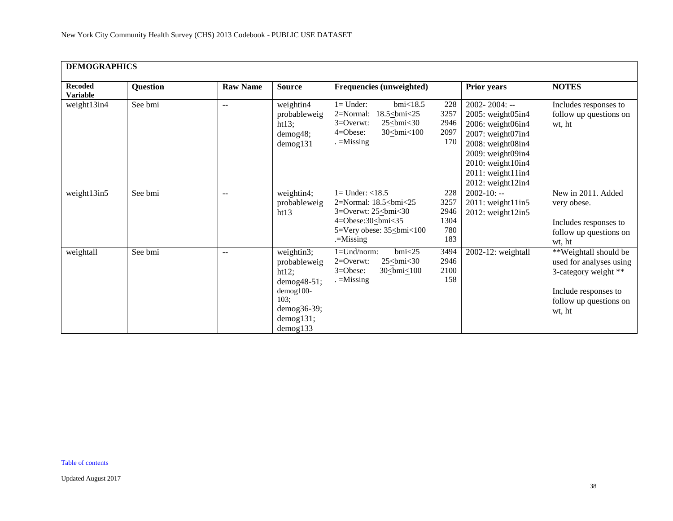| <b>DEMOGRAPHICS</b>               |          |                 |                                                                                                                     |                                                                                                                                                                                                   |                                                                                                                                                                                                             |                                                                                                                                      |
|-----------------------------------|----------|-----------------|---------------------------------------------------------------------------------------------------------------------|---------------------------------------------------------------------------------------------------------------------------------------------------------------------------------------------------|-------------------------------------------------------------------------------------------------------------------------------------------------------------------------------------------------------------|--------------------------------------------------------------------------------------------------------------------------------------|
| <b>Recoded</b><br><b>Variable</b> | Question | <b>Raw Name</b> | <b>Source</b>                                                                                                       | Frequencies (unweighted)                                                                                                                                                                          | <b>Prior years</b>                                                                                                                                                                                          | <b>NOTES</b>                                                                                                                         |
| weight13in4                       | See bmi  | --              | weightin4<br>probableweig<br>ht13;<br>demog48;<br>$d$ emog $131$                                                    | $l =$ Under:<br>$bmi$ <18.5<br>228<br>$2=Normal$ :<br>$18.5 \leq$ bmi<25<br>3257<br>2946<br>$3=0$ verwt:<br>$25 \leq b$ mi<30<br>2097<br>$4 = O$ bese:<br>$30$ cbmi $< 100$<br>170<br>$=$ Missing | $2002 - 2004$ : --<br>2005: weight05in4<br>2006: weight06in4<br>2007: weight07in4<br>2008: weight08in4<br>2009: weight09in4<br>2010: weight10in4<br>$2011$ : weight $11$ in $4$<br>$2012$ : weight $12$ in4 | Includes responses to<br>follow up questions on<br>wt, ht                                                                            |
| weight13in5                       | See bmi  | $- -$           | weightin4;<br>probableweig<br>ht13                                                                                  | $1 =$ Under: $<$ 18.5<br>228<br>2=Normal: 18.5<br>bmi<25<br>3257<br>3=Overwt: $25\leq$ bmi<30<br>                                                                                                 | $2002 - 10: -$<br>2011: weight11in5<br>$2012$ : weight $12$ in5                                                                                                                                             | New in 2011. Added<br>very obese.<br>Includes responses to<br>follow up questions on<br>wt, ht                                       |
| weightall                         | See bmi  | $- -$           | weightin3;<br>probableweig<br>ht12;<br>$demog48-51;$<br>demog100-<br>103:<br>$demog36-39;$<br>demog131;<br>demog133 | $bmi$ <25<br>$1 = Und/norm$ :<br>3494<br>2946<br>$2=0$ verwt:<br>$25 \leq bmi < 30$<br>2100<br>$3 = O$ bese:<br>$30$ cbmi $< 100$<br>158<br>$=$ Missing                                           | 2002-12: weightall                                                                                                                                                                                          | **Weightall should be<br>used for analyses using<br>3-category weight **<br>Include responses to<br>follow up questions on<br>wt, ht |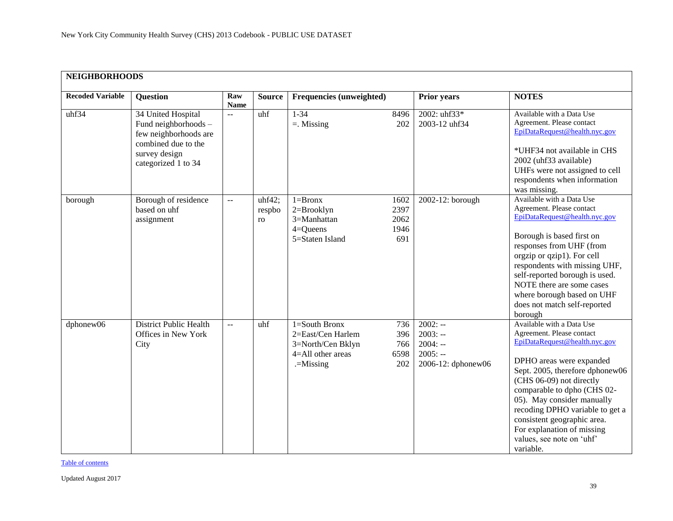<span id="page-38-0"></span>

| <b>NEIGHBORHOODS</b>    |                                                                                                                                    |                           |                        |                                                                                           |                                     |                                                                        |                                                                                                                                                                                                                                                                                                                                                                                           |
|-------------------------|------------------------------------------------------------------------------------------------------------------------------------|---------------------------|------------------------|-------------------------------------------------------------------------------------------|-------------------------------------|------------------------------------------------------------------------|-------------------------------------------------------------------------------------------------------------------------------------------------------------------------------------------------------------------------------------------------------------------------------------------------------------------------------------------------------------------------------------------|
| <b>Recoded Variable</b> | <b>Question</b>                                                                                                                    | Raw<br><b>Name</b>        | <b>Source</b>          | Frequencies (unweighted)                                                                  |                                     | <b>Prior years</b>                                                     | <b>NOTES</b>                                                                                                                                                                                                                                                                                                                                                                              |
| uhf34                   | 34 United Hospital<br>Fund neighborhoods -<br>few neighborhoods are<br>combined due to the<br>survey design<br>categorized 1 to 34 | $\mathbb{L} \mathbb{L}$   | uhf                    | $1 - 34$<br>$=$ . Missing                                                                 | 8496<br>202                         | 2002: uhf33*<br>2003-12 uhf34                                          | Available with a Data Use<br>Agreement. Please contact<br>EpiDataRequest@health.nyc.gov<br>*UHF34 not available in CHS<br>2002 (uhf33 available)<br>UHFs were not assigned to cell<br>respondents when information<br>was missing.                                                                                                                                                        |
| borough                 | Borough of residence<br>based on uhf<br>assignment                                                                                 | $\mathbb{L}^{\mathbb{L}}$ | uhf42;<br>respbo<br>ro | $1 = Brown$<br>2=Brooklyn<br>3=Manhattan<br>$4 =$ Queens<br>5=Staten Island               | 1602<br>2397<br>2062<br>1946<br>691 | 2002-12: borough                                                       | Available with a Data Use<br>Agreement. Please contact<br>EpiDataRequest@health.nyc.gov<br>Borough is based first on<br>responses from UHF (from<br>orgzip or qzip1). For cell<br>respondents with missing UHF,<br>self-reported borough is used.<br>NOTE there are some cases<br>where borough based on UHF<br>does not match self-reported<br>borough                                   |
| dphonew06               | <b>District Public Health</b><br>Offices in New York<br>City                                                                       | $-$                       | uhf                    | 1=South Bronx<br>2=East/Cen Harlem<br>3=North/Cen Bklyn<br>4=All other areas<br>.=Missing | 736<br>396<br>766<br>6598<br>202    | $2002: -$<br>$2003: -$<br>$2004: -$<br>$2005: -$<br>2006-12: dphonew06 | Available with a Data Use<br>Agreement. Please contact<br>EpiDataRequest@health.nyc.gov<br>DPHO areas were expanded<br>Sept. 2005, therefore dphonew06<br>(CHS 06-09) not directly<br>comparable to dpho (CHS 02-<br>05). May consider manually<br>recoding DPHO variable to get a<br>consistent geographic area.<br>For explanation of missing<br>values, see note on 'uhf'<br>variable. |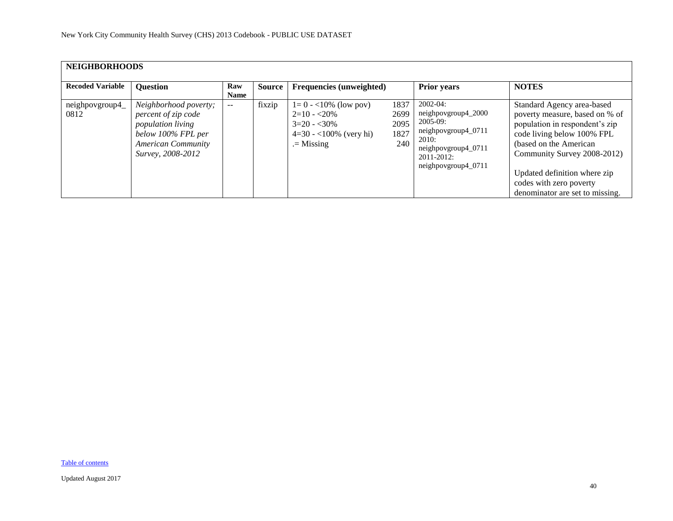| <b>NEIGHBORHOODS</b>    |                                                                                                                                                  |                    |        |                                                                                                     |                                     |                                                                                                                                                 |                                                                                                                                                                                                                                                                                     |
|-------------------------|--------------------------------------------------------------------------------------------------------------------------------------------------|--------------------|--------|-----------------------------------------------------------------------------------------------------|-------------------------------------|-------------------------------------------------------------------------------------------------------------------------------------------------|-------------------------------------------------------------------------------------------------------------------------------------------------------------------------------------------------------------------------------------------------------------------------------------|
| <b>Recoded Variable</b> | <b>Question</b>                                                                                                                                  | Raw<br><b>Name</b> | Source | <b>Frequencies (unweighted)</b>                                                                     |                                     | <b>Prior years</b>                                                                                                                              | <b>NOTES</b>                                                                                                                                                                                                                                                                        |
| neighpovgroup4_<br>0812 | Neighborhood poverty;<br>percent of zip code<br><i>population living</i><br>below 100% FPL per<br><b>American Community</b><br>Survey, 2008-2012 | $- -$              | fixzip | $1=0 - 10\%$ (low pov)<br>$2=10 - 20\%$<br>$3=20 - 30\%$<br>$4=30 - 100\%$ (very hi)<br>$=$ Missing | 1837<br>2699<br>2095<br>1827<br>240 | $2002 - 04$ :<br>neighpovgroup4_2000<br>$2005-09$ :<br>neighpovgroup4_0711<br>2010:<br>neighpovgroup4_0711<br>2011-2012:<br>neighpovgroup4_0711 | Standard Agency area-based<br>poverty measure, based on % of<br>population in respondent's zip<br>code living below 100% FPL<br>(based on the American<br>Community Survey 2008-2012)<br>Updated definition where zip<br>codes with zero poverty<br>denominator are set to missing. |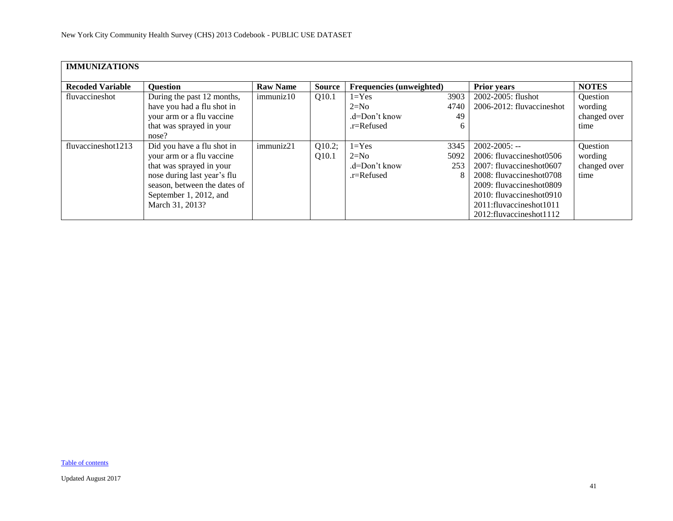<span id="page-40-0"></span>

| <b>IMMUNIZATIONS</b>    |                                                                                                                                                                                                 |                 |                 |                                                        |                          |                                                                                                                                                                                                                        |                                             |
|-------------------------|-------------------------------------------------------------------------------------------------------------------------------------------------------------------------------------------------|-----------------|-----------------|--------------------------------------------------------|--------------------------|------------------------------------------------------------------------------------------------------------------------------------------------------------------------------------------------------------------------|---------------------------------------------|
| <b>Recoded Variable</b> | <b>Question</b>                                                                                                                                                                                 | <b>Raw Name</b> | <b>Source</b>   | <b>Frequencies</b> (unweighted)                        |                          | <b>Prior years</b>                                                                                                                                                                                                     | <b>NOTES</b>                                |
| fluvaccineshot          | During the past 12 months,<br>have you had a flu shot in<br>your arm or a flu vaccine<br>that was sprayed in your<br>nose?                                                                      | immuniz10       | Q10.1           | $1 = Yes$<br>$2=N0$<br>$d=Don't know$<br>.r=Refused    | 3903<br>4740<br>49<br>6  | 2002-2005: flushot<br>2006-2012: fluvaccineshot                                                                                                                                                                        | Question<br>wording<br>changed over<br>time |
| fluvaccineshot1213      | Did you have a flu shot in<br>your arm or a flu vaccine<br>that was sprayed in your<br>nose during last year's flu<br>season, between the dates of<br>September 1, 2012, and<br>March 31, 2013? | immuniz21       | Q10.2;<br>Q10.1 | $1 = Yes$<br>$2=N0$<br>$d=Don't know$<br>$r =$ Refused | 3345<br>5092<br>253<br>8 | $2002 - 2005$ : --<br>2006: fluvaccineshot0506<br>2007: fluvaccineshot0607<br>2008: fluvaccineshot0708<br>2009: fluvaccineshot0809<br>2010: fluvaccineshot0910<br>2011:fluvaccineshot1011<br>2012: fluvaccines hot 112 | Question<br>wording<br>changed over<br>time |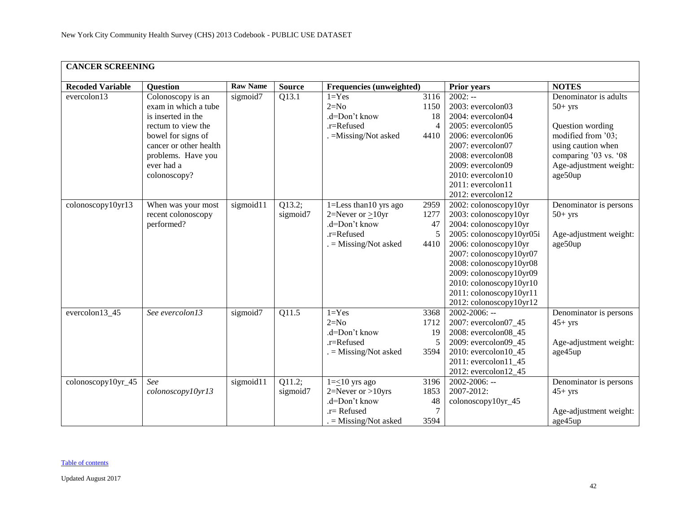<span id="page-41-0"></span>

| <b>CANCER SCREENING</b> |                                                                                                                                                                                           |                 |                                  |                                                                                                              |                                              |                                                                                                                                                                                                                                                                                                |                                                                                                                                                                  |
|-------------------------|-------------------------------------------------------------------------------------------------------------------------------------------------------------------------------------------|-----------------|----------------------------------|--------------------------------------------------------------------------------------------------------------|----------------------------------------------|------------------------------------------------------------------------------------------------------------------------------------------------------------------------------------------------------------------------------------------------------------------------------------------------|------------------------------------------------------------------------------------------------------------------------------------------------------------------|
| <b>Recoded Variable</b> | <b>Question</b>                                                                                                                                                                           | <b>Raw Name</b> | <b>Source</b>                    | Frequencies (unweighted)                                                                                     |                                              | <b>Prior years</b>                                                                                                                                                                                                                                                                             | <b>NOTES</b>                                                                                                                                                     |
| evercolon13             | Colonoscopy is an<br>exam in which a tube<br>is inserted in the<br>rectum to view the<br>bowel for signs of<br>cancer or other health<br>problems. Have you<br>ever had a<br>colonoscopy? | sigmoid7        | Q13.1                            | $1 = Yes$<br>$2=N0$<br>.d=Don't know<br>.r=Refused<br>. = Missing/Not asked                                  | 3116<br>1150<br>18<br>$\overline{4}$<br>4410 | $2002: -$<br>2003: evercolon03<br>2004: evercolon04<br>2005: evercolon05<br>2006: evercolon06<br>2007: evercolon07<br>2008: evercolon08<br>2009: evercolon09<br>2010: evercolon10<br>2011: evercolon11<br>2012: evercolon12                                                                    | Denominator is adults<br>$50+$ yrs<br>Question wording<br>modified from '03;<br>using caution when<br>comparing '03 vs. '08<br>Age-adjustment weight:<br>age50up |
| colonoscopy10yr13       | When was your most<br>recent colonoscopy<br>performed?                                                                                                                                    | sigmoid11       | Q13.2;<br>sigmoid7               | $1 =$ Less than 10 yrs ago<br>$2=$ Never or $>10$ yr<br>.d=Don't know<br>.r=Refused<br>$=$ Missing/Not asked | 2959<br>1277<br>47<br>5<br>4410              | 2002: colonoscopy10yr<br>2003: colonoscopy10yr<br>2004: colonoscopy10yr<br>2005: colonoscopy10yr05i<br>2006: colonoscopy10yr<br>2007: colonoscopy10yr07<br>2008: colonoscopy10yr08<br>2009: colonoscopy10yr09<br>2010: colonoscopy10yr10<br>2011: colonoscopy10yr11<br>2012: colonoscopy10yr12 | Denominator is persons<br>$50+$ yrs<br>Age-adjustment weight:<br>age50up                                                                                         |
| evercolon13_45          | See evercolon13                                                                                                                                                                           | sigmoid7        | Q11.5                            | $1 = Yes$<br>$2=N0$<br>.d=Don't know<br>.r=Refused<br>$=$ Missing/Not asked                                  | 3368<br>1712<br>19<br>5<br>3594              | 2002-2006: --<br>2007: evercolon07_45<br>2008: evercolon08_45<br>2009: evercolon09_45<br>2010: evercolon10 45<br>$2011$ : evercolon $11_45$<br>2012: evercolon12_45                                                                                                                            | Denominator is persons<br>$45+$ yrs<br>Age-adjustment weight:<br>age45up                                                                                         |
| colonoscopy10yr_45      | See<br>colonoscopy10yr13                                                                                                                                                                  | sigmoid11       | $\overline{Q11.2}$ ;<br>sigmoid7 | $1 = \leq 10$ yrs ago<br>$2=$ Never or >10yrs<br>.d=Don't know<br>.r= Refused<br>$=$ Missing/Not asked       | 3196<br>1853<br>48<br>$\tau$<br>3594         | $2002 - 2006$ : --<br>2007-2012:<br>colonoscopy10yr_45                                                                                                                                                                                                                                         | Denominator is persons<br>$45+$ yrs<br>Age-adjustment weight:<br>age45up                                                                                         |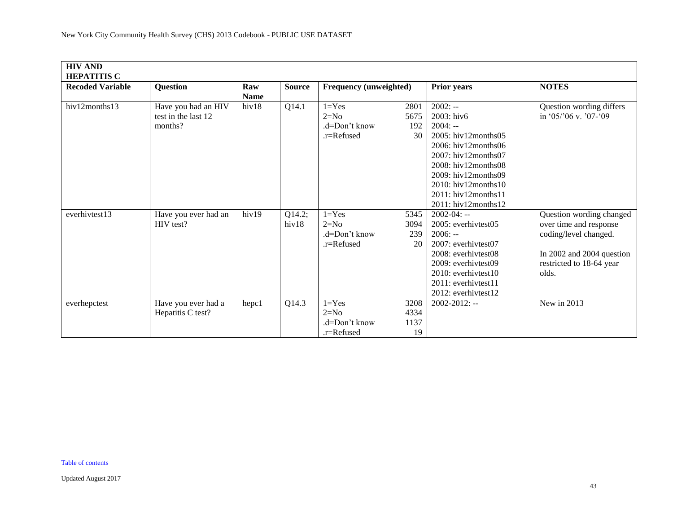<span id="page-42-0"></span>

| <b>HIV AND</b><br><b>HEPATITIS C</b> |                                                       |                    |                 |                                                     |                            |                                                                                                                                                                                                                                                                  |                                                                                                                                               |
|--------------------------------------|-------------------------------------------------------|--------------------|-----------------|-----------------------------------------------------|----------------------------|------------------------------------------------------------------------------------------------------------------------------------------------------------------------------------------------------------------------------------------------------------------|-----------------------------------------------------------------------------------------------------------------------------------------------|
| <b>Recoded Variable</b>              | Question                                              | Raw<br><b>Name</b> | <b>Source</b>   | Frequency (unweighted)                              |                            | <b>Prior years</b>                                                                                                                                                                                                                                               | <b>NOTES</b>                                                                                                                                  |
| hiv12months13                        | Have you had an HIV<br>test in the last 12<br>months? | hiv18              | Q14.1           | $1 = Yes$<br>$2=N0$<br>.d=Don't know<br>.r=Refused  | 2801<br>5675<br>192<br>30  | $2002: -$<br>2003: hiv6<br>$2004: -$<br>$2005$ : hiv12months05<br>2006: hiv12months06<br>$2007$ : hiv12months07<br>$2008$ : hiv12months08<br>$2009:$ hiv $12$ months 09<br>$2010$ : hiv $12$ months $10$<br>2011: hiv12 months11<br>$2011:$ hiv $12$ months $12$ | Question wording differs<br>in '05/'06 v. '07-'09                                                                                             |
| everhivtest13                        | Have you ever had an<br>HIV test?                     | hiv19              | Q14.2;<br>hiv18 | $1 = Yes$<br>$2=N0$<br>$d=Don't know$<br>.r=Refused | 5345<br>3094<br>239<br>20  | $2002 - 04: -$<br>2005: everhivtest05<br>$2006: -$<br>2007: everhivtest07<br>2008: everhivtest08<br>2009: everhivtest09<br>$2010$ : everhivtest $10$<br>2011: everhivtest11<br>$2012$ : everhivtest $12$                                                         | Question wording changed<br>over time and response<br>coding/level changed.<br>In 2002 and 2004 question<br>restricted to 18-64 year<br>olds. |
| everhepctest                         | Have you ever had a<br>Hepatitis C test?              | hepc1              | Q14.3           | $1 = Yes$<br>$2=N0$<br>$d=Don't know$<br>.r=Refused | 3208<br>4334<br>1137<br>19 | $2002 - 2012$ : --                                                                                                                                                                                                                                               | New in 2013                                                                                                                                   |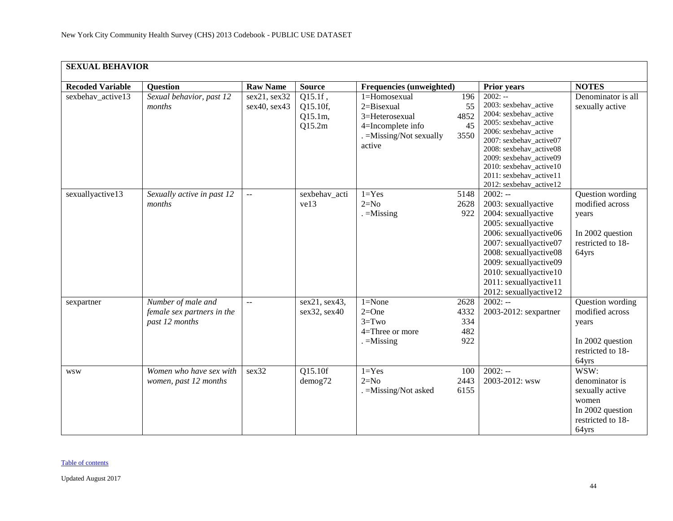<span id="page-43-0"></span>

| <b>SEXUAL BEHAVIOR</b>  |                                                                    |                              |                                                    |                                                                                                             |                                   |                                                                                                                                                                                                                                                                                 |                                                                                                      |
|-------------------------|--------------------------------------------------------------------|------------------------------|----------------------------------------------------|-------------------------------------------------------------------------------------------------------------|-----------------------------------|---------------------------------------------------------------------------------------------------------------------------------------------------------------------------------------------------------------------------------------------------------------------------------|------------------------------------------------------------------------------------------------------|
| <b>Recoded Variable</b> | <b>Question</b>                                                    | <b>Raw Name</b>              | <b>Source</b>                                      | Frequencies (unweighted)                                                                                    |                                   | <b>Prior years</b>                                                                                                                                                                                                                                                              | <b>NOTES</b>                                                                                         |
| sexbehav_active13       | Sexual behavior, past 12<br>months                                 | sex21, sex32<br>sex40, sex43 | $Q15.1f$ ,<br>Q15.10f,<br>Q15.1m,<br>Q15.2m        | 1=Homosexual<br>$2 = Bisexual$<br>3=Heterosexual<br>4=Incomplete info<br>. = Missing/Not sexually<br>active | 196<br>55<br>4852<br>45<br>3550   | $2002: -$<br>2003: sexbehav_active<br>2004: sexbehav_active<br>2005: sexbehav_active<br>2006: sexbehav_active<br>2007: sexbehav_active07<br>2008: sexbehav_active08<br>2009: sexbehav_active09<br>2010: sexbehav_active10<br>2011: sexbehav_active11<br>2012: sexbehav_active12 | Denominator is all<br>sexually active                                                                |
| sexuallyactive13        | Sexually active in past 12<br>months                               | $\mathbf{u} = \mathbf{v}$    | sexbehav_acti<br>ve13                              | $1 = Yes$<br>$2=N0$<br>$. =$ Missing                                                                        | 5148<br>2628<br>922               | $2002: -$<br>2003: sexuallyactive<br>2004: sexuallyactive<br>2005: sexuallyactive<br>2006: sexuallyactive06<br>2007: sexuallyactive07<br>2008: sexuallyactive08<br>2009: sexuallyactive09<br>2010: sexuallyactive10<br>2011: sexuallyactive11<br>2012: sexuallyactive12         | Question wording<br>modified across<br>years<br>In 2002 question<br>restricted to 18-<br>64yrs       |
| sexpartner              | Number of male and<br>female sex partners in the<br>past 12 months | $\mathbb{L}^{\mathbb{L}}$    | $\overline{\text{sex}}$ 21, sex43,<br>sex32, sex40 | $1 = None$<br>$2=One$<br>$3 = Two$<br>4=Three or more<br>$=$ Missing                                        | 2628<br>4332<br>334<br>482<br>922 | $2002: -$<br>2003-2012: sexpartner                                                                                                                                                                                                                                              | Question wording<br>modified across<br>years<br>In 2002 question<br>restricted to 18-<br>64yrs       |
| <b>WSW</b>              | Women who have sex with<br>women, past 12 months                   | sex32                        | Q15.10f<br>demog72                                 | $1 = Yes$<br>$2=N0$<br>. = Missing/Not asked                                                                | 100<br>2443<br>6155               | $2002: -$<br>2003-2012: wsw                                                                                                                                                                                                                                                     | WSW:<br>denominator is<br>sexually active<br>women<br>In 2002 question<br>restricted to 18-<br>64yrs |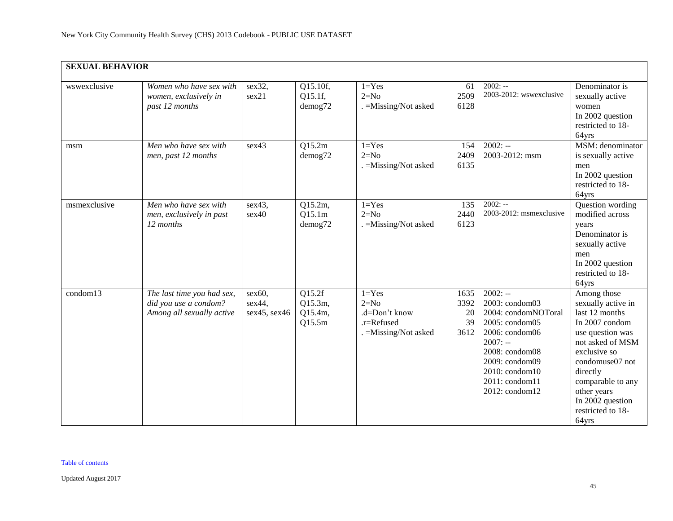| <b>SEXUAL BEHAVIOR</b> |                                                                                  |                                  |                                        |                                                                             |                                  |                                                                                                                                                                                               |                                                                                                                                                                                                                                                    |
|------------------------|----------------------------------------------------------------------------------|----------------------------------|----------------------------------------|-----------------------------------------------------------------------------|----------------------------------|-----------------------------------------------------------------------------------------------------------------------------------------------------------------------------------------------|----------------------------------------------------------------------------------------------------------------------------------------------------------------------------------------------------------------------------------------------------|
| wswexclusive           | Women who have sex with<br>women, exclusively in<br>past 12 months               | sex32,<br>sex21                  | Q15.10f,<br>Q15.1f,<br>demog72         | $1 = Yes$<br>$2=N0$<br>. = Missing/Not asked                                | 61<br>2509<br>6128               | $2002: -$<br>2003-2012: wswexclusive                                                                                                                                                          | Denominator is<br>sexually active<br>women<br>In 2002 question<br>restricted to 18-<br>64yrs                                                                                                                                                       |
| msm                    | Men who have sex with<br>men, past 12 months                                     | sex43                            | Q15.2m<br>demog72                      | $1 = Yes$<br>$2=N0$<br>. = Missing/Not asked                                | 154<br>2409<br>6135              | $2002: -$<br>2003-2012: msm                                                                                                                                                                   | MSM: denominator<br>is sexually active<br>men<br>In 2002 question<br>restricted to 18-<br>64yrs                                                                                                                                                    |
| msmexclusive           | Men who have sex with<br>men, exclusively in past<br>12 months                   | sex43,<br>sex40                  | Q15.2m,<br>Q15.1m<br>demog72           | $1 = Yes$<br>$2=N0$<br>. = Missing/Not asked                                | 135<br>2440<br>6123              | $2002: -$<br>2003-2012: msmexclusive                                                                                                                                                          | Question wording<br>modified across<br>years<br>Denominator is<br>sexually active<br>men<br>In 2002 question<br>restricted to 18-<br>64yrs                                                                                                         |
| condom13               | The last time you had sex,<br>did you use a condom?<br>Among all sexually active | sex60,<br>sex44,<br>sex45, sex46 | Q15.2f<br>Q15.3m,<br>Q15.4m,<br>Q15.5m | $1 = Yes$<br>$2=N0$<br>.d=Don't know<br>.r=Refused<br>. = Missing/Not asked | 1635<br>3392<br>20<br>39<br>3612 | $2002: -$<br>2003: condom03<br>2004: condomNOToral<br>2005: condom05<br>2006: condom06<br>$2007: -$<br>2008: condom08<br>2009: condom09<br>2010: condom10<br>2011: condom11<br>2012: condom12 | Among those<br>sexually active in<br>last 12 months<br>In 2007 condom<br>use question was<br>not asked of MSM<br>exclusive so<br>condomuse07 not<br>directly<br>comparable to any<br>other years<br>In 2002 question<br>restricted to 18-<br>64yrs |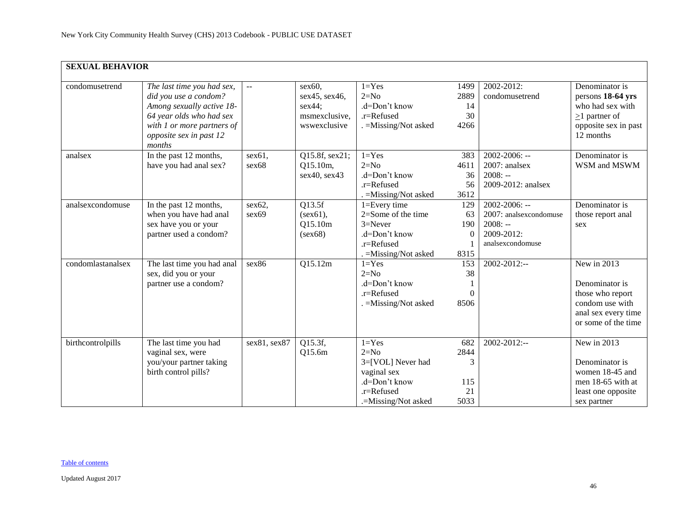| <b>SEXUAL BEHAVIOR</b> |                                                                                                                                                                                 |                                               |                                                                    |                                                                                                                 |                                       |                                                                                             |                                                                                                                     |
|------------------------|---------------------------------------------------------------------------------------------------------------------------------------------------------------------------------|-----------------------------------------------|--------------------------------------------------------------------|-----------------------------------------------------------------------------------------------------------------|---------------------------------------|---------------------------------------------------------------------------------------------|---------------------------------------------------------------------------------------------------------------------|
| condomusetrend         | The last time you had sex,<br>did you use a condom?<br>Among sexually active 18-<br>64 year olds who had sex<br>with 1 or more partners of<br>opposite sex in past 12<br>months | $\mathord{\hspace{1pt}\text{--}\hspace{1pt}}$ | sex60,<br>sex45, sex46,<br>sex44;<br>msmexclusive,<br>wswexclusive | $1 = Yes$<br>$2=N0$<br>.d=Don't know<br>.r=Refused<br>. = Missing/Not asked                                     | 1499<br>2889<br>14<br>30<br>4266      | 2002-2012:<br>condomusetrend                                                                | Denominator is<br>persons 18-64 yrs<br>who had sex with<br>$\geq$ 1 partner of<br>opposite sex in past<br>12 months |
| analsex                | In the past 12 months,<br>have you had anal sex?                                                                                                                                | sex61,<br>sex68                               | Q15.8f, sex21;<br>Q15.10m,<br>sex40, sex43                         | $1 = Yes$<br>$2=N0$<br>.d=Don't know<br>$.r =$ Refused<br>$=$ Missing/Not asked                                 | 383<br>4611<br>36<br>56<br>3612       | $2002 - 2006$ : --<br>2007: analsex<br>$2008: -$<br>2009-2012: analsex                      | Denominator is<br>WSM and MSWM                                                                                      |
| analsexcondomuse       | In the past 12 months,<br>when you have had anal<br>sex have you or your<br>partner used a condom?                                                                              | sex62,<br>sex69                               | Q13.5f<br>$(sex61)$ ,<br>Q15.10m<br>(sex68)                        | $1 = Every time$<br>$2=$ Some of the time<br>$3 =$ Never<br>.d=Don't know<br>.r=Refused<br>. =Missing/Not asked | 129<br>63<br>190<br>$\Omega$<br>8315  | $2002 - 2006$ : --<br>2007: analsexcondomuse<br>$2008: -$<br>2009-2012:<br>analsexcondomuse | Denominator is<br>those report anal<br>sex                                                                          |
| condomlastanalsex      | The last time you had anal<br>sex, did you or your<br>partner use a condom?                                                                                                     | sex86                                         | Q15.12m                                                            | $1 = Yes$<br>$2=N0$<br>.d=Don't know<br>.r=Refused<br>$. =$ Missing/Not asked                                   | 153<br>38<br>$\Omega$<br>8506         | 2002-2012:--                                                                                | New in 2013<br>Denominator is<br>those who report<br>condom use with<br>anal sex every time<br>or some of the time  |
| birthcontrolpills      | The last time you had<br>vaginal sex, were<br>you/your partner taking<br>birth control pills?                                                                                   | sex81, sex87                                  | Q15.3f,<br>Q15.6m                                                  | $1 = Yes$<br>$2=N0$<br>3=[VOL] Never had<br>vaginal sex<br>.d=Don't know<br>.r=Refused<br>.=Missing/Not asked   | 682<br>2844<br>3<br>115<br>21<br>5033 | 2002-2012:--                                                                                | New in 2013<br>Denominator is<br>women 18-45 and<br>men 18-65 with at<br>least one opposite<br>sex partner          |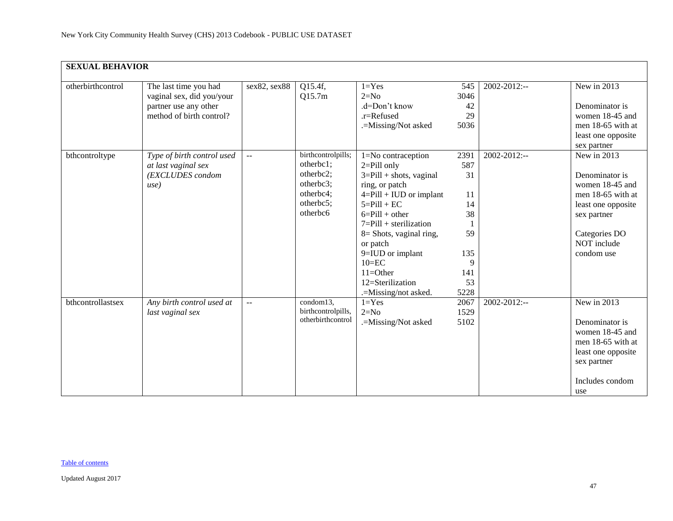| <b>SEXUAL BEHAVIOR</b> |                            |                           |                    |                             |      |                   |                    |
|------------------------|----------------------------|---------------------------|--------------------|-----------------------------|------|-------------------|--------------------|
| otherbirthcontrol      | The last time you had      | sex82, sex88              | Q15.4f,            | $1 = Yes$                   | 545  | $2002 - 2012$ :-- | New in 2013        |
|                        | vaginal sex, did you/your  |                           | Q15.7m             | $2=N0$                      | 3046 |                   |                    |
|                        | partner use any other      |                           |                    | .d=Don't know               | 42   |                   | Denominator is     |
|                        | method of birth control?   |                           |                    | .r=Refused                  | 29   |                   | women 18-45 and    |
|                        |                            |                           |                    | .=Missing/Not asked         | 5036 |                   | men 18-65 with at  |
|                        |                            |                           |                    |                             |      |                   | least one opposite |
|                        |                            |                           |                    |                             |      |                   | sex partner        |
| bthcontroltype         | Type of birth control used | $\mathcal{L} \mathcal{L}$ | birthcontrolpills; | 1=No contraception          | 2391 | 2002-2012:--      | New in 2013        |
|                        | at last vaginal sex        |                           | otherbc1;          | $2 =$ Pill only             | 587  |                   |                    |
|                        | (EXCLUDES condom           |                           | otherbc2;          | $3 =$ Pill + shots, vaginal | 31   |                   | Denominator is     |
|                        | use)                       |                           | otherbc3;          | ring, or patch              |      |                   | women 18-45 and    |
|                        |                            |                           | otherbc4;          | $4 =$ Pill + IUD or implant | 11   |                   | men 18-65 with at  |
|                        |                            |                           | otherbc5;          | $5 =$ Pill + EC             | 14   |                   | least one opposite |
|                        |                            |                           | otherbc6           | $6 =$ Pill + other          | 38   |                   | sex partner        |
|                        |                            |                           |                    | $7 =$ Pill + sterilization  |      |                   |                    |
|                        |                            |                           |                    | $8 =$ Shots, vaginal ring,  | 59   |                   | Categories DO      |
|                        |                            |                           |                    | or patch                    |      |                   | NOT include        |
|                        |                            |                           |                    | 9=IUD or implant            | 135  |                   | condom use         |
|                        |                            |                           |                    | $10=EC$                     | 9    |                   |                    |
|                        |                            |                           |                    | $11 = Other$                | 141  |                   |                    |
|                        |                            |                           |                    | 12=Sterilization            | 53   |                   |                    |
|                        |                            |                           |                    | .=Missing/not asked.        | 5228 |                   |                    |
| bthcontrollastsex      | Any birth control used at  | $\sim$ $\sim$             | condom13,          | $1 = Yes$                   | 2067 | 2002-2012:--      | New in 2013        |
|                        | last vaginal sex           |                           | birthcontrolpills, | $2=N0$                      | 1529 |                   |                    |
|                        |                            |                           | otherbirthcontrol  | .=Missing/Not asked         | 5102 |                   | Denominator is     |
|                        |                            |                           |                    |                             |      |                   | women 18-45 and    |
|                        |                            |                           |                    |                             |      |                   | men 18-65 with at  |
|                        |                            |                           |                    |                             |      |                   | least one opposite |
|                        |                            |                           |                    |                             |      |                   | sex partner        |
|                        |                            |                           |                    |                             |      |                   | Includes condom    |
|                        |                            |                           |                    |                             |      |                   | use                |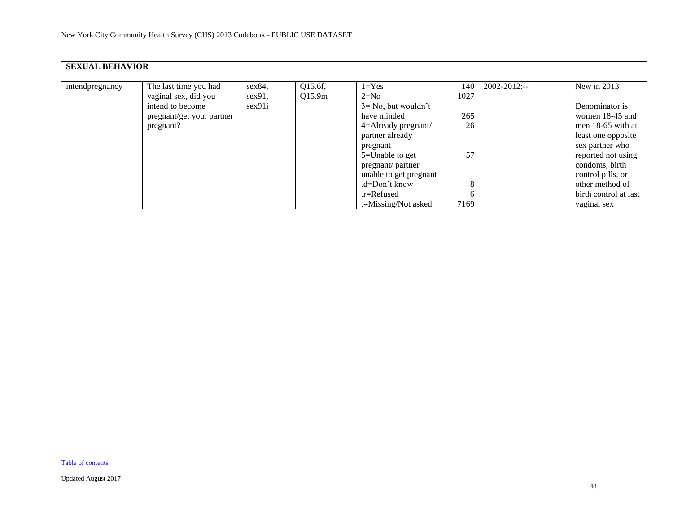| <b>SEXUAL BEHAVIOR</b> |                           |        |         |                         |      |              |                       |
|------------------------|---------------------------|--------|---------|-------------------------|------|--------------|-----------------------|
| intendpregnancy        | The last time you had     | sex84, | Q15.6f, | $1 = Yes$               | 140  | 2002-2012:-- | New in 2013           |
|                        | vaginal sex, did you      | sex91, | Q15.9m  | $2=N0$                  | 1027 |              |                       |
|                        | intend to become          | sex91i |         | $3 = No$ , but wouldn't |      |              | Denominator is        |
|                        | pregnant/get your partner |        |         | have minded             | 265  |              | women 18-45 and       |
|                        | pregnant?                 |        |         | $4 =$ Already pregnant/ | 26   |              | men $18-65$ with at   |
|                        |                           |        |         | partner already         |      |              | least one opposite    |
|                        |                           |        |         | pregnant                |      |              | sex partner who       |
|                        |                           |        |         | 5=Unable to get         | 57   |              | reported not using    |
|                        |                           |        |         | pregnant/partner        |      |              | condoms, birth        |
|                        |                           |        |         | unable to get pregnant  |      |              | control pills, or     |
|                        |                           |        |         | .d=Don't know           | 8    |              | other method of       |
|                        |                           |        |         | $.r =$ Refused          | 6    |              | birth control at last |
|                        |                           |        |         | .=Missing/Not asked     | 7169 |              | vaginal sex           |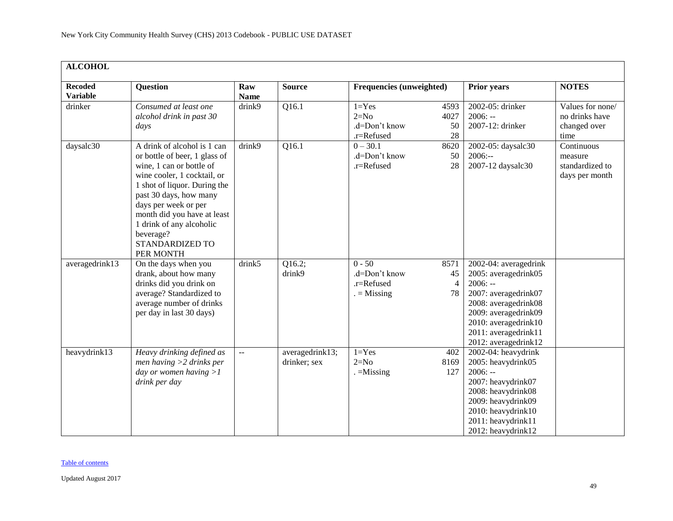<span id="page-48-0"></span>

| <b>ALCOHOL</b>                    |                                                                                                                                                                                                                                                                                                                          |                    |                                 |                                                        |                                    |                                                                                                                                                                                                            |                                                            |  |  |  |
|-----------------------------------|--------------------------------------------------------------------------------------------------------------------------------------------------------------------------------------------------------------------------------------------------------------------------------------------------------------------------|--------------------|---------------------------------|--------------------------------------------------------|------------------------------------|------------------------------------------------------------------------------------------------------------------------------------------------------------------------------------------------------------|------------------------------------------------------------|--|--|--|
| <b>Recoded</b><br><b>Variable</b> | <b>Question</b>                                                                                                                                                                                                                                                                                                          | Raw<br><b>Name</b> | <b>Source</b>                   | Frequencies (unweighted)                               |                                    | <b>Prior years</b>                                                                                                                                                                                         | <b>NOTES</b>                                               |  |  |  |
| drinker                           | Consumed at least one<br>alcohol drink in past 30<br>days                                                                                                                                                                                                                                                                | drink9             | Q16.1                           | $1 = Yes$<br>$2=N0$<br>.d=Don't know<br>.r=Refused     | 4593<br>4027<br>50<br>28           | 2002-05: drinker<br>$2006: -$<br>2007-12: drinker                                                                                                                                                          | Values for none/<br>no drinks have<br>changed over<br>time |  |  |  |
| daysalc30                         | A drink of alcohol is 1 can<br>or bottle of beer, 1 glass of<br>wine, 1 can or bottle of<br>wine cooler, 1 cocktail, or<br>1 shot of liquor. During the<br>past 30 days, how many<br>days per week or per<br>month did you have at least<br>1 drink of any alcoholic<br>beverage?<br><b>STANDARDIZED TO</b><br>PER MONTH | drink9             | Q16.1                           | $0 - 30.1$<br>.d=Don't know<br>.r=Refused              | 8620<br>50<br>28                   | 2002-05: daysalc30<br>$2006: -$<br>2007-12 daysalc30                                                                                                                                                       | Continuous<br>measure<br>standardized to<br>days per month |  |  |  |
| averagedrink13                    | On the days when you<br>drank, about how many<br>drinks did you drink on<br>average? Standardized to<br>average number of drinks<br>per day in last 30 days)                                                                                                                                                             | drink5             | Q16.2;<br>drink9                | $0 - 50$<br>.d=Don't know<br>.r=Refused<br>$=$ Missing | 8571<br>45<br>$\overline{4}$<br>78 | 2002-04: averagedrink<br>2005: averagedrink05<br>$2006: -$<br>2007: averagedrink07<br>2008: averagedrink08<br>2009: averagedrink09<br>2010: averagedrink10<br>2011: averagedrink11<br>2012: averagedrink12 |                                                            |  |  |  |
| heavydrink13                      | Heavy drinking defined as<br>men having $>2$ drinks per<br>day or women having $>1$<br>drink per day                                                                                                                                                                                                                     | $\overline{a}$     | averagedrink13;<br>drinker; sex | $1 = Yes$<br>$2=N0$<br>$=$ Missing                     | 402<br>8169<br>127                 | 2002-04: heavydrink<br>2005: heavydrink05<br>$2006: -$<br>2007: heavydrink07<br>2008: heavydrink08<br>2009: heavydrink09<br>2010: heavydrink10<br>2011: heavydrink11<br>2012: heavydrink12                 |                                                            |  |  |  |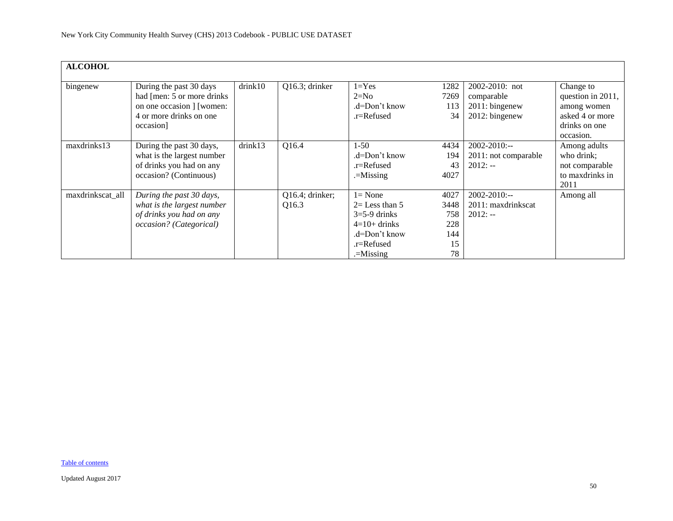| <b>ALCOHOL</b>   |                                                                                                                             |         |                             |                                                                                                                  |                                               |                                                                    |                                                                                                |
|------------------|-----------------------------------------------------------------------------------------------------------------------------|---------|-----------------------------|------------------------------------------------------------------------------------------------------------------|-----------------------------------------------|--------------------------------------------------------------------|------------------------------------------------------------------------------------------------|
| bingenew         | During the past 30 days<br>had [men: 5 or more drinks]<br>on one occasion   [women:<br>4 or more drinks on one<br>occasion] | drink10 | Q16.3; drinker              | $1 = Yes$<br>$2=N0$<br>.d=Don't know<br>.r=Refused                                                               | 1282<br>7269<br>113<br>34                     | 2002-2010: not<br>comparable<br>$2011:$ bingenew<br>2012: bingenew | Change to<br>question in 2011,<br>among women<br>asked 4 or more<br>drinks on one<br>occasion. |
| maxdrinks13      | During the past 30 days,<br>what is the largest number<br>of drinks you had on any<br>occasion? (Continuous)                | drink13 | Q16.4                       | $1 - 50$<br>.d=Don't know<br>.r=Refused<br>$=$ Missing                                                           | 4434<br>194<br>43<br>4027                     | $2002 - 2010$ :--<br>2011: not comparable<br>$2012: -$             | Among adults<br>who drink;<br>not comparable<br>to maxdrinks in<br>2011                        |
| maxdrinkscat_all | During the past 30 days,<br>what is the largest number<br>of drinks you had on any<br>occasion? (Categorical)               |         | $Q16.4$ ; drinker;<br>Q16.3 | $l = None$<br>$2=$ Less than 5<br>$3=5-9$ drinks<br>$4=10+$ drinks<br>.d=Don't know<br>.r=Refused<br>$=$ Missing | 4027<br>3448<br>758<br>228<br>144<br>15<br>78 | $2002 - 2010$ :--<br>2011: maxdrinkscat<br>$2012: -$               | Among all                                                                                      |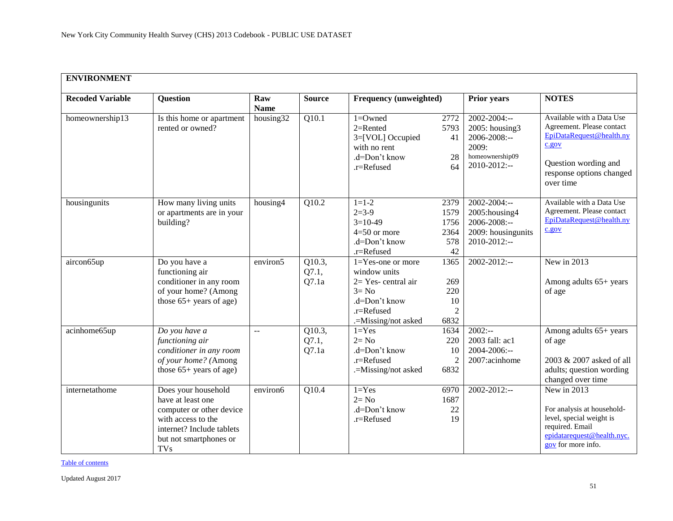<span id="page-50-0"></span>

| <b>ENVIRONMENT</b>      |                                                                                                                                                                 |                      |                          |                                                                                                                                  |                                                |                                                                                                      |                                                                                                                                                              |  |
|-------------------------|-----------------------------------------------------------------------------------------------------------------------------------------------------------------|----------------------|--------------------------|----------------------------------------------------------------------------------------------------------------------------------|------------------------------------------------|------------------------------------------------------------------------------------------------------|--------------------------------------------------------------------------------------------------------------------------------------------------------------|--|
| <b>Recoded Variable</b> | <b>Question</b>                                                                                                                                                 | Raw<br><b>Name</b>   | <b>Source</b>            | Frequency (unweighted)                                                                                                           |                                                | <b>Prior years</b>                                                                                   | <b>NOTES</b>                                                                                                                                                 |  |
| homeownership13         | Is this home or apartment<br>rented or owned?                                                                                                                   | housing32            | Q10.1                    | $1 =$ Owned<br>$2=$ Rented<br>3=[VOL] Occupied<br>with no rent<br>.d=Don't know<br>.r=Refused                                    | 2772<br>5793<br>41<br>28<br>64                 | 2002-2004:--<br>2005: housing3<br>$2006 - 2008$ :--<br>2009:<br>homeownership09<br>$2010 - 2012$ :-- | Available with a Data Use<br>Agreement. Please contact<br>EpiDataRequest@health.ny<br>c.gov<br>Question wording and<br>response options changed<br>over time |  |
| housingunits            | How many living units<br>or apartments are in your<br>building?                                                                                                 | housing4             | Q10.2                    | $1 = 1 - 2$<br>$2=3-9$<br>$3=10-49$<br>$4=50$ or more<br>.d=Don't know<br>.r=Refused                                             | 2379<br>1579<br>1756<br>2364<br>578<br>42      | $2002 - 2004$ :--<br>2005: housing 4<br>2006-2008:--<br>2009: housingunits<br>2010-2012:--           | Available with a Data Use<br>Agreement. Please contact<br>EpiDataRequest@health.ny<br>c.gov                                                                  |  |
| aircon65up              | Do you have a<br>functioning air<br>conditioner in any room<br>of your home? (Among<br>those $65+$ years of age)                                                | environ <sub>5</sub> | Q10.3,<br>Q7.1,<br>Q7.1a | $1 = Yes$ -one or more<br>window units<br>$2=$ Yes-central air<br>$3 = No$<br>.d=Don't know<br>.r=Refused<br>.=Missing/not asked | 1365<br>269<br>220<br>10<br>$\sqrt{2}$<br>6832 | $2002 - 2012$ :--                                                                                    | New in 2013<br>Among adults 65+ years<br>of age                                                                                                              |  |
| acinhome65up            | Do you have a<br>functioning air<br>conditioner in any room<br>of your home? (Among<br>those $65+$ years of age)                                                | $-$                  | Q10.3,<br>Q7.1,<br>Q7.1a | $1 = Yes$<br>$2 = No$<br>.d=Don't know<br>.r=Refused<br>.=Missing/not asked                                                      | 1634<br>220<br>10<br>$\mathfrak{2}$<br>6832    | $2002: -$<br>2003 fall: ac1<br>2004-2006:--<br>2007:acinhome                                         | Among adults 65+ years<br>of age<br>2003 & 2007 asked of all<br>adults; question wording<br>changed over time                                                |  |
| internetathome          | Does your household<br>have at least one<br>computer or other device<br>with access to the<br>internet? Include tablets<br>but not smartphones or<br><b>TVs</b> | environ6             | Q10.4                    | $1 = Yes$<br>$2 = No$<br>.d=Don't know<br>.r=Refused                                                                             | 6970<br>1687<br>22<br>19                       | $2002 - 2012$ :--                                                                                    | New in 2013<br>For analysis at household-<br>level, special weight is<br>required. Email<br>epidatarequest@health.nyc.<br>gov for more info.                 |  |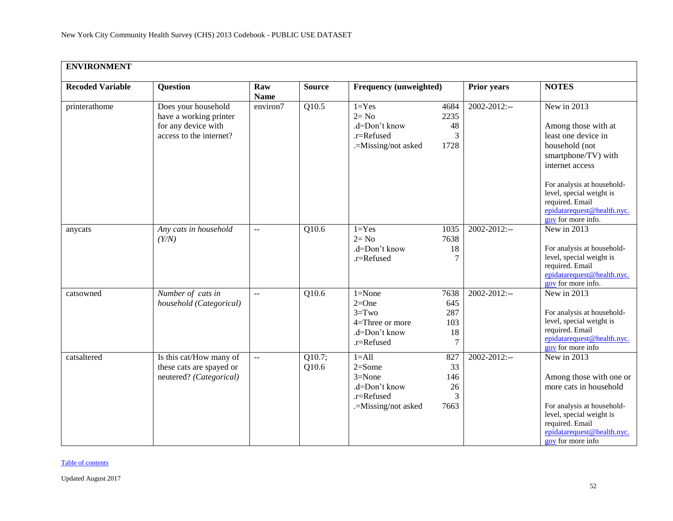| <b>ENVIRONMENT</b>      |                                                                                                 |                         |                    |                                                                                             |                                      |                    |                                                                                                                                                                                                                                                        |  |
|-------------------------|-------------------------------------------------------------------------------------------------|-------------------------|--------------------|---------------------------------------------------------------------------------------------|--------------------------------------|--------------------|--------------------------------------------------------------------------------------------------------------------------------------------------------------------------------------------------------------------------------------------------------|--|
| <b>Recoded Variable</b> | <b>Question</b>                                                                                 | Raw<br><b>Name</b>      | <b>Source</b>      | Frequency (unweighted)                                                                      |                                      | <b>Prior years</b> | <b>NOTES</b>                                                                                                                                                                                                                                           |  |
| printerathome           | Does your household<br>have a working printer<br>for any device with<br>access to the internet? | environ7                | Q10.5              | $1 = Yes$<br>$2 = No$<br>.d=Don't know<br>.r=Refused<br>.=Missing/not asked                 | 4684<br>2235<br>48<br>3<br>1728      | 2002-2012:--       | New in 2013<br>Among those with at<br>least one device in<br>household (not<br>smartphone/TV) with<br>internet access<br>For analysis at household-<br>level, special weight is<br>required. Email<br>epidatarequest@health.nyc.<br>gov for more info. |  |
| anycats                 | Any cats in household<br>(Y/N)                                                                  | $\mathbb{L} \mathbb{L}$ | $\overline{Q10.6}$ | $1 = Yes$<br>$2 = No$<br>.d=Don't know<br>.r=Refused                                        | 1035<br>7638<br>18<br>7              | $2002 - 2012$ :--  | New in 2013<br>For analysis at household-<br>level, special weight is<br>required. Email<br>epidatarequest@health.nyc.<br>$\frac{1}{20}$ for more info.                                                                                                |  |
| catsowned               | Number of cats in<br>household (Categorical)                                                    | $\sim$ $\sim$           | $\overline{Q10.6}$ | $1 = None$<br>$2=One$<br>$3 = Two$<br>4=Three or more<br>.d=Don't know<br>.r=Refused        | 7638<br>645<br>287<br>103<br>18<br>7 | $2002 - 2012$ :--  | New in 2013<br>For analysis at household-<br>level, special weight is<br>required. Email<br>epidatarequest@health.nyc.<br>$\frac{1}{20}$ for more info                                                                                                 |  |
| catsaltered             | Is this cat/How many of<br>these cats are spayed or<br>neutered? (Categorical)                  | $\mathbb{L}^2$          | Q10.7;<br>Q10.6    | $1 = A11$<br>$2 = Some$<br>$3 = None$<br>.d=Don't know<br>.r=Refused<br>.=Missing/not asked | 827<br>33<br>146<br>26<br>3<br>7663  | 2002-2012:--       | New in 2013<br>Among those with one or<br>more cats in household<br>For analysis at household-<br>level, special weight is<br>required. Email<br>epidatarequest@health.nyc.<br>gov for more info                                                       |  |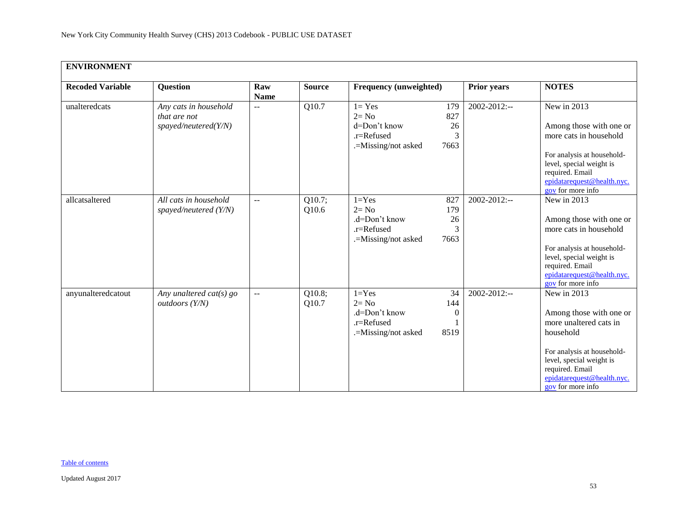| <b>ENVIRONMENT</b>      |                                                               |                             |                               |                                                                                                                            |                    |                                                                                                                                                                                                               |  |
|-------------------------|---------------------------------------------------------------|-----------------------------|-------------------------------|----------------------------------------------------------------------------------------------------------------------------|--------------------|---------------------------------------------------------------------------------------------------------------------------------------------------------------------------------------------------------------|--|
| <b>Recoded Variable</b> | <b>Question</b>                                               | Raw<br><b>Name</b>          | <b>Source</b>                 | Frequency (unweighted)                                                                                                     | <b>Prior years</b> | <b>NOTES</b>                                                                                                                                                                                                  |  |
| unalteredcats           | Any cats in household<br>that are not<br>spayed/neutered(Y/N) | $\rightarrow$ $\rightarrow$ | Q10.7                         | $1 = Yes$<br>179<br>$2 = No$<br>827<br>d=Don't know<br>26<br>.r=Refused<br>3<br>.=Missing/not asked<br>7663                | $2002 - 2012$ :--  | New in 2013<br>Among those with one or<br>more cats in household<br>For analysis at household-<br>level, special weight is<br>required. Email<br>epidatarequest@health.nyc.<br>gov for more info              |  |
| allcatsaltered          | All cats in household<br>spayed/neutered $(Y/N)$              | $\overline{a}$              | $\overline{Q10.7}$ ;<br>Q10.6 | $1 = Yes$<br>827<br>$2 = No$<br>179<br>$d=Don't know$<br>26<br>$\overline{3}$<br>.r=Refused<br>7663<br>.=Missing/not asked | $2002 - 2012$ :--  | New in 2013<br>Among those with one or<br>more cats in household<br>For analysis at household-<br>level, special weight is<br>required. Email<br>epidatarequest@health.nyc.<br>gov for more info              |  |
| anyunalteredcatout      | Any unaltered cat(s) $go$<br>$out doors$ $(Y/N)$              | $\overline{a}$              | Q10.8;<br>Q10.7               | $1 = Yes$<br>34<br>$2 = No$<br>144<br>.d=Don't know<br>$\boldsymbol{0}$<br>.r=Refused<br>.=Missing/not asked<br>8519       | $2002 - 2012$ :--  | New in 2013<br>Among those with one or<br>more unaltered cats in<br>household<br>For analysis at household-<br>level, special weight is<br>required. Email<br>epidatarequest@health.nyc.<br>gov for more info |  |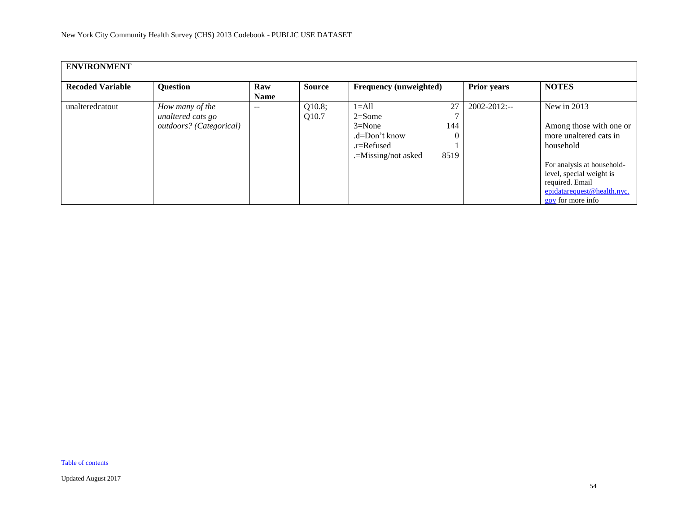| <b>ENVIRONMENT</b>      |                                                                 |                    |                 |                                                                                                                   |                    |                                                                                                                                                                                                                 |  |  |
|-------------------------|-----------------------------------------------------------------|--------------------|-----------------|-------------------------------------------------------------------------------------------------------------------|--------------------|-----------------------------------------------------------------------------------------------------------------------------------------------------------------------------------------------------------------|--|--|
| <b>Recoded Variable</b> | <b>Question</b>                                                 | Raw<br><b>Name</b> | <b>Source</b>   | <b>Frequency (unweighted)</b>                                                                                     | <b>Prior years</b> | <b>NOTES</b>                                                                                                                                                                                                    |  |  |
| unalteredcatout         | How many of the<br>unaltered cats go<br>outdoors? (Categorical) | $\qquad \qquad -$  | Q10.8;<br>Q10.7 | 27<br>$1 = A11$<br>$2 = Some$<br>$3 = None$<br>144<br>$d=Don't know$<br>.r=Refused<br>8519<br>.=Missing/not asked | $2002 - 2012$ :--  | New in $2013$<br>Among those with one or<br>more unaltered cats in<br>household<br>For analysis at household-<br>level, special weight is<br>required. Email<br>epidatarequest@health.nyc.<br>gov for more info |  |  |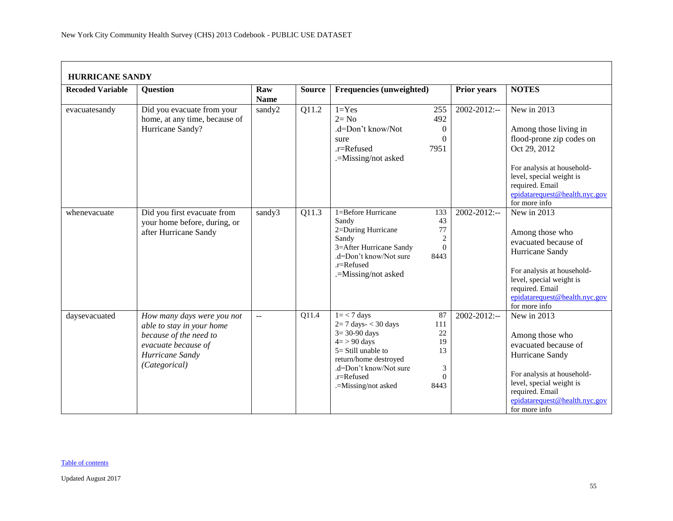<span id="page-54-0"></span>

| <b>Recoded Variable</b> | <b>Question</b>                                                                                                                              | Raw<br><b>Name</b> | <b>Source</b> | Frequencies (unweighted)                                                                                                                                                                        |                                                             | Prior years  | <b>NOTES</b>                                                                                                                                                                                                    |
|-------------------------|----------------------------------------------------------------------------------------------------------------------------------------------|--------------------|---------------|-------------------------------------------------------------------------------------------------------------------------------------------------------------------------------------------------|-------------------------------------------------------------|--------------|-----------------------------------------------------------------------------------------------------------------------------------------------------------------------------------------------------------------|
| evacuatesandy           | Did you evacuate from your<br>home, at any time, because of<br>Hurricane Sandy?                                                              | sandy2             | Q11.2         | $1 = Yes$<br>$2 = No$<br>.d=Don't know/Not<br>sure<br>.r=Refused<br>.=Missing/not asked                                                                                                         | 255<br>492<br>$\overline{0}$<br>$\Omega$<br>7951            | 2002-2012:-- | New in 2013<br>Among those living in<br>flood-prone zip codes on<br>Oct 29, 2012<br>For analysis at household-<br>level, special weight is<br>required. Email<br>epidatarequest@health.nyc.gov<br>for more info |
| whenevacuate            | Did you first evacuate from<br>your home before, during, or<br>after Hurricane Sandy                                                         | sandy3             | Q11.3         | 1=Before Hurricane<br>Sandy<br>2=During Hurricane<br>Sandy<br>3=After Hurricane Sandy<br>.d=Don't know/Not sure<br>.r=Refused<br>.=Missing/not asked                                            | 133<br>43<br>77<br>$\overline{2}$<br>$\overline{0}$<br>8443 | 2002-2012:-- | New in $2013$<br>Among those who<br>evacuated because of<br>Hurricane Sandy<br>For analysis at household-<br>level, special weight is<br>required. Email<br>epidatarequest@health.nyc.gov<br>for more info      |
| daysevacuated           | How many days were you not<br>able to stay in your home<br>because of the need to<br>evacuate because of<br>Hurricane Sandy<br>(Categorical) | ΞĒ,                | Q11.4         | $1 = 7$ days<br>$2=7$ days- $<$ 30 days<br>$3 = 30 - 90$ days<br>$4 = 90$ days<br>$5 = Still$ unable to<br>return/home destroyed<br>.d=Don't know/Not sure<br>.r=Refused<br>.=Missing/not asked | 87<br>111<br>22<br>19<br>13<br>3<br>$\Omega$<br>8443        | 2002-2012:-- | New in 2013<br>Among those who<br>evacuated because of<br>Hurricane Sandy<br>For analysis at household-<br>level, special weight is<br>required. Email<br>epidatarequest@health.nyc.gov<br>for more info        |